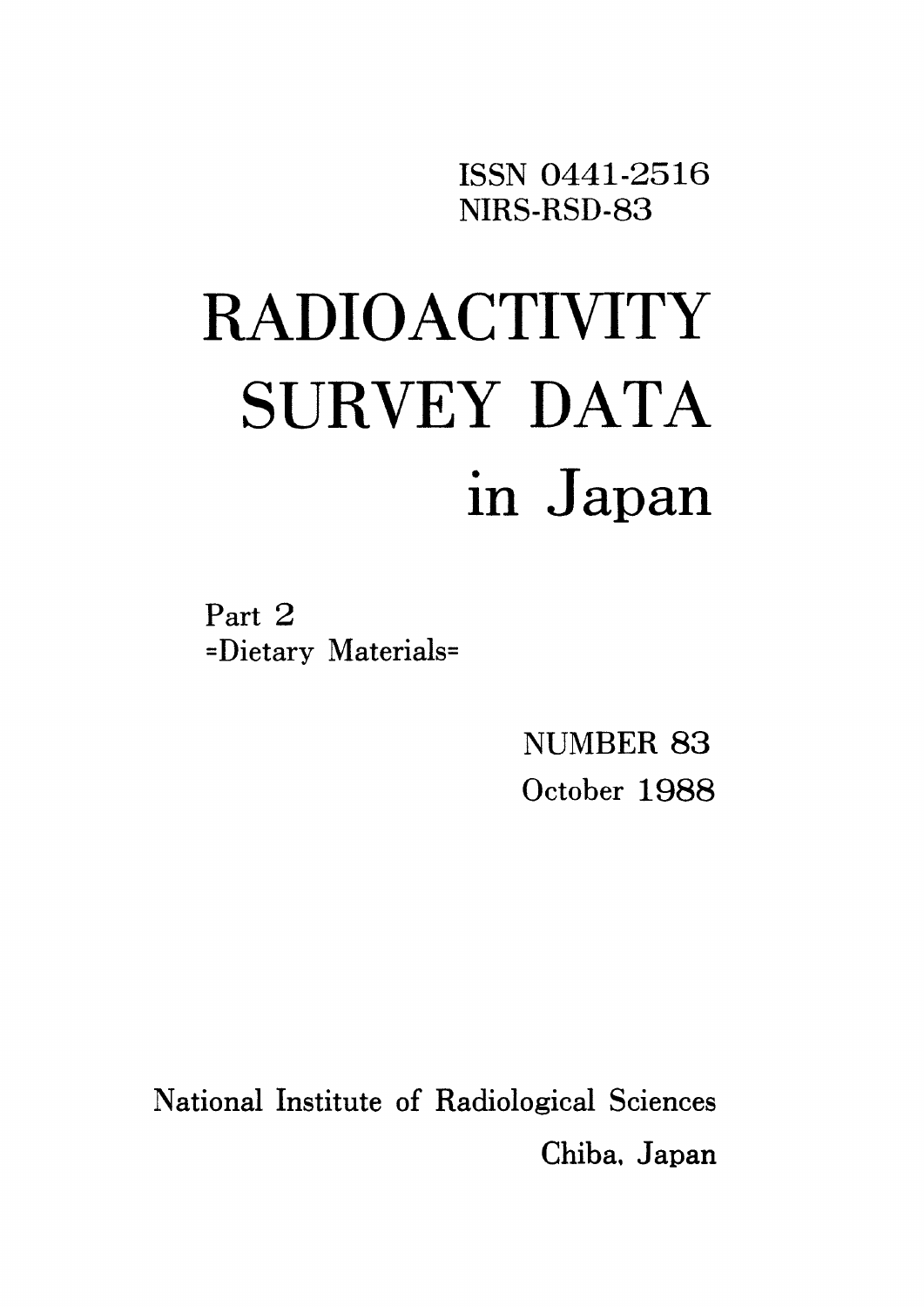ISSN O441・2516 NIRS・RSD-83

# RADIOACTIⅥTY SURVEY DATA in Japan

Part 2 =Dietary Materials=

> NUMBER 83 October 1988

National Institute of Radiological Sciences Chiba. Japan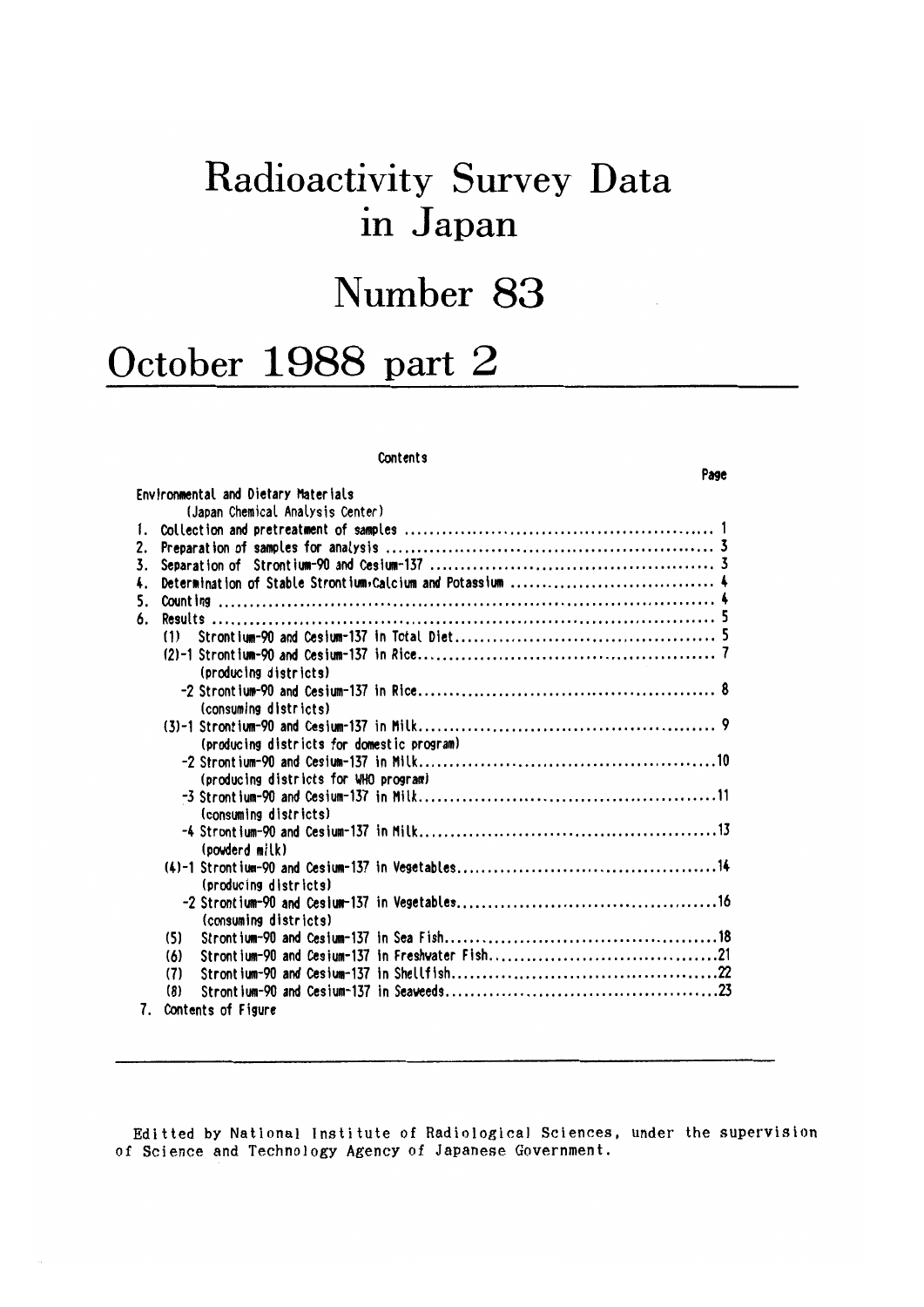# Radioactivity Survey Data in Japan

# Number 83

Page

# October 1988 part 2

#### Contents

|    | Environmental and Dietary Materials        |  |
|----|--------------------------------------------|--|
|    | (Japan Chemical Analysis Center)           |  |
| 1. |                                            |  |
| 2. |                                            |  |
| 3. |                                            |  |
| 4. |                                            |  |
| 5. |                                            |  |
| 6. |                                            |  |
|    | (1)                                        |  |
|    |                                            |  |
|    | (producing districts)                      |  |
|    |                                            |  |
|    | (consuming districts)                      |  |
|    |                                            |  |
|    | (producing districts for domestic program) |  |
|    |                                            |  |
|    | (producing districts for WHO program)      |  |
|    |                                            |  |
|    | (consuming districts)                      |  |
|    |                                            |  |
|    | (powderd milk)                             |  |
|    |                                            |  |
|    | (producing districts)                      |  |
|    |                                            |  |
|    | (consuming districts)                      |  |
|    | (5)                                        |  |
|    | (6)                                        |  |
|    | (7)                                        |  |
|    | (8)                                        |  |
|    |                                            |  |

7. Contents of Figure

Editted by National Institute of Radiological Sciences, under the supervision of Science and Technology Agency of Japanese Government.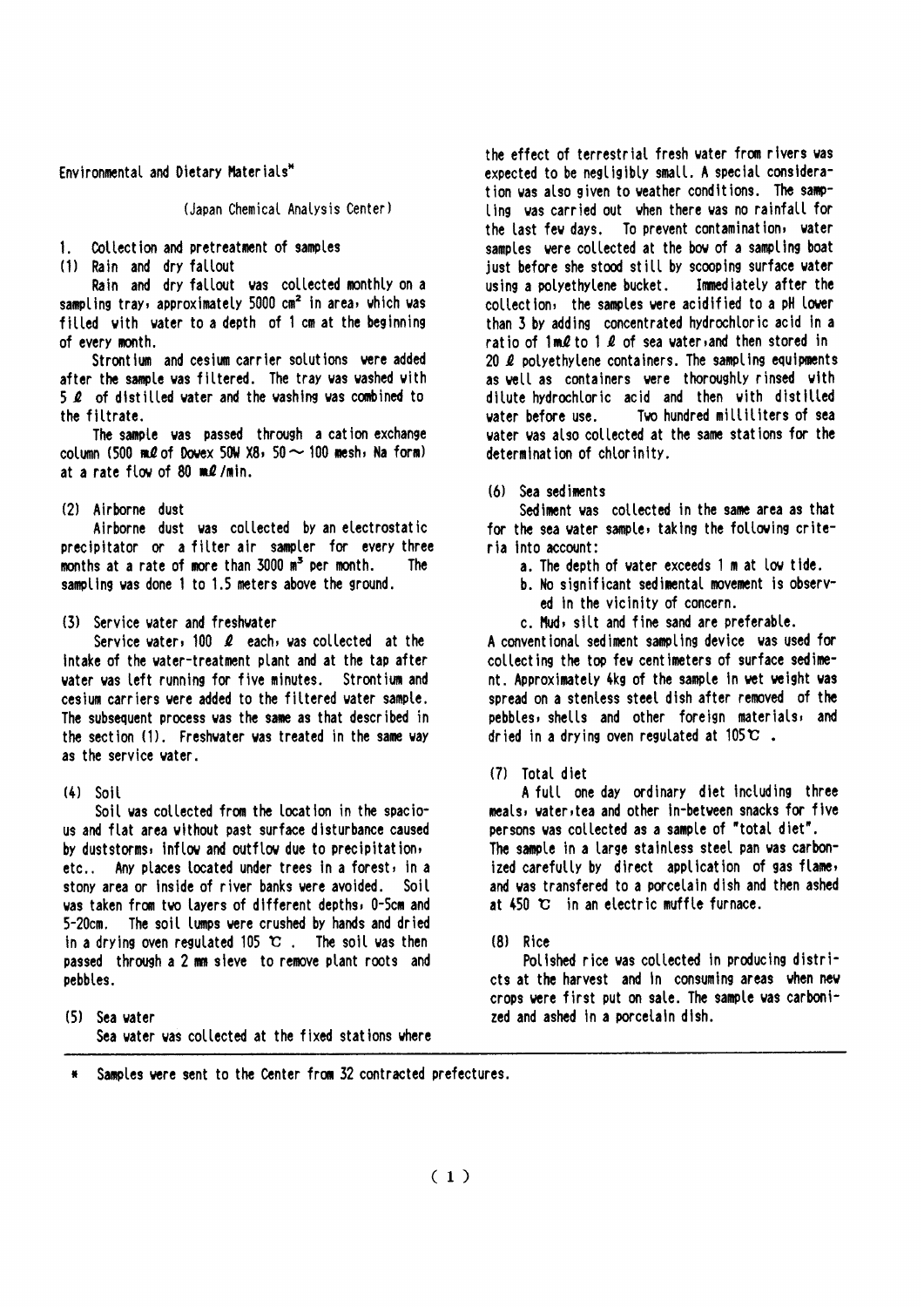Environmental and Dietary Materials\*

#### (Japan Chemical Analysis Center)

Collection and pretreatment of samples  $1 -$ 

(1) Rain and dry fallout

Rain and dry fallout was collected monthly on a sampling tray, approximately 5000 cm<sup>2</sup> in area, which was filled with water to a depth of 1 cm at the beginning of every month.

Strontium and cesium carrier solutions were added after the sample was filtered. The tray was washed with 5 *Q* of distilled vater and the vashing vas combined to the filtrate.

The sample was passed through a cation exchange column (500 m $\ell$  of Dovex 50W X8, 50  $\sim$  100 mesh, Na form) at a rate flow of 80  $m/l$  min.

#### (2) Airborne dust

Airborne dust was collected by an electrostatic precipitator or a filter air sampler for every three months at a rate of more than 3000 m<sup>3</sup> per month. The sampling was done 1 to 1.5 meters above the ground.

#### (3) Service vater and freshwater

Service water, 100  $\ell$  each, was collected at the intake of the vater-treatment plant and at the tap after water was left running for five minutes. Strontium and cesium carriers were added to the filtered water sample. The subsequent process was the same as that described in the section (1). Freshwater was treated in the same way as the service vater.

#### $(4)$  Soil

Soil was collected from the location in the spacious and flat area without past surface disturbance caused by duststorms, inflow and outflow due to precipitation, etc.. Any places located under trees in a forest, in a stony area or inside of river banks were avoided. Soil was taken from two layers of different depths, 0-5cm and 5-20cm. The soil lumps were crushed by hands and dried in a drying oven regulated 105  $\mathbb{C}$ . The soil was then passed through a 2 mm sieve to remove plant roots and pebbles.

(5) Sea vater Sea vater vas collected at the fixed stations where the effect of terrestrial fresh vater from rivers vas expected to be negligibly small. A special consideration was also given to weather conditions. The samoling was carried out when there was no rainfall for the last few days. To prevent contamination, water samples were collected at the bow of a sampling boat just before she stood still by scooping surface water using a polyethylene bucket. Immediately after the collection, the samples were acidified to a oH lower than 3 by adding concentrated hydrochloric acid in a ratio of  $1m\ell$  to  $1\ell$  of sea water, and then stored in 20  $\ell$  polyethylene containers. The sampling equipments as well as containers were thoroughly rinsed with ditute hydrochtoric acid and then with distitled vater before use. Two hundred milliliters of sea water was also collected at the same stations for the determination of chlorinity.

(6) Sea sediments

Sediment was collected in the same area as that for the sea water sample, taking the following criteria into account:

- a. The depth of vater exceeds 1 m at low tide.
- b. No significant sedimental movement is observed in the vicinity of concern.
- c. Mud, silt and fine sand are preferable.

A conventional sediment sampling device was used for collecting the top few centimeters of surface sediment. Approximately 4kg of the sample in wet weight was spread on a stenless steel dish after removed of the pebbles, shells and other foreign materials, and dried in a drying oven regulated at  $105^\circ \text{C}$ .

#### (7) Total diet

A full one day ordinary diet including three meals, water, tea and other in-between snacks for five persons was collected as a sample of "total diet". The sample in a large stainless steel pan was carbonized carefully by direct application of gas flame, and was transfered to a porcelain dish and then ashed at  $450$  °C in an electric muffle furnace.

#### $(8)$  Rice

Polished rice was collected in producing districts at the harvest and in consuming areas when new crops were first put on sale. The sample was carbonized and ashed in a porcelain dish.

Samples were sent to the Center from 32 contracted prefectures.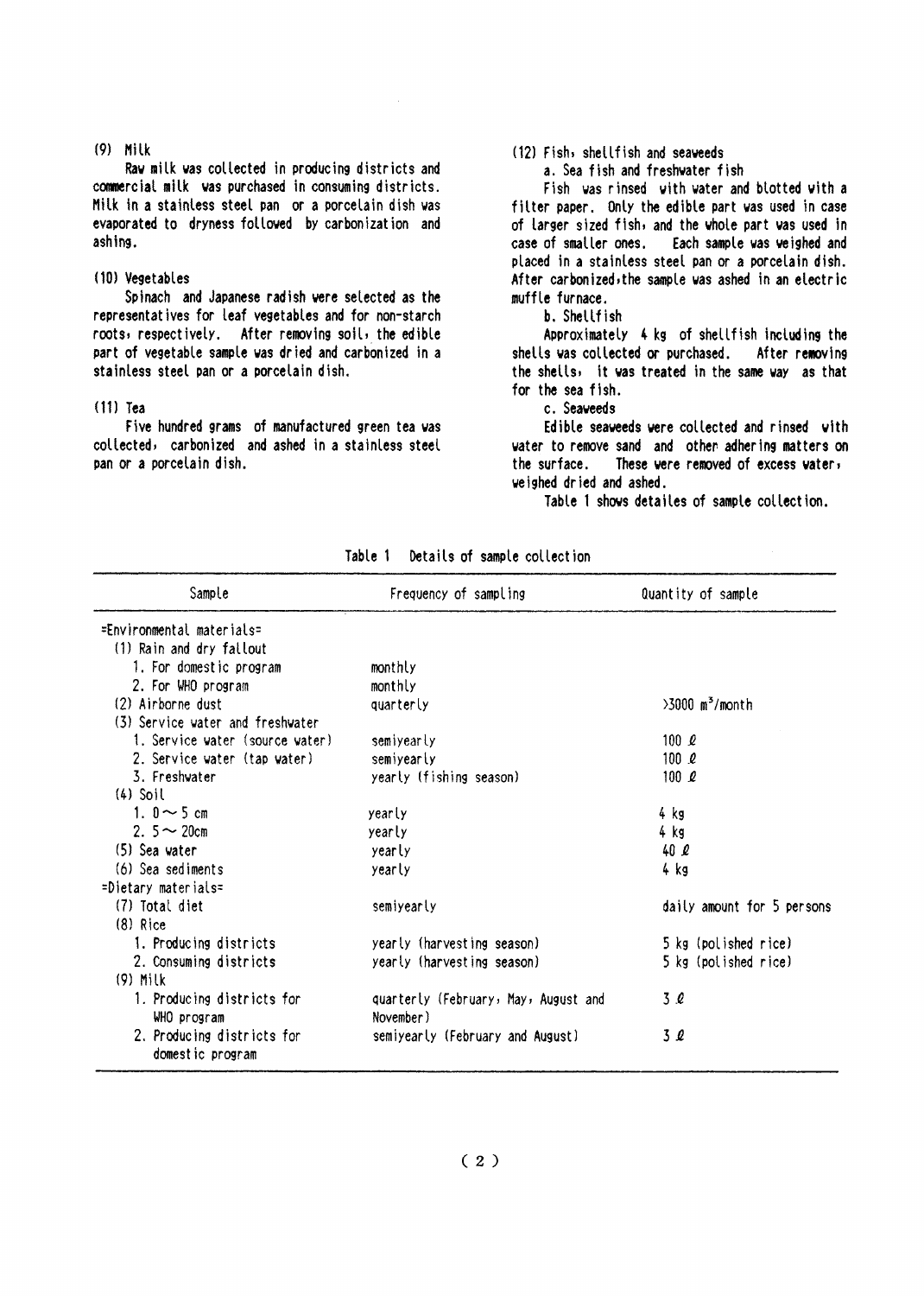#### $(9)$  Milk

Raw milk was collected in producing districts and commercial milk was purchased in consuming districts. Milk in a stainless steel pan or a porcelain dish was evaporated to dryness followed by carbonization and ashing.

#### (10) Vegetables

Spinach and Japanese radish were selected as the representatives for leaf vegetables and for non-starch roots, respectively. After removing soil, the edible part of vegetable sample was dried and carbonized in a stainless steel pan or a porcelain dish.

#### $(11)$  Tea

Five hundred grams of manufactured green tea was collected, carbonized and ashed in a stainless steel pan or a porcelain dish.

#### (12) Fish, shellfish and seaveeds

a. Sea fish and freshwater fish

Fish was rinsed with water and blotted with a filter paper. Only the edible part was used in case of larger sized fish, and the whole part was used in case of smaller ones. Each sample was veighed and placed in a stainless steel pan or a porcelain dish. After carbonized, the sample was ashed in an electric muffle furnace.

b. Shellfish

Approximately 4 kg of shellfish including the shells was collected or purchased. After removing the shells, it was treated in the same way as that for the sea fish.

c. Seaveeds

Edible seaveeds vere collected and rinsed with water to remove sand and other adhering matters on the surface. These were removed of excess water, weighed dried and ashed.

Table 1 shows detailes of sample collection.

| Sample                                         | Frequency of sampling                             | Quantity of sample            |
|------------------------------------------------|---------------------------------------------------|-------------------------------|
| =Environmental materials=                      |                                                   |                               |
| (1) Rain and dry fallout                       |                                                   |                               |
| 1. For domestic program                        | monthly                                           |                               |
| 2. For WHO program                             | monthly                                           |                               |
| (2) Airborne dust                              | quarterly                                         | $>3000$ m <sup>3</sup> /month |
| (3) Service water and freshwater               |                                                   |                               |
| 1. Service water (source water)                | semiyearly                                        | 100 $\ell$                    |
| 2. Service water (tap water)                   | semiyearly                                        | 100 e                         |
| 3. Freshvater                                  | yearly (fishing season)                           | 100 $\rho$                    |
| $(4)$ Soil                                     |                                                   |                               |
| 1. $0 \sim 5$ cm                               | yearly                                            | 4 kg                          |
| 2. $5 \sim 20$ cm                              | yearly                                            | 4 kg                          |
| $(5)$ Sea vater                                | yearly                                            | 40Q                           |
| (6) Sea sediments                              | yearly                                            | 4 kg                          |
| =Dietary materials=                            |                                                   |                               |
| (7) Total diet                                 | semiyearly                                        | daily amount for 5 persons    |
| $(8)$ Rice                                     |                                                   |                               |
| 1. Producing districts                         | yearly (harvesting season)                        | 5 kg (polished rice)          |
| 2. Consuming districts                         | yearly (harvesting season)                        | 5 kg (polished rice)          |
| $(9)$ Milk                                     |                                                   |                               |
| 1. Producing districts for<br>WHO program      | quarterly (February, May, August and<br>November) | 3 Q                           |
| 2. Producing districts for<br>domestic program | semiyearly (February and August)                  | 3 Q                           |

Table 1 Details of sample collection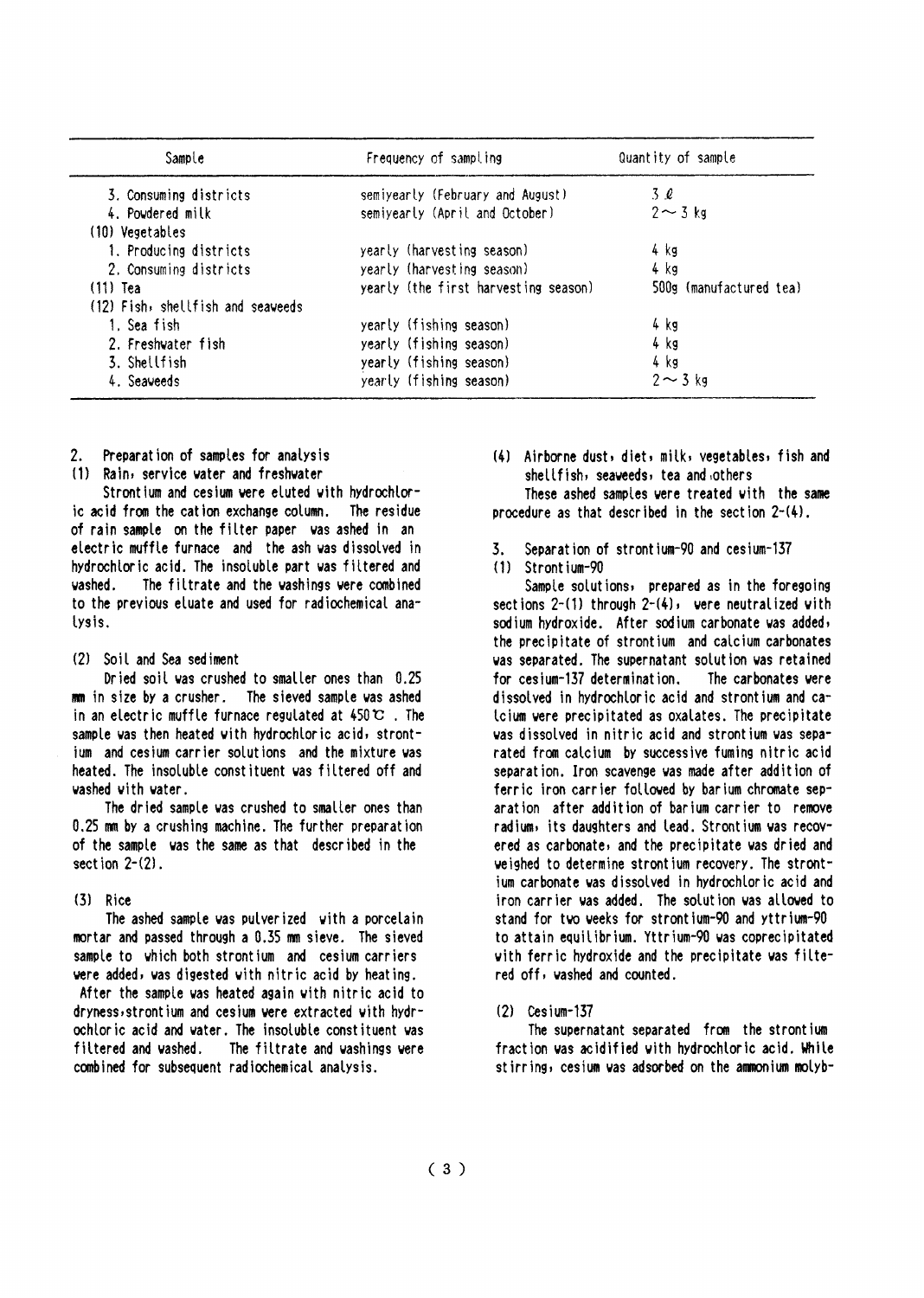| Sample                            | Frequency of sampling                | Quantity of sample      |  |  |
|-----------------------------------|--------------------------------------|-------------------------|--|--|
| 3. Consuming districts            | semiyearly (February and August)     | $3\ell$                 |  |  |
| 4. Powdered milk                  | semiyearly (April and October)       | $2 \sim 3$ kg           |  |  |
| (10) Vegetables                   |                                      |                         |  |  |
| 1. Producing districts            | yearly (harvesting season)           | 4 kg                    |  |  |
| 2. Consuming districts            | yearly (harvesting season)           | 4 kg                    |  |  |
| $(11)$ Tea                        | yearly (the first harvesting season) | 500g (manufactured tea) |  |  |
| (12) Fish, shellfish and seaveeds |                                      |                         |  |  |
| 1. Sea fish                       | yearly (fishing season)              | 4 kg                    |  |  |
| 2. Freshwater fish                | yearly (fishing season)              | 4 kg                    |  |  |
| 3. Shellfish                      | yearly (fishing season)              | 4 kg                    |  |  |
| 4. Seaveeds                       | yearly (fishing season)              | $2 \sim 3$ kg           |  |  |

 $2<sup>1</sup>$ Preparation of samples for analysis

(1) Rain, service vater and freshwater

Strontium and cesium were eluted with hydrochloric acid from the cation exchange column. The residue of rain sample on the filter paper was ashed in an electric muffle furnace and the ash was dissolved in hydrochloric acid. The insoluble part was filtered and The filtrate and the washings were combined badesu to the previous eluate and used for radiochemical analysis.

#### (2) Soil and Sea sediment

Dried soil was crushed to smaller ones than 0.25 mm in size by a crusher. The sieved sample was ashed in an electric muffle furnace regulated at  $450 \, \text{C}$ . The sample was then heated with hydrochloric acid, strontium and cesium carrier solutions and the mixture was heated. The insoluble constituent was filtered off and washed with water.

The dried sample was crushed to smaller ones than 0.25 mm by a crushing machine. The further preparation of the sample vas the same as that described in the section  $2-(2)$ .

### $(3)$  Rice

The ashed sample was pulverized with a porcelain mortar and passed through a 0.35 mm sieve. The sieved sample to which both strontium and cesium carriers were added, was digested with nitric acid by heating.

After the sample was heated again with nitric acid to dryness, strontium and cesium were extracted with hydrochloric acid and water. The insoluble constituent was filtered and washed. The filtrate and washings were combined for subsequent radiochemical analysis.

(4) Airborne dust, diet, milk, vegetables, fish and shellfish, seaveeds, tea and others

These ashed samples were treated with the same procedure as that described in the section  $2-(4)$ .

Separation of strontium-90 and cesium-137 3.

#### $(1)$  Strontium-90

Sample solutions, prepared as in the foregoing sections  $2-(1)$  through  $2-(4)$ , were neutralized with sodium hydroxide. After sodium carbonate was added, the precipitate of strontium and calcium carbonates was separated. The supernatant solution was retained for cesium-137 determination. The carbonates vere dissolved in hydrochloric acid and strontium and catoium were precipitated as oxalates. The precipitate was dissolved in nitric acid and strontium was separated from calcium by successive fuming nitric acid separation. Iron scavenge was made after addition of ferric iron carrier followed by barium chromate separation after addition of barium carrier to remove radium, its daughters and lead. Strontium was recovered as carbonate, and the precipitate was dried and weighed to determine strontium recovery. The strontium carbonate was dissolved in hydrochloric acid and iron carrier was added. The solution was allowed to stand for two weeks for strontium-90 and yttrium-90 to attain equilibrium. Yttrium-90 was coprecipitated with ferric hydroxide and the precipitate was filtered off, vashed and counted.

### $(2)$  Cesium-137

The supernatant separated from the strontium fraction was acidified with hydrochloric acid. While stirring, cesium was adsorbed on the ammonium molyb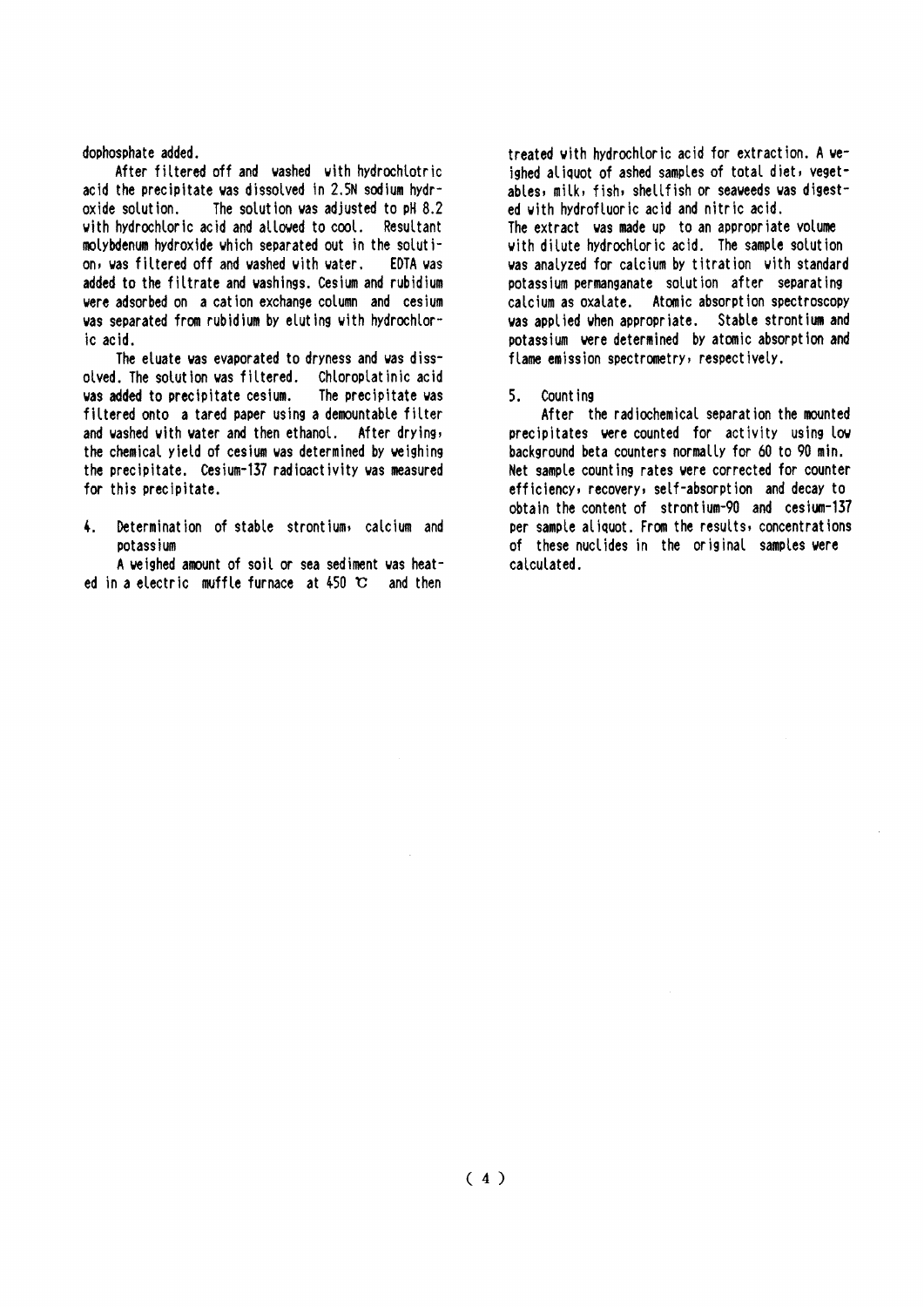dophosphate added.

After filtered off and washed with hydrochlotric acid the precipitate was dissolved in 2.5N sodium hvdr-The solution was adjusted to pH 8.2 oxide solution. with hydrochloric acid and allowed to cool. Resultant molybdenum hydroxide which separated out in the solution, was filtered off and washed with water. EDTA vas added to the filtrate and washings. Cesium and rubidium were adsorbed on a cation exchange column and cesium was separated from rubidium by eluting with hydrochloric acid.

The eluate was evaporated to dryness and was dissolved. The solution was filtered. Chloroplatinic acid was added to precipitate cesium. The precipitate was filtered onto a tared paper using a demountable filter and washed with water and then ethanol. After drying, the chemical yield of cesium was determined by weighing the precipitate. Cesium-137 radioactivity was measured for this precipitate.

 $\mathbf{L}$ Determination of stable strontium, calcium and potassium

A veighed amount of soil or sea sediment was heated in a electric muffle furnace at  $450$  °C and then

treated with hydrochloric acid for extraction. A weighed aliguot of ashed samples of total diet, vegetables, milk, fish, shellfish or seaweeds was digested with hydrofluoric acid and nitric acid. The extract was made up to an appropriate volume with dilute hydrochloric acid. The sample solution was analyzed for calcium by titration with standard potassium permanganate solution after separating calcium as oxalate. Atomic absorption spectroscopy was applied when appropriate. Stable strontium and potassium were determined by atomic absorption and flame emission spectrometry, respectively.

 $5.$ Count ing

After the radiochemical separation the mounted precipitates were counted for activity using low background beta counters normally for 60 to 90 min. Net sample counting rates were corrected for counter efficiency, recovery, self-absorption and decay to obtain the content of strontium-90 and cesium-137 per sample aliquot. From the results, concentrations of these nuclides in the original samples were calculated.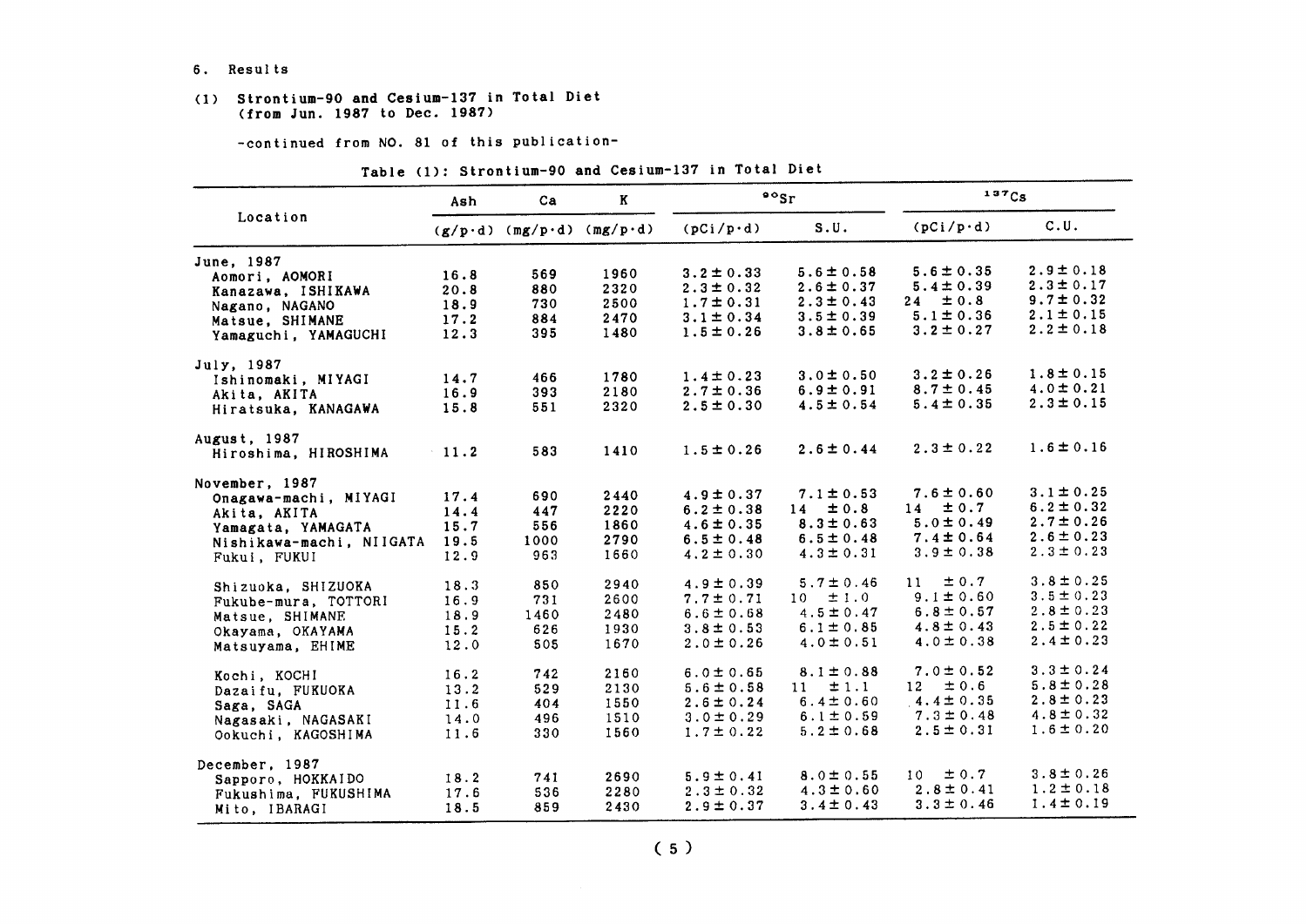#### 6. Results

#### (1) Strontium-90 and Cesium-137 in Total Diet (from Jun. 1987 to Dec. 1987)

-continued from NO. 81 of this publication-

|                          | Ash     | Ca                                | K    | $\frac{1}{2}$    |                | $137C_S$         |                |
|--------------------------|---------|-----------------------------------|------|------------------|----------------|------------------|----------------|
| Location                 |         | $(g/p \cdot d)$ (mg/p·d) (mg/p·d) |      | $(pCi/p\cdot d)$ | S.U.           | $(pCi/p\cdot d)$ | C.U.           |
| June, 1987               |         |                                   |      |                  |                |                  |                |
| Aomori. AOMORI           | 16.8    | 569                               | 1960 | $3.2 \pm 0.33$   | $5.6 \pm 0.58$ | $5.6 \pm 0.35$   | $2.9 \pm 0.18$ |
| Kanazawa, ISHIKAWA       | 20.8    | 880                               | 2320 | $2.3 \pm 0.32$   | $2.6 \pm 0.37$ | $5.4 \pm 0.39$   | $2.3 \pm 0.17$ |
| Nagano, NAGANO           | 18.9    | 730                               | 2500 | $1.7 \pm 0.31$   | $2.3 \pm 0.43$ | $\pm 0.8$<br>24  | $9.7 \pm 0.32$ |
| Matsue, SHIMANE          | 17.2    | 884                               | 2470 | $3.1 \pm 0.34$   | $3.5 \pm 0.39$ | $5.1 \pm 0.36$   | $2.1 \pm 0.15$ |
| Yamaguchi, YAMAGUCHI     | 12.3    | 395                               | 1480 | $1.5 \pm 0.26$   | $3.8 \pm 0.65$ | $3.2 \pm 0.27$   | $2.2 \pm 0.18$ |
| July, 1987               |         |                                   |      |                  |                |                  |                |
| Ishinomaki, MIYAGI       | 14.7    | 466                               | 1780 | $1.4 \pm 0.23$   | $3.0 \pm 0.50$ | $3.2 \pm 0.26$   | $1.8 \pm 0.15$ |
| Akita, AKITA             | 16.9    | 393                               | 2180 | $2.7 \pm 0.36$   | $6.9 \pm 0.91$ | $8.7 \pm 0.45$   | $4.0 \pm 0.21$ |
| Hiratsuka, KANAGAWA      | 15.8    | 551                               | 2320 | $2.5 \pm 0.30$   | $4.5 \pm 0.54$ | $5.4 \pm 0.35$   | $2.3 \pm 0.15$ |
| August, 1987             |         |                                   |      |                  |                |                  |                |
| Hiroshima, HIROSHIMA     | $-11.2$ | 583                               | 1410 | $1.5 \pm 0.26$   | $2.6 \pm 0.44$ | $2.3 \pm 0.22$   | $1.6 \pm 0.16$ |
| November, 1987           |         |                                   |      |                  |                |                  |                |
| Onagawa-machi, MIYAGI    | 17.4    | 690                               | 2440 | $4.9 \pm 0.37$   | $7.1 \pm 0.53$ | $7.6 \pm 0.60$   | $3.1 \pm 0.25$ |
| Akita, AKITA             | 14.4    | 447                               | 2220 | $6.2 \pm 0.38$   | $14 \pm 0.8$   | $14 \pm 0.7$     | $6.2 \pm 0.32$ |
| Yamagata, YAMAGATA       | 15.7    | 556                               | 1860 | $4.6 \pm 0.35$   | $8.3 \pm 0.63$ | $5.0 \pm 0.49$   | $2.7 \pm 0.26$ |
| Nishikawa-machi, NIIGATA | 19.5    | 1000                              | 2790 | $6.5 \pm 0.48$   | $6.5 \pm 0.48$ | $7.4 \pm 0.64$   | $2.6 \pm 0.23$ |
| Fukui, FUKUI             | 12.9    | 963                               | 1660 | $4.2 \pm 0.30$   | $4.3 \pm 0.31$ | $3.9 \pm 0.38$   | $2.3 \pm 0.23$ |
| Shizuoka, SHIZUOKA       | 18.3    | 850                               | 2940 | $4.9 \pm 0.39$   | $5.7 \pm 0.46$ | $\pm 0.7$<br>11  | $3.8 \pm 0.25$ |
| Fukube-mura, TOTTORI     | 16.9    | 731                               | 2600 | $7.7 \pm 0.71$   | $10 \pm 1.0$   | $9.1 \pm 0.60$   | $3.5 \pm 0.23$ |
| Matsue, SHIMANE          | 18.9    | 1460                              | 2480 | $6.6 \pm 0.68$   | $4.5 \pm 0.47$ | $6.8 \pm 0.57$   | $2.8 \pm 0.23$ |
| Okayama, OKAYAMA         | 15.2    | 626                               | 1930 | $3.8 \pm 0.53$   | $6.1 \pm 0.85$ | $4.8 \pm 0.43$   | $2.5 \pm 0.22$ |
| Matsuyama, EHIME         | 12.0    | 505                               | 1670 | $2.0 \pm 0.26$   | $4.0 \pm 0.51$ | $4.0 \pm 0.38$   | $2.4 \pm 0.23$ |
| Kochi, KOCHI             | 16.2    | 742                               | 2160 | $6.0 \pm 0.65$   | $8.1 \pm 0.88$ | $7.0 \pm 0.52$   | $3.3 \pm 0.24$ |
| Dazaifu. FUKUOKA         | 13.2    | 529                               | 2130 | $5.6 \pm 0.58$   | ±1.1<br>$11 -$ | ± 0.6<br>12      | $5.8 \pm 0.28$ |
| Saga, SAGA               | 11.6    | 404                               | 1550 | $2.6 \pm 0.24$   | $6.4 \pm 0.60$ | $4.4 \pm 0.35$   | $2.8 \pm 0.23$ |
| Nagasaki, NAGASAKI       | 14.0    | 496                               | 1510 | $3.0 \pm 0.29$   | $6.1 \pm 0.59$ | $7.3 \pm 0.48$   | $4.8 \pm 0.32$ |
| Ookuchi, KAGOSHIMA       | 11.6    | 330                               | 1560 | $1.7 \pm 0.22$   | $5.2 \pm 0.68$ | $2.5 \pm 0.31$   | $1.6 \pm 0.20$ |
| December, 1987           |         |                                   |      |                  |                |                  |                |
| Sapporo, HOKKAIDO        | 18.2    | 741                               | 2690 | $5.9 \pm 0.41$   | $8.0 \pm 0.55$ | ± 0.7<br>10      | $3.8 \pm 0.26$ |
| Fukushima, FUKUSHIMA     | 17.6    | 536                               | 2280 | $2.3 \pm 0.32$   | $4.3 \pm 0.60$ | $2.8 \pm 0.41$   | $1.2 \pm 0.18$ |
| Mito, IBARAGI            | 18.5    | 859                               | 2430 | $2.9 \pm 0.37$   | $3.4 \pm 0.43$ | $3.3 \pm 0.46$   | $1.4 \pm 0.19$ |

### Table (1): Strontium-90 and Cesium-137 in Total Diet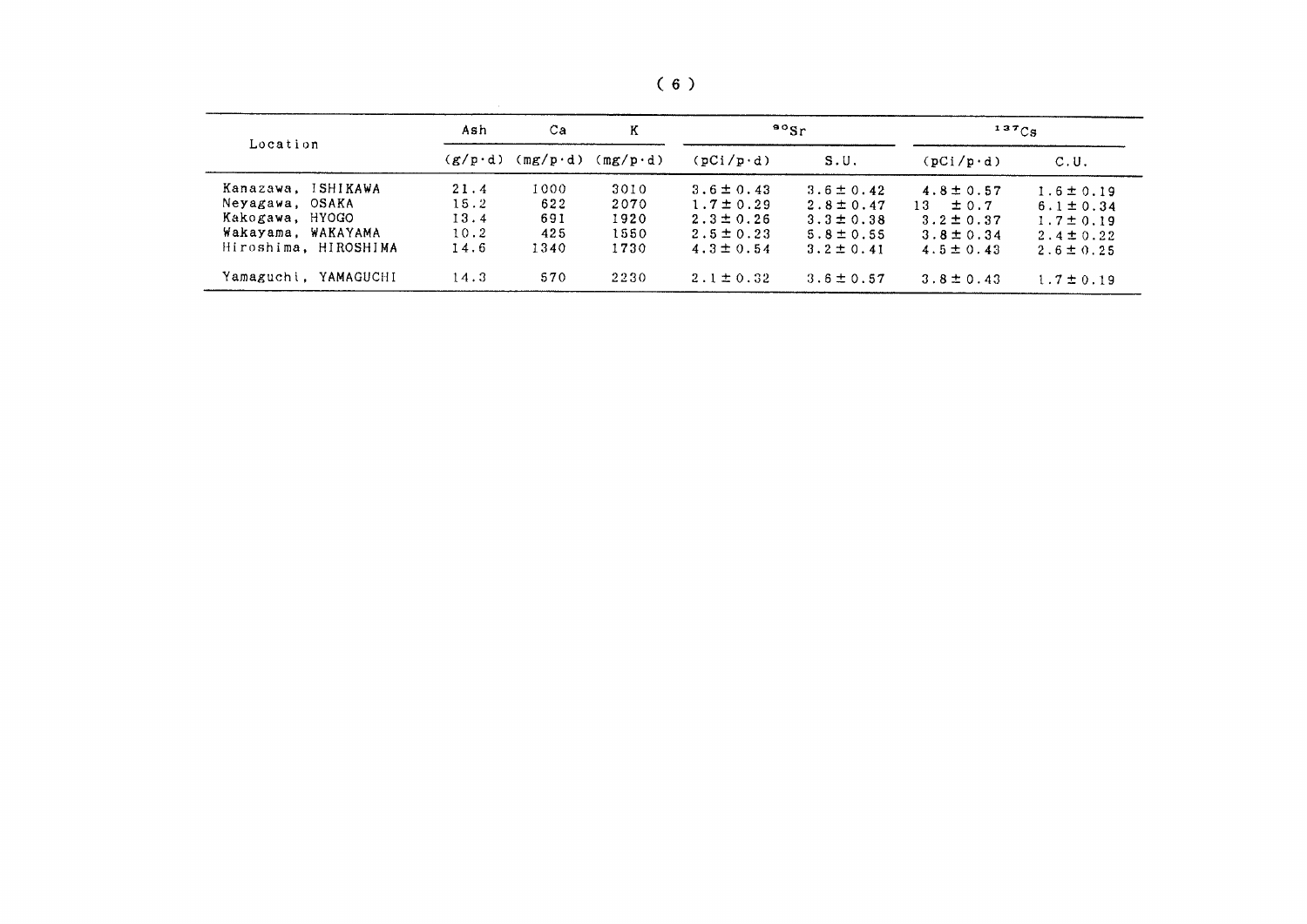| Location                | Ash             | Ca               | Κ<br>$(mg/p \cdot d)$ | $80$ Sr           |                | $137C_S$          |                |
|-------------------------|-----------------|------------------|-----------------------|-------------------|----------------|-------------------|----------------|
|                         | $(g/p \cdot d)$ | $(mg/p \cdot d)$ |                       | $(pCi/p \cdot d)$ | S.U.           | $(pCi/p \cdot d)$ | C.U.           |
| ISHIKAWA<br>Kanazawa.   | 21.4            | 1000             | 3010                  | $3.6 \pm 0.43$    | $3.6 \pm 0.42$ | $4.8 \pm 0.57$    | $1.6 \pm 0.19$ |
| Neyagawa, OSAKA         | 15.2            | 622              | 2070                  | $1.7 \pm 0.29$    | $2.8 \pm 0.47$ | $13 \pm 0.7$      | $6.1 \pm 0.34$ |
| Kakogawa, HYOGO         | 13.4            | 691              | 1920                  | $2.3 \pm 0.26$    | $3.3 \pm 0.38$ | $3.2 \pm 0.37$    | $1.7 \pm 0.19$ |
| Wakayama, WAKAYAMA      | 10.2            | 425              | 1550                  | $2.5 \pm 0.23$    | $5.8 \pm 0.55$ | $3.8 \pm 0.34$    | $2.4 \pm 0.22$ |
| Hiroshima, HIROSHIMA    | 14.6            | 1340             | 1730                  | $4.3 \pm 0.54$    | $3.2 \pm 0.41$ | $4.5 \pm 0.43$    | $2.6 \pm 0.25$ |
| Yamaguchi.<br>YAMAGUCHI | 14.3            | 570              | 2230                  | $2.1 \pm 0.32$    | $3.6 \pm 0.57$ | $3.8 \pm 0.43$    | $1.7 \pm 0.19$ |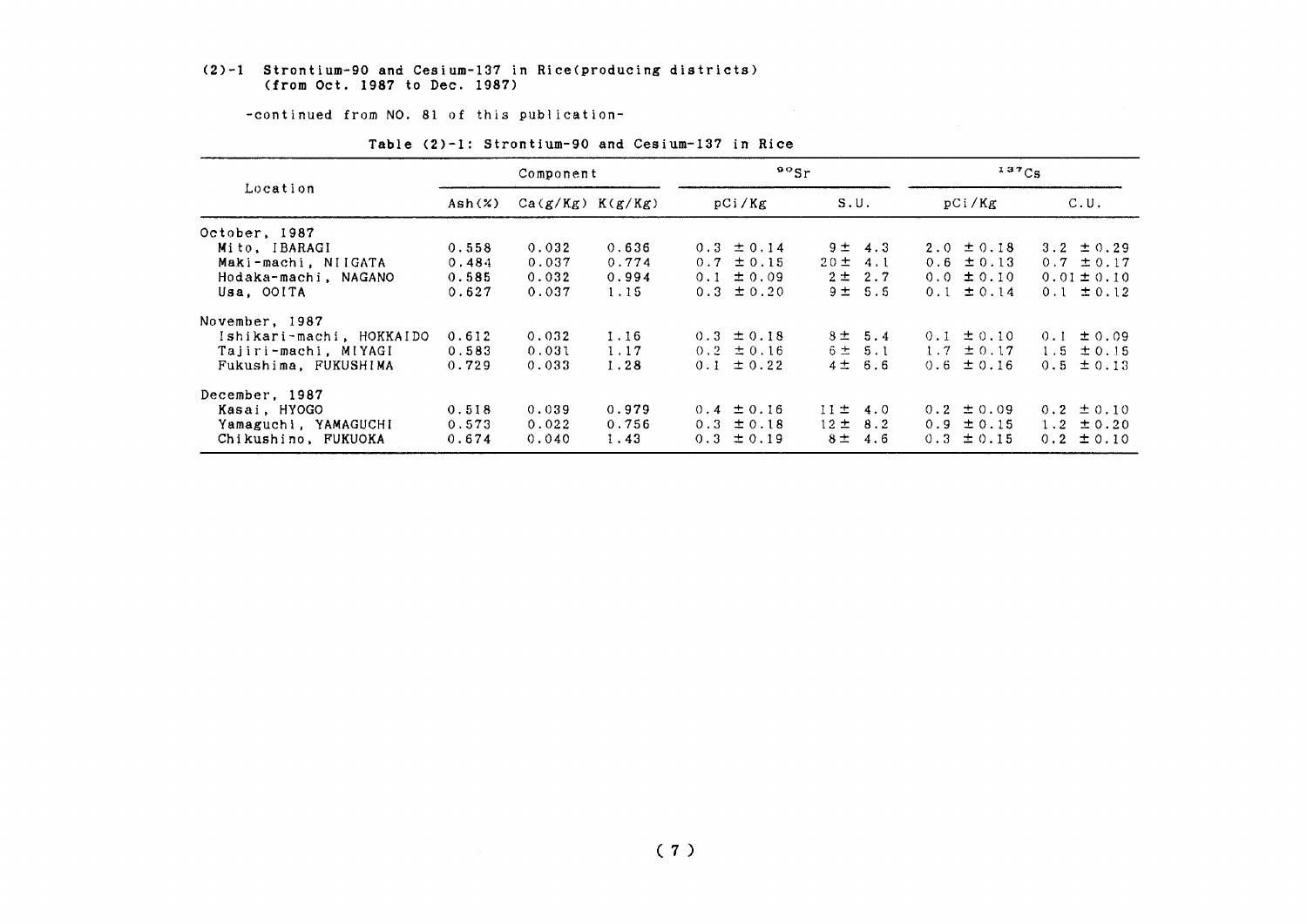#### (2)-1 Strontium-90 and Cesium-137 in Rice(producing districts) (from Oct. 1987 to Dec. 1987)

-continued from NO. 81 of this publication-

|                          | Component |                      |       | $^{90}$ Sr     |                | 137Cg          |                 |
|--------------------------|-----------|----------------------|-------|----------------|----------------|----------------|-----------------|
| Location                 | Ash(x)    | $Ca(g/Kg)$ $K(g/Kg)$ |       | pCi/Kg         | S.U.           | pCi/Kg         | C.U.            |
| October, 1987            |           |                      |       |                |                |                |                 |
| Mito, IBARAGI            | 0.558     | 0.032                | 0.636 | $0.3 \pm 0.14$ | $9 \pm 4.3$    | $2.0 \pm 0.18$ | 3.2 $\pm$ 0.29  |
| Maki-machi, NIIGATA      | 0.484     | 0.037                | 0.774 | $0.7 \pm 0.15$ | $20 \pm 4.1$   | $0.6 \pm 0.13$ | $0.7 \pm 0.17$  |
| Hodaka-machi, NAGANO     | 0.585     | 0.032                | 0.994 | $0.1 \pm 0.09$ | $2 \pm 2.7$    | $0.0 \pm 0.10$ | $0.01 \pm 0.10$ |
| Usa. OOITA               | 0.627     | 0.037                | 1.15  | $0.3 \pm 0.20$ | 9 ± 5.5        | $0.1 \pm 0.14$ | $0.1 \pm 0.12$  |
| November, 1987           |           |                      |       |                |                |                |                 |
| Ishikari-machi, HOKKAIDO | 0.612     | 0.032                | 1.16  | $0.3 \pm 0.18$ | $8 = 5.4$      | $0.1 \pm 0.10$ | ± 0.09<br>0.1   |
| Tajiri-machi, MIYAGI     | 0.583     | 0.031                | 1.17  | $0.2 \pm 0.16$ | 6 ± 5.1        | $1.7 \pm 0.17$ | $1.5 \pm 0.15$  |
| Fukushima, FUKUSHIMA     | 0.729     | 0.033                | 1.28  | $0.1 \pm 0.22$ | 4 ± 6.6        | $0.6 \pm 0.16$ | $0.5 \pm 0.13$  |
| December, 1987           |           |                      |       |                |                |                |                 |
| Kasai, HYOGO             | 0.518     | 0.039                | 0.979 | $0.4 \pm 0.16$ | $11 \pm 4.0$   | $0.2 \pm 0.09$ | $0.2 \pm 0.10$  |
| Yamaguchi, YAMAGUCHI     | 0.573     | 0.022                | 0.756 | $0.3 \pm 0.18$ | $12 \pm 8.2$   | $0.9 \pm 0.15$ | $1.2 \pm 0.20$  |
| Chikushino, FUKUOKA      | 0.674     | 0.040                | 1.43  | $0.3 \pm 0.19$ | $8 \pm$<br>4.6 | $0.3 \pm 0.15$ | $0.2 \pm 0.10$  |
|                          |           |                      |       |                |                |                |                 |

#### Table (2)-1: Strontium-90 and Cesium-137 in Rice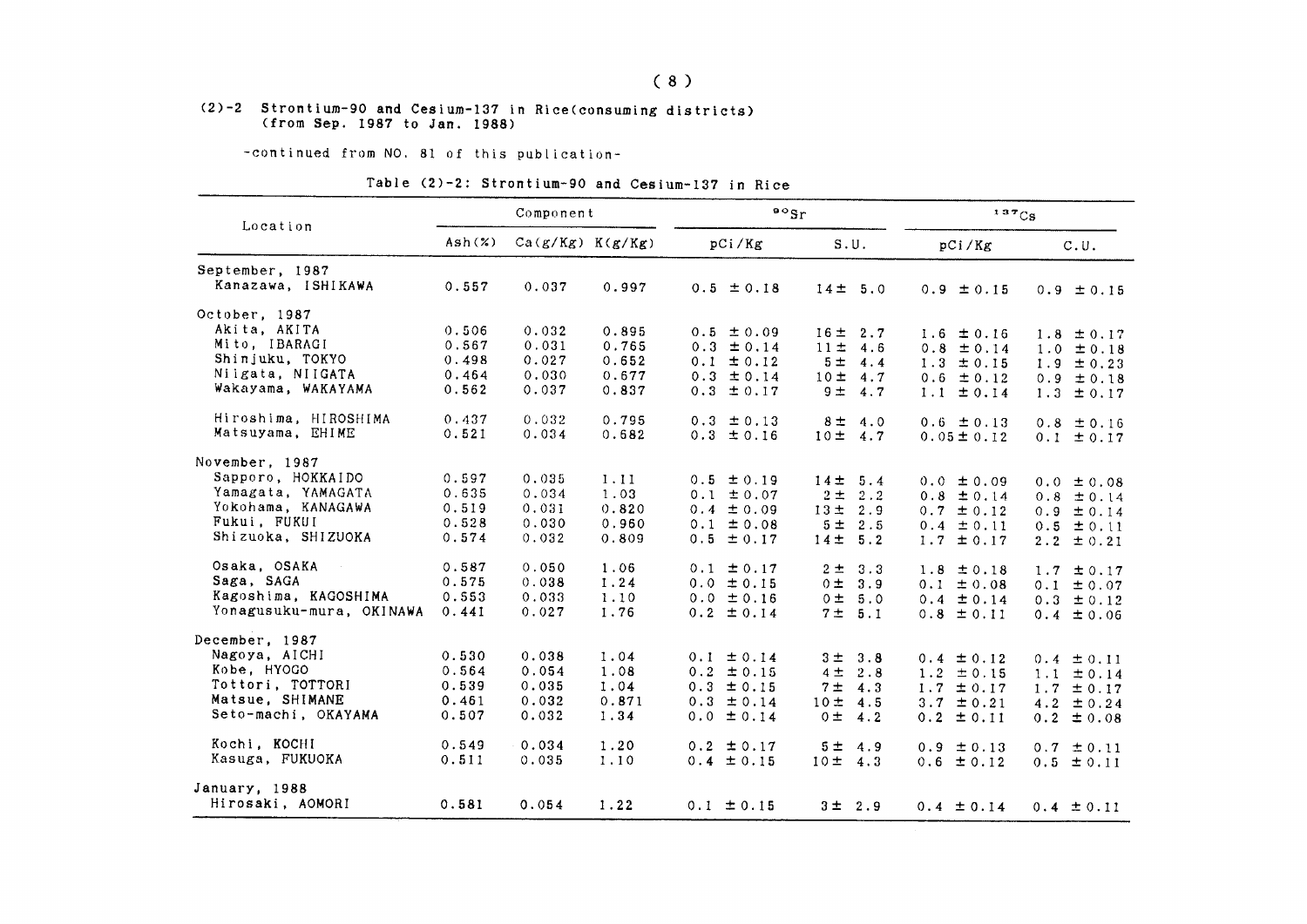### $(8)$

#### (2)-2 Strontium-90 and Cesium-137 in Rice(consuming districts) (from Sep. 1987 to Jan. 1988)

-continued from NO. 81 of this publication-

### Table (2)-2: Strontium-90 and Cesium-137 in Rice

| Location                 |        | Component            |       | $\mathfrak{so}_{\mathrm{Sr}}$ |                        | $137C_S$        |                |  |
|--------------------------|--------|----------------------|-------|-------------------------------|------------------------|-----------------|----------------|--|
|                          | Ash(x) | $Ca(g/Kg)$ $K(g/Kg)$ |       | pCi/Kg                        | S.U.                   | pCi/Kg          | C.U.           |  |
| September, 1987          |        |                      |       |                               |                        |                 |                |  |
| Kanazawa, ISHIKAWA       | 0.557  | 0.037                | 0.997 | $0.5 \pm 0.18$                | $14 \pm 5.0$           | $0.9 \pm 0.15$  | $0.9 \pm 0.15$ |  |
| October, 1987            |        |                      |       |                               |                        |                 |                |  |
| Akita, AKITA             | 0.506  | 0.032                | 0.895 | $0.5 \pm 0.09$                | $16 \pm 2.7$           | $1.6 \pm 0.16$  | $1.8 \pm 0.17$ |  |
| Mito, IBARAGI            | 0.567  | 0.031                | 0.765 | $0.3 \pm 0.14$                | $11 \pm$<br>4.6        | $0.8 \pm 0.14$  | $1.0 \pm 0.18$ |  |
| Shinjuku, TOKYO          | 0.498  | 0.027                | 0.652 | $0.1 \pm 0.12$                | 5 <sup>±</sup><br>4.4  | $1.3 \pm 0.15$  | $1.9 \pm 0.23$ |  |
| Niigata, NIIGATA         | 0.464  | 0.030                | 0.677 | $0.3 \pm 0.14$                | 10± 4.7                | $0.6 \pm 0.12$  | $0.9 \pm 0.18$ |  |
| Wakayama, WAKAYAMA       | 0.562  | 0.037                | 0.837 | $0.3 \pm 0.17$                | $9 =$<br>4.7           | ± 0.14<br>1.1   | $1.3 \pm 0.17$ |  |
| Hiroshima, HIROSHIMA     | 0.437  | 0.032                | 0.795 | $0.3 \pm 0.13$                | 8 <sub>±</sub><br>4.0  | $0.6 \pm 0.13$  | $0.8 \pm 0.16$ |  |
| Matsuyama, EHIME         | 0.521  | 0.034                | 0.682 | $0.3 \pm 0.16$                | 10±<br>4.7             | $0.05 \pm 0.12$ | $0.1 \pm 0.17$ |  |
| November, 1987           |        |                      |       |                               |                        |                 |                |  |
| Sapporo, HOKKAIDO        | 0.597  | 0.035                | 1.11  | $0.5 \pm 0.19$                | 14 <sup>±</sup><br>5.4 | $0.0 \pm 0.09$  | $0.0 \pm 0.08$ |  |
| Yamagata, YAMAGATA       | 0.635  | 0.034                | 1.03  | $0.1 \pm 0.07$                | $2 \pm$<br>2.2         | $0.8 \pm 0.14$  | $0.8 \pm 0.14$ |  |
| Yokohama, KANAGAWA       | 0.519  | 0.031                | 0.820 | $0.4 \pm 0.09$                | 13±<br>2.9             | $0.7 \pm 0.12$  | $0.9 \pm 0.14$ |  |
| Fukui, FUKUI             | 0.528  | 0.030                | 0.960 | $0.1 \pm 0.08$                | 5 ± 2.5                | $0.4 \pm 0.11$  | $0.5 \pm 0.11$ |  |
| Shizuoka, SHIZUOKA       | 0.574  | 0.032                | 0.809 | $0.5 \pm 0.17$                | $14 \pm 5.2$           | $1.7 \pm 0.17$  | $2.2 \pm 0.21$ |  |
| Osaka, OSAKA             | 0.587  | 0.050                | 1.06  | $0.1 \pm 0.17$                | 3.3<br>$2 \pm$         | $1.8 \pm 0.18$  | 1.7<br>± 0.17  |  |
| Saga, SAGA               | 0.575  | 0.038                | 1.24  | $0.0 \pm 0.15$                | 0 ±<br>3.9             | $0.1 \pm 0.08$  | $0.1 \pm 0.07$ |  |
| Kagoshima, KAGOSHIMA     | 0.553  | 0.033                | 1.10  | $0.0 \pm 0.16$                | 0 ± 5.0                | $0.4 \pm 0.14$  | $0.3 \pm 0.12$ |  |
| Yonagusuku-mura, OKINAWA | 0.441  | 0.027                | 1.76  | $0.2 \pm 0.14$                | 7 ±<br>5.1             | $0.8 \pm 0.11$  | $0.4 \pm 0.06$ |  |
| December, 1987           |        |                      |       |                               |                        |                 |                |  |
| Nagoya, AICHI            | 0.530  | 0.038                | 1.04  | $0.1 \pm 0.14$                | 3 ± 3.8                | $0.4 \pm 0.12$  | $0.4 \pm 0.11$ |  |
| Kobe, HYOGO              | 0.564  | 0.054                | 1.08  | $0.2 \pm 0.15$                | 4 <sup>±</sup><br>2.8  | $1.2 \pm 0.15$  | $1.1 \pm 0.14$ |  |
| Tottori, TOTTORI         | 0.539  | 0.035                | 1.04  | $0.3 \pm 0.15$                | 7 <sub>±</sub><br>4.3  | $1.7 \pm 0.17$  | $1.7 \pm 0.17$ |  |
| Matsue, SHIMANE          | 0.461  | 0.032                | 0.871 | $0.3 \pm 0.14$                | 10±<br>4.5             | 3.7 $\pm$ 0.21  | $4.2 \pm 0.24$ |  |
| Seto-machi, OKAYAMA      | 0.507  | 0.032                | 1.34  | $0.0 \pm 0.14$                | $0 \pm$<br>4.2         | $0.2 \pm 0.11$  | $0.2 \pm 0.08$ |  |
| Kochi, KOCHI             | 0.549  | 0.034                | 1.20  | $0.2 \pm 0.17$                | 5 <sub>±</sub><br>4.9  | $0.9 \pm 0.13$  | $0.7 \pm 0.11$ |  |
| Kasuga, FUKUOKA          | 0.511  | 0.035                | 1.10  | $0.4 \pm 0.15$                | 10±<br>4.3             | $0.6 \pm 0.12$  | $0.5 \pm 0.11$ |  |
| January, 1988            |        |                      |       |                               |                        |                 |                |  |
| Hirosaki, AOMORI         | 0.581  | 0.054                | 1.22  | $0.1 \pm 0.15$                | 3 ± 2.9                | $0.4 \pm 0.14$  | $0.4 \pm 0.11$ |  |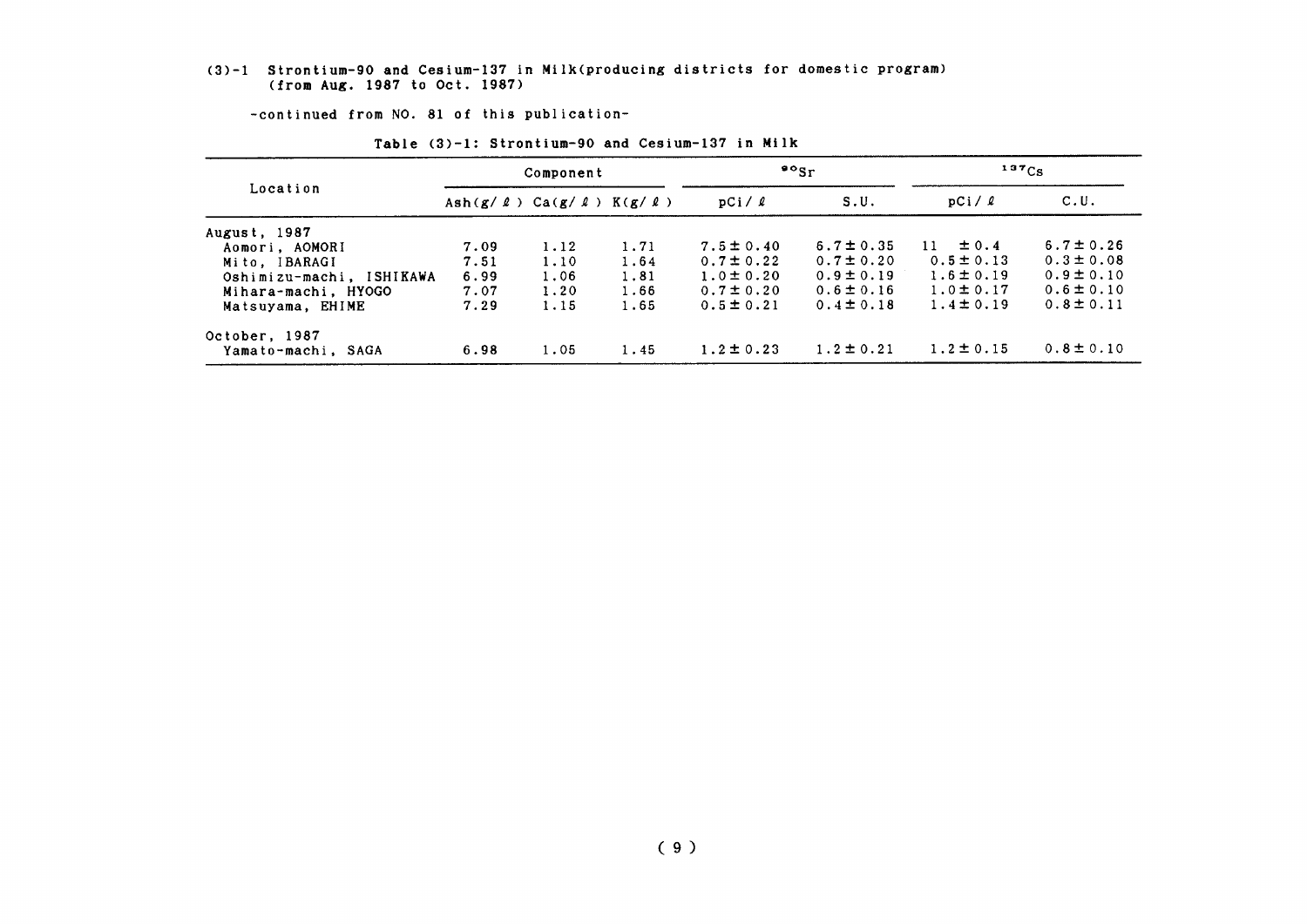#### (3)-1 Strontium-90 and Cesium-137 in Milk(producing districts for domestic program) (from Aug. 1987 to Oct. 1987)

-continued from NO. 81 of this publication-

|                          |                                                 | Component |      |                | $\mathbf{P}^{\circ}$ Sr | $137C_S$        |                |
|--------------------------|-------------------------------------------------|-----------|------|----------------|-------------------------|-----------------|----------------|
| Location                 | Ash $(g / \ell)$ Ca $(g / \ell)$ K $(g / \ell)$ |           |      | pCi/2          | S.U.                    | pCi/2           | C.U.           |
| August, 1987             |                                                 |           |      |                |                         |                 |                |
| Aomori, AOMORI           | 7.09                                            | 1.12      | 1.71 | $7.5 \pm 0.40$ | $6.7 \pm 0.35$          | $\pm$ 0.4<br>11 | $6.7 \pm 0.26$ |
| Mito, IBARAGI            | 7.51                                            | 1.10      | 1.64 | $0.7 \pm 0.22$ | $0.7 \pm 0.20$          | $0.5 \pm 0.13$  | $0.3 \pm 0.08$ |
| Oshimizu-machi, ISHIKAWA | 6.99                                            | 1.06      | 1.81 | $1.0 \pm 0.20$ | $0.9 \pm 0.19$          | $1.6 \pm 0.19$  | $0.9 \pm 0.10$ |
| Mihara-machi, HYOGO      | 7.07                                            | 1.20      | 1.66 | $0.7 \pm 0.20$ | $0.6 \pm 0.16$          | $1.0 \pm 0.17$  | $0.6 \pm 0.10$ |
| Matsuyama, EHIME         | 7.29                                            | 1.15      | 1.65 | $0.5 \pm 0.21$ | $0.4 \pm 0.18$          | $1.4 \pm 0.19$  | $0.8 \pm 0.11$ |
| October, 1987            |                                                 |           |      |                |                         |                 |                |
| Yamato-machi, SAGA       | 6.98                                            | 1.05      | 1.45 | $1.2 \pm 0.23$ | $1.2 \pm 0.21$          | $1.2 \pm 0.15$  | $0.8 \pm 0.10$ |

#### Table (3)-1: Strontium-90 and Cesium-137 in Milk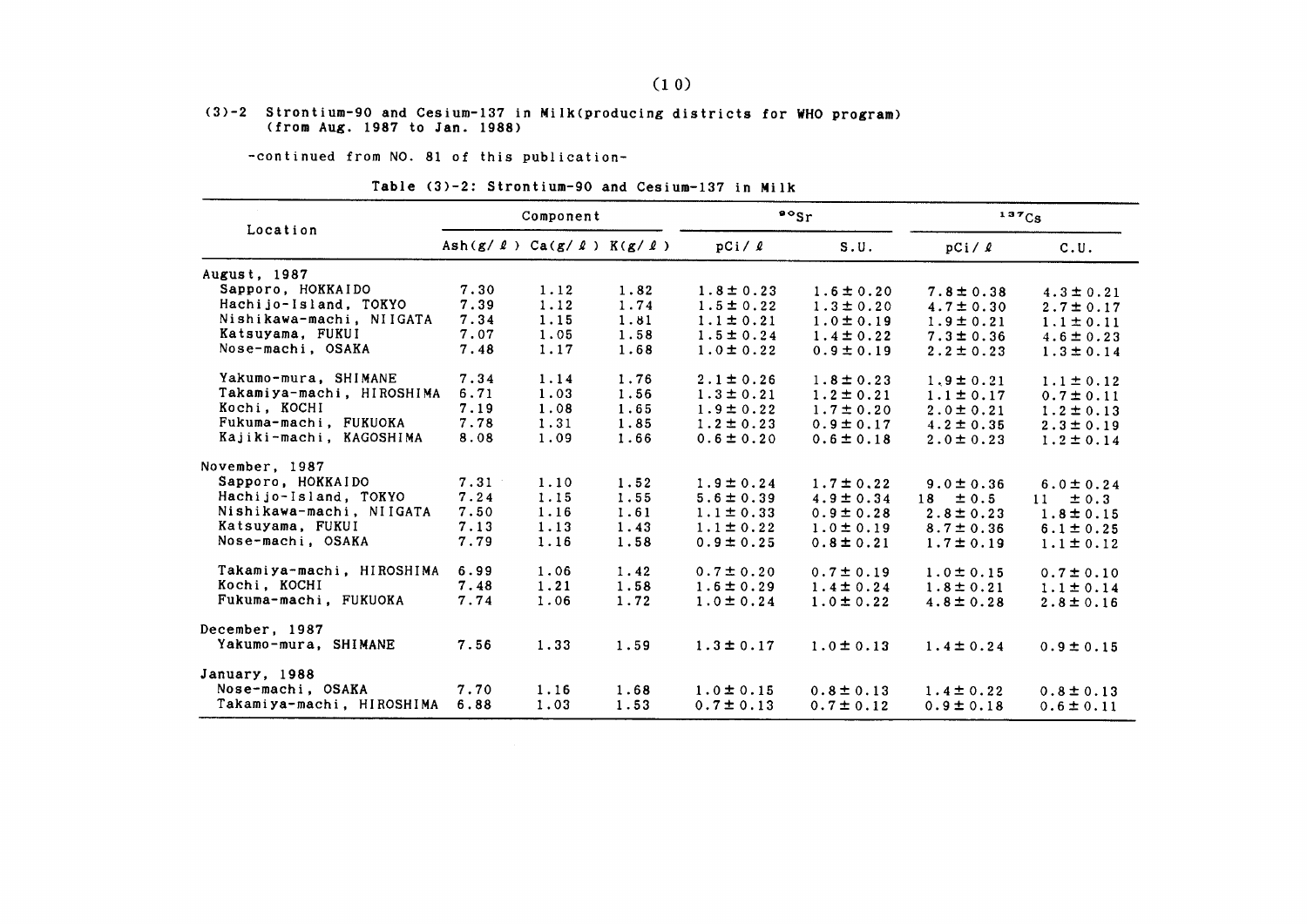#### (3)-2 Strontium-90 and Cesium-137 in Milk(producing districts for WHO program) (from Aug. 1987 to Jan. 1988)

-continued from NO. 81 of this publication-

#### Table (3)-2: Strontium-90 and Cesium-137 in Milk

|                           |                                                 | Component |      |                | $\frac{80}{5}$ | 137Cs          |                 |
|---------------------------|-------------------------------------------------|-----------|------|----------------|----------------|----------------|-----------------|
| Location                  | Ash $(g / \ell)$ Ca $(g / \ell)$ K $(g / \ell)$ |           |      | pCi/2          | S.U.           | pCi / l        | C.U.            |
| August, 1987              |                                                 |           |      |                |                |                |                 |
| Sapporo, HOKKAIDO         | 7.30                                            | 1.12      | 1.82 | $1.8 \pm 0.23$ | $1.6 \pm 0.20$ | $7.8 \pm 0.38$ | $4.3 \pm 0.21$  |
| Hachijo-Island, TOKYO     | 7.39                                            | 1.12      | 1.74 | $1.5 \pm 0.22$ | $1.3 \pm 0.20$ | $4.7 \pm 0.30$ | $2.7 \pm 0.17$  |
| Nishikawa-machi, NIIGATA  | 7.34                                            | 1.15      | 1.81 | $1.1 \pm 0.21$ | $1.0 \pm 0.19$ | $1.9 \pm 0.21$ | $1.1 \pm 0.11$  |
| Katsuyama, FUKUI          | 7.07                                            | 1.05      | 1.58 | $1.5 \pm 0.24$ | $1.4 \pm 0.22$ | $7.3 \pm 0.36$ | $4.6 \pm 0.23$  |
| Nose-machi, OSAKA         | 7.48                                            | 1.17      | 1.68 | $1.0 \pm 0.22$ | $0.9 \pm 0.19$ | $2.2 \pm 0.23$ | $1.3 \pm 0.14$  |
| Yakumo-mura, SHIMANE      | 7.34                                            | 1.14      | 1.76 | $2.1 \pm 0.26$ | $1.8 \pm 0.23$ | $1.9 \pm 0.21$ | $1.1 \pm 0.12$  |
| Takamiya-machi, HIROSHIMA | 6.71                                            | 1.03      | 1.56 | $1.3 \pm 0.21$ | $1.2 \pm 0.21$ | $1.1 \pm 0.17$ | $0.7 \pm 0.11$  |
| Kochi, KOCHI              | 7.19                                            | 1.08      | 1.65 | $1.9 \pm 0.22$ | $1.7 \pm 0.20$ | $2.0 \pm 0.21$ | $1.2 \pm 0.13$  |
| Fukuma-machi, FUKUOKA     | 7.78                                            | 1.31      | 1.85 | $1.2 \pm 0.23$ | $0.9 \pm 0.17$ | $4.2 \pm 0.35$ | $2.3 \pm 0.19$  |
| Kajiki-machi, KAGOSHIMA   | 8.08                                            | 1.09      | 1.66 | $0.6 \pm 0.20$ | $0.6 \pm 0.18$ | $2.0 \pm 0.23$ | $1.2 \pm 0.14$  |
| November, 1987            |                                                 |           |      |                |                |                |                 |
| Sapporo, HOKKAIDO         | 7.31                                            | 1.10      | 1.52 | $1.9 \pm 0.24$ | $1.7 \pm 0.22$ | $9.0 \pm 0.36$ | $6.0 \pm 0.24$  |
| Hachijo-Island, TOKYO     | 7.24                                            | 1.15      | 1.55 | $5.6 \pm 0.39$ | $4.9 \pm 0.34$ | $18 \pm 0.5$   | 11<br>$\pm$ 0.3 |
| Nishikawa-machi, NIIGATA  | 7.50                                            | 1.16      | 1.61 | $1.1 \pm 0.33$ | $0.9 \pm 0.28$ | $2.8 \pm 0.23$ | $1.8 \pm 0.15$  |
| Katsuyama, FUKUI          | 7.13                                            | 1.13      | 1.43 | $1.1 \pm 0.22$ | $1.0 \pm 0.19$ | $8.7 \pm 0.36$ | $6.1 \pm 0.25$  |
| Nose-machi, OSAKA         | 7.79                                            | 1.16      | 1.58 | $0.9 \pm 0.25$ | $0.8 \pm 0.21$ | $1.7 \pm 0.19$ | $1.1 \pm 0.12$  |
| Takamiya-machi, HIROSHIMA | 6.99                                            | 1.06      | 1.42 | $0.7 \pm 0.20$ | $0.7 \pm 0.19$ | $1.0 \pm 0.15$ | $0.7 \pm 0.10$  |
| Kochi, KOCHI              | 7.48                                            | 1.21      | 1.58 | $1.6 \pm 0.29$ | $1.4 \pm 0.24$ | $1.8 \pm 0.21$ | $1.1 \pm 0.14$  |
| Fukuma-machi, FUKUOKA     | 7.74                                            | 1.06      | 1.72 | $1.0 \pm 0.24$ | $1.0 \pm 0.22$ | $4.8 \pm 0.28$ | $2.8 \pm 0.16$  |
| December, 1987            |                                                 |           |      |                |                |                |                 |
| Yakumo-mura, SHIMANE      | 7.56                                            | 1.33      | 1.59 | $1.3 \pm 0.17$ | $1.0 \pm 0.13$ | $1.4 \pm 0.24$ | $0.9 \pm 0.15$  |
| January, 1988             |                                                 |           |      |                |                |                |                 |
| Nose-machi, OSAKA         | 7.70                                            | 1.16      | 1.68 | $1.0 \pm 0.15$ | $0.8 \pm 0.13$ | $1.4 \pm 0.22$ | $0.8 \pm 0.13$  |
| Takamiya-machi, HIROSHIMA | 6.88                                            | 1.03      | 1.53 | $0.7 \pm 0.13$ | $0.7 \pm 0.12$ | $0.9 \pm 0.18$ | $0.6 \pm 0.11$  |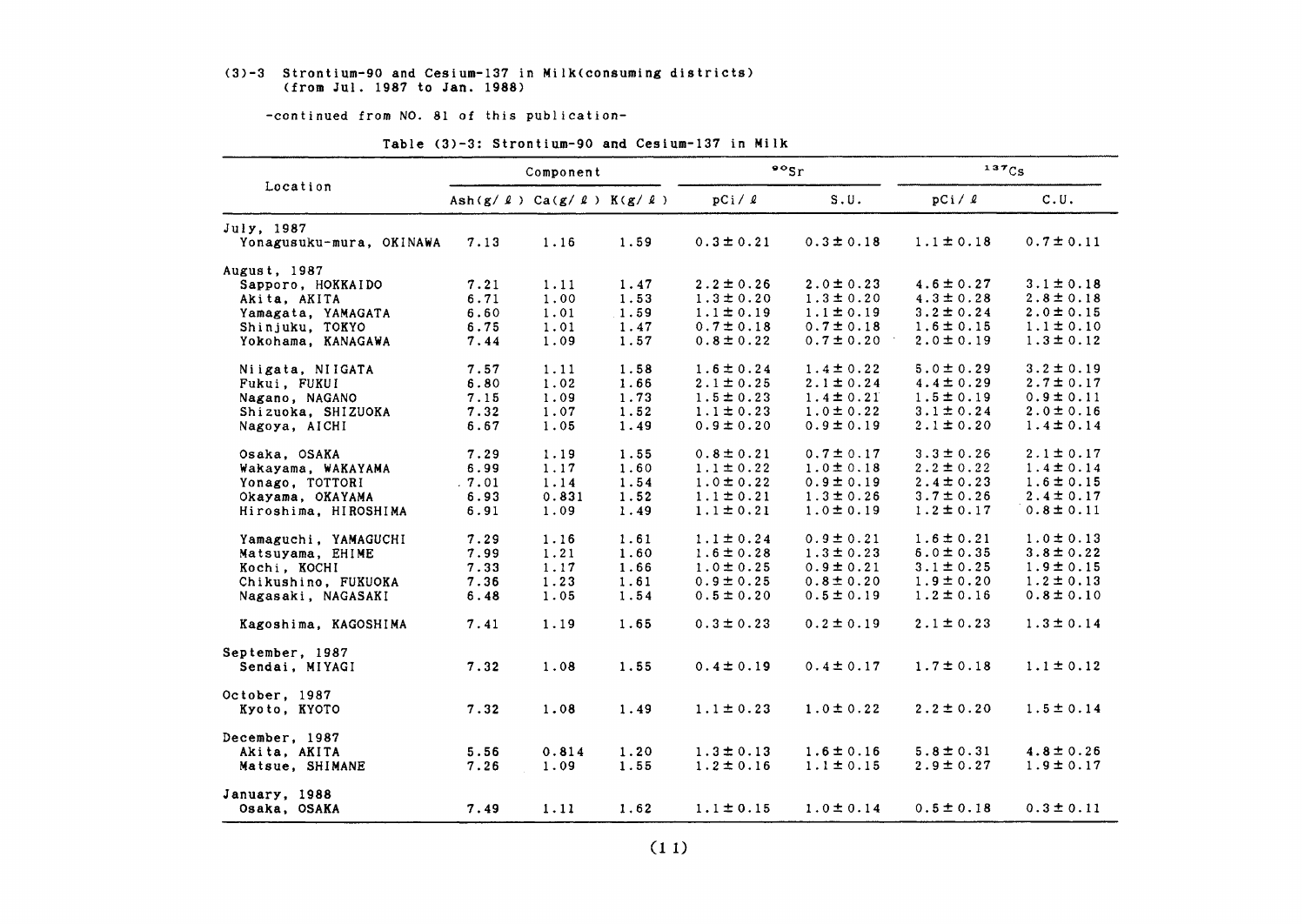#### (3)-3 Strontium-90 and Ce5iun-137in Milk(COnguming districts) (from Jul. 1987 to Jan. 1988)

-continued from NO. 81 of this publication-

|                          |       | Component                                       |      |                | $\frac{80}{5}$ | 137C <sub>S</sub> |                |  |
|--------------------------|-------|-------------------------------------------------|------|----------------|----------------|-------------------|----------------|--|
| Location                 |       | Ash $(g / \ell)$ Ca $(g / \ell)$ K $(g / \ell)$ |      | pCi/2          | S.U.           | pCi / <i>l</i>    | C.U.           |  |
| July, 1987               |       |                                                 |      |                |                |                   |                |  |
| Yonagusuku-mura, OKINAWA | 7.13  | 1.16                                            | 1.59 | $0.3 \pm 0.21$ | $0.3 \pm 0.18$ | $1.1 \pm 0.18$    | $0.7 \pm 0.11$ |  |
| August, 1987             |       |                                                 |      |                |                |                   |                |  |
| Sapporo, HOKKAIDO        | 7.21  | 1.11                                            | 1.47 | $2.2 \pm 0.26$ | $2.0 \pm 0.23$ | $4.6 \pm 0.27$    | $3.1 \pm 0.18$ |  |
| Akita, AKITA             | 6.71  | 1.00                                            | 1.53 | $1.3 \pm 0.20$ | $1.3 \pm 0.20$ | $4.3 \pm 0.28$    | $2.8 \pm 0.18$ |  |
| Yamagata, YAMAGATA       | 6.60  | 1.01                                            | 1.59 | $1.1 \pm 0.19$ | $1.1 \pm 0.19$ | $3.2 \pm 0.24$    | $2.0 \pm 0.15$ |  |
| Shinjuku, TOKYO          | 6.75  | 1.01                                            | 1.47 | $0.7 \pm 0.18$ | $0.7 \pm 0.18$ | $1.6 \pm 0.15$    | $1.1 \pm 0.10$ |  |
| Yokohama, KANAGAWA       | 7.44  | 1.09                                            | 1.57 | $0.8 \pm 0.22$ | $0.7 \pm 0.20$ | $2.0 \pm 0.19$    | $1.3 \pm 0.12$ |  |
| Niigata, NIIGATA         | 7.57  | 1.11                                            | 1.58 | $1.6 \pm 0.24$ | $1.4 \pm 0.22$ | $5.0 \pm 0.29$    | $3.2 \pm 0.19$ |  |
| Fukui, FUKUI             | 6.80  | 1.02                                            | 1.66 | $2.1 \pm 0.25$ | $2.1 \pm 0.24$ | $4.4 \pm 0.29$    | $2.7 \pm 0.17$ |  |
| Nagano, NAGANO           | 7.15  | 1.09                                            | 1.73 | $1.5 \pm 0.23$ | $1.4 \pm 0.21$ | $1.5 \pm 0.19$    | $0.9 \pm 0.11$ |  |
| Shizuoka, SHIZUOKA       | 7.32  | 1.07                                            | 1.52 | $1.1 \pm 0.23$ | $1.0 \pm 0.22$ | $3.1 \pm 0.24$    | $2.0 \pm 0.16$ |  |
| Nagoya, AICHI            | 6.67  | 1.05                                            | 1.49 | $0.9 \pm 0.20$ | $0.9 \pm 0.19$ | $2.1 \pm 0.20$    | $1.4 \pm 0.14$ |  |
| Osaka, OSAKA             | 7.29  | 1.19                                            | 1.55 | $0.8 \pm 0.21$ | $0.7 \pm 0.17$ | $3.3 \pm 0.26$    | $2.1 \pm 0.17$ |  |
| Wakayama, WAKAYAMA       | 6.99  | 1.17                                            | 1.60 | $1.1 \pm 0.22$ | $1.0 \pm 0.18$ | $2.2 \pm 0.22$    | $1.4 \pm 0.14$ |  |
| Yonago, TOTTORI          | .7.01 | 1.14                                            | 1.54 | $1.0 \pm 0.22$ | $0.9 \pm 0.19$ | $2.4 \pm 0.23$    | $1.6 \pm 0.15$ |  |
| Okayama, OKAYAMA         | 6.93  | 0.831                                           | 1.52 | $1.1 \pm 0.21$ | $1.3 \pm 0.26$ | $3.7 \pm 0.26$    | $2.4 \pm 0.17$ |  |
| Hiroshima, HIROSHIMA     | 6.91  | 1.09                                            | 1.49 | $1.1 \pm 0.21$ | $1.0 \pm 0.19$ | $1.2 \pm 0.17$    | $0.8 \pm 0.11$ |  |
| Yamaguchi, YAMAGUCHI     | 7.29  | 1.16                                            | 1.61 | $1.1 \pm 0.24$ | $0.9 \pm 0.21$ | $1.6 \pm 0.21$    | $1.0 \pm 0.13$ |  |
| Matsuyama, EHIME         | 7.99  | 1.21                                            | 1.60 | $1.6 \pm 0.28$ | $1.3 \pm 0.23$ | $6.0 \pm 0.35$    | $3.8 \pm 0.22$ |  |
| Kochi, KOCHI             | 7.33  | 1.17                                            | 1.66 | $1.0 \pm 0.25$ | $0.9 \pm 0.21$ | $3.1 \pm 0.25$    | $1.9 \pm 0.15$ |  |
| Chikushino, FUKUOKA      | 7.36  | 1.23                                            | 1.61 | $0.9 \pm 0.25$ | $0.8 \pm 0.20$ | $1.9 \pm 0.20$    | $1.2 \pm 0.13$ |  |
| Nagasaki, NAGASAKI       | 6.48  | 1.05                                            | 1.54 | $0.5 \pm 0.20$ | $0.5 \pm 0.19$ | $1.2 \pm 0.16$    | $0.8 \pm 0.10$ |  |
| Kagoshima, KAGOSHIMA     | 7.41  | 1.19                                            | 1.65 | $0.3 \pm 0.23$ | $0.2 \pm 0.19$ | $2.1 \pm 0.23$    | $1.3 \pm 0.14$ |  |
| September, 1987          |       |                                                 |      |                |                |                   |                |  |
| Sendai, MIYAGI           | 7.32  | 1.08                                            | 1.55 | $0.4 \pm 0.19$ | $0.4 \pm 0.17$ | $1.7 \pm 0.18$    | $1.1 \pm 0.12$ |  |
| October, 1987            |       |                                                 |      |                |                |                   |                |  |
| Kyoto, KYOTO             | 7.32  | 1.08                                            | 1.49 | $1.1 \pm 0.23$ | $1.0 \pm 0.22$ | $2.2 \pm 0.20$    | $1.5 \pm 0.14$ |  |
| December, 1987           |       |                                                 |      |                |                |                   |                |  |
| Akita, AKITA             | 5.56  | 0.814                                           | 1.20 | $1.3 \pm 0.13$ | $1.6 \pm 0.16$ | $5.8 \pm 0.31$    | $4.8 \pm 0.26$ |  |
| Matsue, SHIMANE          | 7.26  | 1.09                                            | 1.55 | $1.2 \pm 0.16$ | $1.1 \pm 0.15$ | $2.9 \pm 0.27$    | $1.9 \pm 0.17$ |  |
| January, 1988            |       |                                                 |      |                |                |                   |                |  |
| Osaka, OSAKA             | 7.49  | 1.11                                            | 1.62 | $1.1 \pm 0.15$ | $1.0 \pm 0.14$ | $0.5 \pm 0.18$    | $0.3 \pm 0.11$ |  |

#### Table (3)-3: Strontium-90 and Cesium-137 in Milk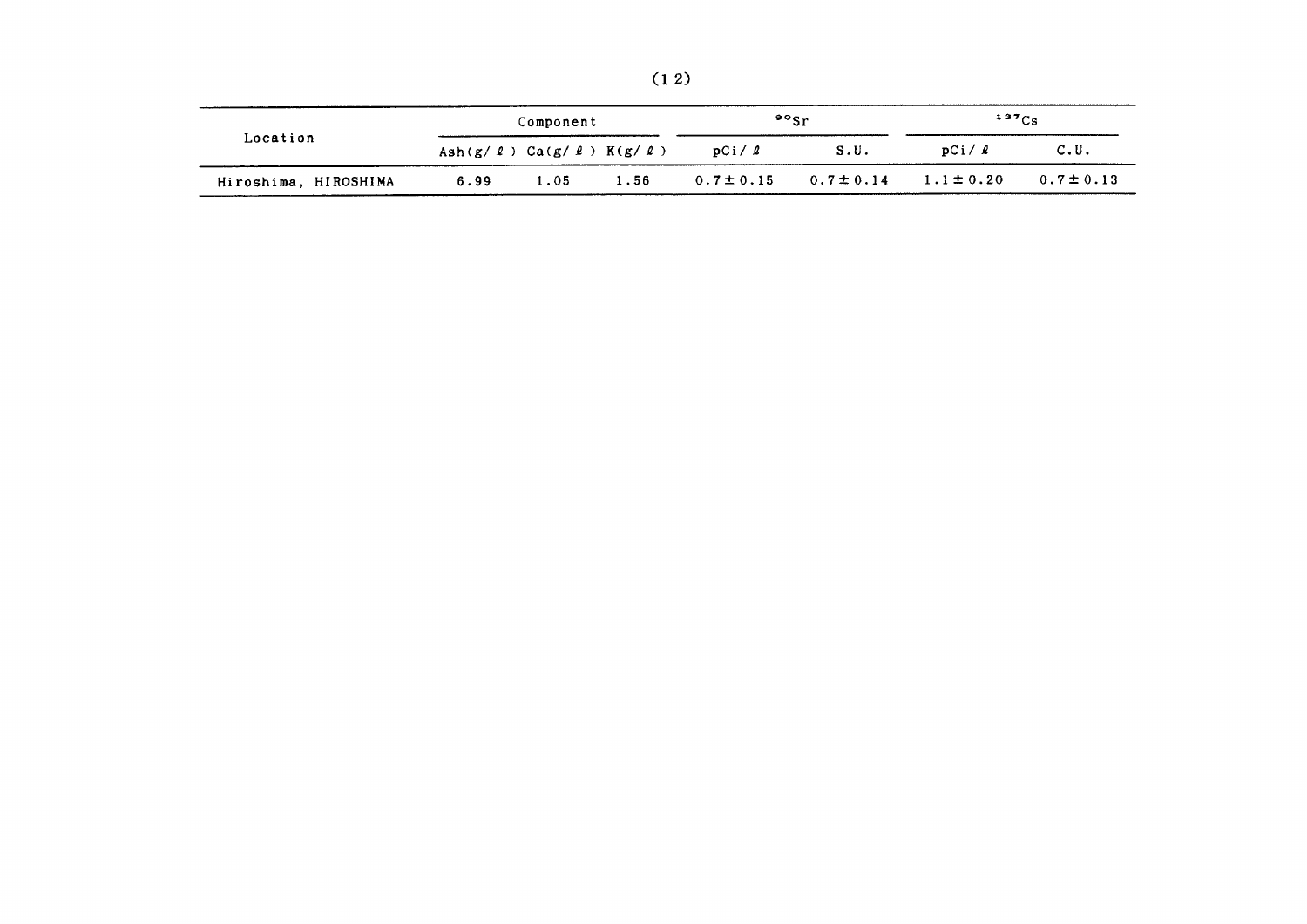|--|--|

|                      | Component |      |                                                 |                | $\cdot$ $\cdot$ $\cdot$ $\cdot$ | $137C_S$       |                |
|----------------------|-----------|------|-------------------------------------------------|----------------|---------------------------------|----------------|----------------|
| Location             |           |      | Ash $(g / \ell)$ Ca $(g / \ell)$ K $(g / \ell)$ | pCi/2          | S.U.                            | pCi/2          | C.U.           |
| Hiroshima, HIROSHIMA | 6.99      | 1.05 | 1.56                                            | $0.7 \pm 0.15$ | $0.7 \pm 0.14$                  | $1.1 \pm 0.20$ | $0.7 \pm 0.13$ |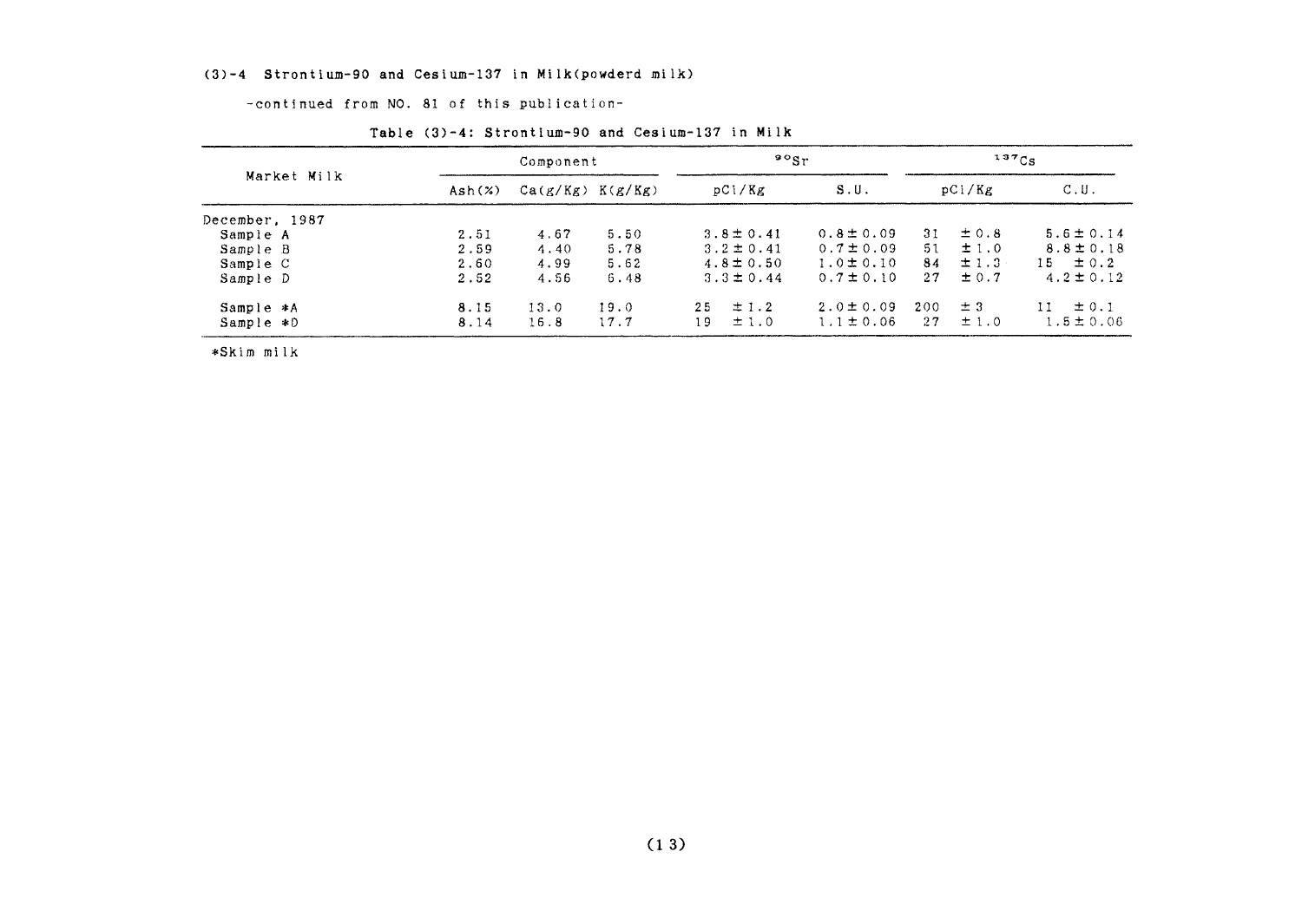#### (3)-4 Strontium-90 and Cesium-137 in Milk(powderd milk)

-continued from NO. 81 of this publication-

| Market Milk    |        | Component            |      |     | $90g_r$        |                |     | $137C_S$  |                  |
|----------------|--------|----------------------|------|-----|----------------|----------------|-----|-----------|------------------|
|                | Ash(x) | $Ca(g/Kg)$ $K(g/Kg)$ |      |     | pCi/Kg         | S.U.           |     | pCi/Kg    | C.U.             |
| December, 1987 |        |                      |      |     |                |                |     |           |                  |
| Sample A       | 2.51   | 4.67                 | 5.50 |     | $3.8 \pm 0.41$ | $0.8 \pm 0.09$ | 31. | $\pm$ 0.8 | $5.6 \pm 0.14$   |
| Sample B       | 2.59   | 4.40                 | 5.78 |     | $3.2 \pm 0.41$ | $0.7 \pm 0.09$ | 51  | ±1.0      | $8.8 \pm 0.18$   |
| Sample C       | 2.60   | 4.99                 | 5.62 |     | $4.8 \pm 0.50$ | $1.0 \pm 0.10$ | 84  | $\pm$ 1.3 | $15 \pm 0.2$     |
| Sample D       | 2.52   | 4.56                 | 6.48 |     | $3.3 \pm 0.44$ | $0.7 \pm 0.10$ | 27  | $\pm 0.7$ | $4.2 \pm 0.12$   |
| Sample *A      | 8.15   | 13.0                 | 19.0 | 2.5 | $\pm$ 1.2      | $2.0 \pm 0.09$ | 200 | $\pm$ 3   | $\pm$ 0.1<br>11. |
| Sample *D      | 8.14   | 16.8                 | 17.7 | 19. | ±1.0           | $1.1 \pm 0.06$ | 27  | $\pm 1.0$ | $1.5 \pm 0.06$   |

#### Table (3)-4: Strontium-90 and Cesium-137 in Milk

\*Skim milk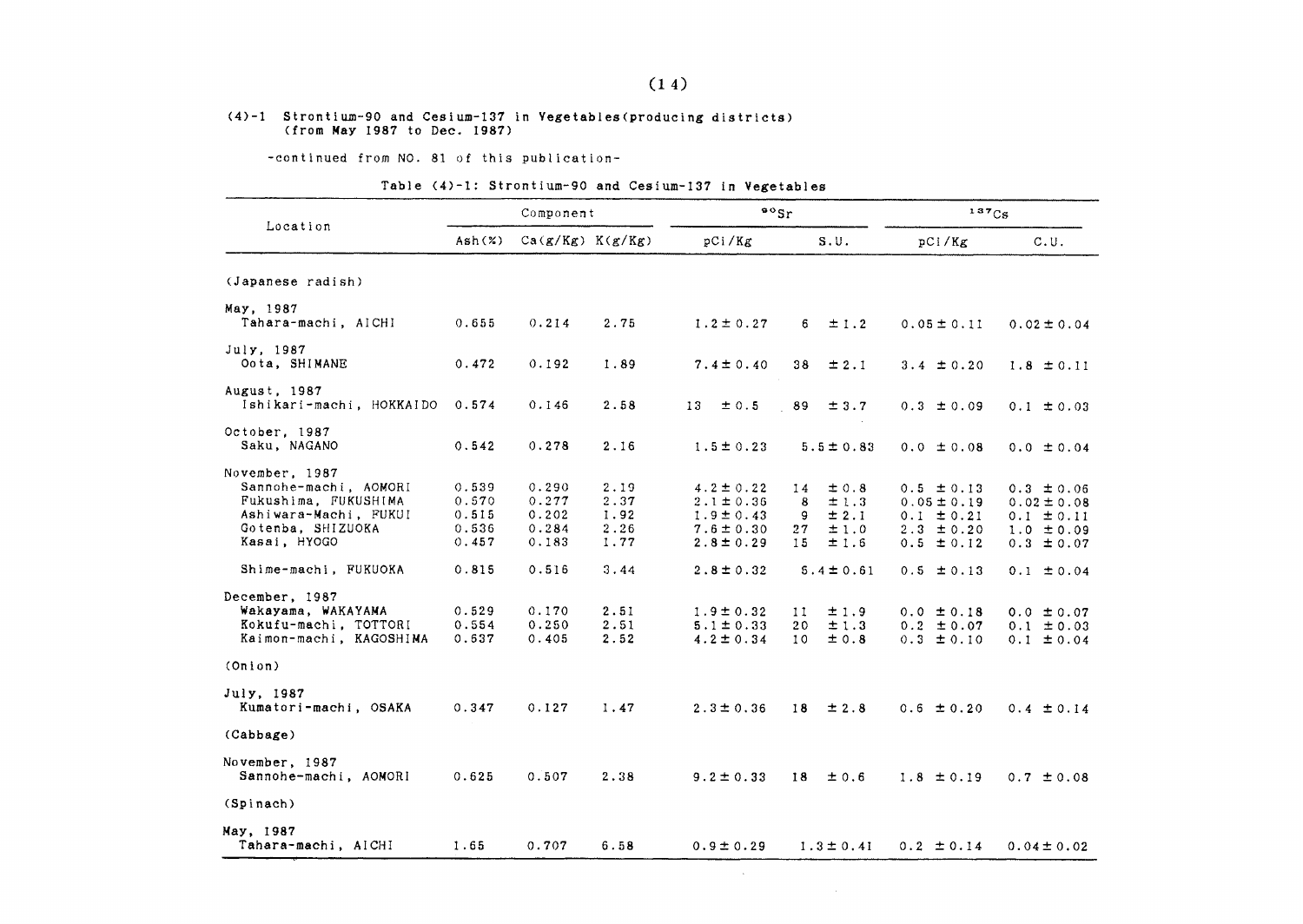## (4)-1 Strontium-90 and Cesium-137 in Vegetables (producing districts)<br>(from May 1987 to Dec. 1987)

-continued from NO. 81 of this publication-

#### Table (4)-1: Strontium-90 and Cesium-137 in Vegetables

|                                                                                                                                                       |                                                    | Component                                          |                                              | $\frac{80}{5}$                                                                                           |                                                                                          | 137Cs                                                                                                     |                                                                                                           |
|-------------------------------------------------------------------------------------------------------------------------------------------------------|----------------------------------------------------|----------------------------------------------------|----------------------------------------------|----------------------------------------------------------------------------------------------------------|------------------------------------------------------------------------------------------|-----------------------------------------------------------------------------------------------------------|-----------------------------------------------------------------------------------------------------------|
| Location                                                                                                                                              | Ash(x)                                             | $Ca(g/Kg)$ $K(g/Kg)$                               |                                              | pCi/Kg                                                                                                   | S.U.                                                                                     | pCi/Kg                                                                                                    | C.U.                                                                                                      |
| (Japanese radish)                                                                                                                                     |                                                    |                                                    |                                              |                                                                                                          |                                                                                          |                                                                                                           |                                                                                                           |
| May, 1987<br>Tahara-machi, AICHI                                                                                                                      | 0.655                                              | 0.214                                              | 2.75                                         | $1.2 \pm 0.27$                                                                                           | 6.<br>$\pm$ 1.2                                                                          | $0.05 \pm 0.11$                                                                                           | $0.02 \pm 0.04$                                                                                           |
| July, 1987<br>Oota, SHIMANE                                                                                                                           | 0.472                                              | 0.192                                              | 1.89                                         | $7.4 \pm 0.40$                                                                                           | 38<br>± 2.1                                                                              | $3.4 \pm 0.20$                                                                                            | $1.8 \pm 0.11$                                                                                            |
| August, 1987<br>Ishikari-machi, HOKKAIDO                                                                                                              | 0.574                                              | 0.146                                              | 2.58                                         | ±0.5<br>13.                                                                                              | 89<br>± 3.7                                                                              | $0.3 \pm 0.09$                                                                                            | $0.1 \pm 0.03$                                                                                            |
| October, 1987<br>Saku, NAGANO                                                                                                                         | 0.542                                              | 0.278                                              | 2.16                                         | $1.5 \pm 0.23$                                                                                           | $5.5 \pm 0.83$                                                                           | $0.0 \pm 0.08$                                                                                            | $0.0 \pm 0.04$                                                                                            |
| November, 1987<br>Sannohe-machi, AOMORI<br>Fukushima, FUKUSHIMA<br>Ashiwara-Machi, FUKUI<br>Gotenba. SHIZUOKA<br>Kasai, HYOGO<br>Shime-machi, FUKUOKA | 0.539<br>0.570<br>0.515<br>0.536<br>0.457<br>0.815 | 0.290<br>0.277<br>0.202<br>0.284<br>0.183<br>0.516 | 2.19<br>2.37<br>1.92<br>2.26<br>1.77<br>3.44 | $4.2 \pm 0.22$<br>$2.1 \pm 0.36$<br>$1.9 \pm 0.43$<br>$7.6 \pm 0.30$<br>$2.8 \pm 0.29$<br>$2.8 \pm 0.32$ | $\pm 0.8$<br>14<br>8<br>±1.3<br>± 2.1<br>9<br>±1.0<br>27<br>15<br>±1.6<br>$5.4 \pm 0.61$ | $0.5 \pm 0.13$<br>$0.05 \pm 0.19$<br>$0.1 \pm 0.21$<br>$2.3 \pm 0.20$<br>$0.5 \pm 0.12$<br>$0.5 \pm 0.13$ | $0.3 \pm 0.06$<br>$0.02 \pm 0.08$<br>$0.1 \pm 0.11$<br>$1.0 \pm 0.09$<br>$0.3 \pm 0.07$<br>$0.1 \pm 0.04$ |
| December, 1987<br>Wakayama, WAKAYAMA<br>Kokufu-machi, TOTTORI<br>Kaimon-machi, KAGOSHIMA                                                              | 0.529<br>0.554<br>0.637                            | 0.170<br>0.250<br>0.405                            | 2.51<br>2.51<br>2.52                         | $1.9 \pm 0.32$<br>$5.1 \pm 0.33$<br>$4.2 \pm 0.34$                                                       | ±1.9<br>11<br>±1.3<br>20<br>10<br>±0.8                                                   | $0.0 \pm 0.18$<br>$0.2 \pm 0.07$<br>$0.3 \pm 0.10$                                                        | $0.0 \pm 0.07$<br>$0.1 \pm 0.03$<br>$0.1 \pm 0.04$                                                        |
| (Onion)                                                                                                                                               |                                                    |                                                    |                                              |                                                                                                          |                                                                                          |                                                                                                           |                                                                                                           |
| July, 1987<br>Kumatori-machi, OSAKA                                                                                                                   | 0.347                                              | 0.127                                              | 1.47                                         | $2.3 \pm 0.36$                                                                                           | $\pm 2.8$<br>18                                                                          | $0.6 \pm 0.20$                                                                                            | $0.4 \pm 0.14$                                                                                            |
| (Cabbage)                                                                                                                                             |                                                    |                                                    |                                              |                                                                                                          |                                                                                          |                                                                                                           |                                                                                                           |
| November, 1987<br>Sannohe-machi, AOMORI                                                                                                               | 0.625                                              | 0.507                                              | 2.38                                         | $9.2 \pm 0.33$                                                                                           | ± 0.6<br>18                                                                              | $1.8 \pm 0.19$                                                                                            | $0.7 \pm 0.08$                                                                                            |
| (Spinach)                                                                                                                                             |                                                    |                                                    |                                              |                                                                                                          |                                                                                          |                                                                                                           |                                                                                                           |
| May, 1987<br>Tahara-machi, AICHI                                                                                                                      | 1.65                                               | 0.707                                              | 6.58                                         | $0.9 \pm 0.29$                                                                                           | $1.3 \pm 0.41$                                                                           | $0.2 \pm 0.14$                                                                                            | $0.04 \pm 0.02$                                                                                           |

 $\sim$ 

 $\mathcal{L}$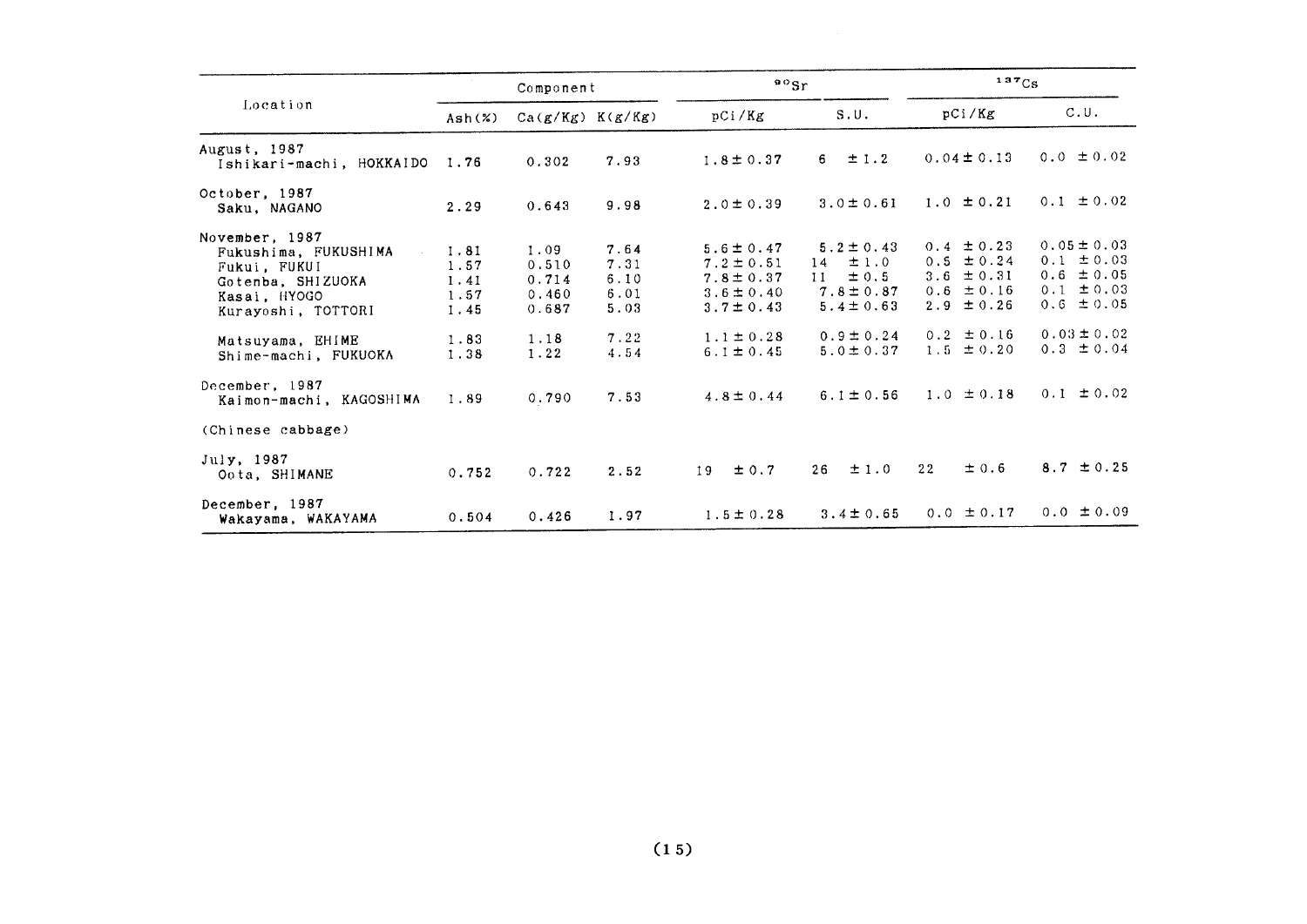|                                                                                                                                                                                 |                                                      | Component                                                |                                                      | $^{90}$ Sr                                                                                                                 |                                                                                                                         | 137Cs                                                                                                                      |                                                                                                                              |
|---------------------------------------------------------------------------------------------------------------------------------------------------------------------------------|------------------------------------------------------|----------------------------------------------------------|------------------------------------------------------|----------------------------------------------------------------------------------------------------------------------------|-------------------------------------------------------------------------------------------------------------------------|----------------------------------------------------------------------------------------------------------------------------|------------------------------------------------------------------------------------------------------------------------------|
| Location                                                                                                                                                                        | Ash(X)                                               | $Ca(g/Kg)$ $K(g/Kg)$                                     |                                                      | pCi/Kg                                                                                                                     | S.U.                                                                                                                    | pCi/Kg                                                                                                                     | C.U.                                                                                                                         |
| August, 1987<br>Ishikari-machi, HOKKAIDO                                                                                                                                        | 1.76                                                 | 0.302                                                    | 7.93                                                 | $1.8 \pm 0.37$                                                                                                             | $\pm$ 1.2<br>6.                                                                                                         | $0.04 \pm 0.13$                                                                                                            | $0.0 \pm 0.02$                                                                                                               |
| October, 1987<br>Saku, NAGANO                                                                                                                                                   | 2.29                                                 | 0.643                                                    | 9.98                                                 | $2.0 \pm 0.39$                                                                                                             | $3.0 \pm 0.61$                                                                                                          | $1.0 \pm 0.21$                                                                                                             | $0.1 \pm 0.02$                                                                                                               |
| November, 1987<br>Fukushima, FUKUSHIMA<br>Fukui. FUKUI<br>Gotenba, SHIZUOKA<br>Kasai, HYOGO<br>Kurayoshi, TOTTORI<br>Matsuyama, EHIME<br>Shime-machi, FUKUOKA<br>December, 1987 | 1.81<br>1.57<br>1.41<br>1.57<br>1.45<br>1.83<br>1.38 | 1.09<br>0.510<br>0.714<br>0.460<br>0.687<br>1.18<br>1.22 | 7.64<br>7.31<br>6.10<br>6.01<br>5.03<br>7.22<br>4.54 | $5.6 \pm 0.47$<br>$7.2 \pm 0.51$<br>$7.8 \pm 0.37$<br>$3.6 \pm 0.40$<br>$3.7 \pm 0.43$<br>$1.1 \pm 0.28$<br>$6.1 \pm 0.45$ | $5.2 \pm 0.43$<br>±1.0<br>14<br>$\pm$ 0.5<br>11<br>$7.8 \pm 0.87$<br>$5.4 \pm 0.63$<br>$0.9 \pm 0.24$<br>$5.0 \pm 0.37$ | $0.4 \pm 0.23$<br>$0.5 \pm 0.24$<br>3.6 $\pm$ 0.31<br>$0.6 \pm 0.16$<br>$2.9 \pm 0.26$<br>$0.2 \pm 0.16$<br>$1.5 \pm 0.20$ | $0.05 \pm 0.03$<br>$0.1 \pm 0.03$<br>$0.6 \pm 0.05$<br>$0.1 \pm 0.03$<br>$0.6 \pm 0.05$<br>$0.03 \pm 0.02$<br>$0.3 \pm 0.04$ |
| Kaimon-machi, KAGOSHIMA                                                                                                                                                         | 1.89                                                 | 0.790                                                    | 7.53                                                 | $4.8 \pm 0.44$                                                                                                             | $6.1 \pm 0.56$                                                                                                          | $1.0 \pm 0.18$                                                                                                             | $0.1 \pm 0.02$                                                                                                               |
| (Chinese cabbage)                                                                                                                                                               |                                                      |                                                          |                                                      |                                                                                                                            |                                                                                                                         |                                                                                                                            |                                                                                                                              |
| July, 1987<br>Oota, SHIMANE                                                                                                                                                     | 0.752                                                | 0.722                                                    | 2.52                                                 | $\pm$ 0.7<br>19                                                                                                            | 26<br>±1.0                                                                                                              | $\pm$ 0.6<br>22                                                                                                            | $8.7 \pm 0.25$                                                                                                               |
| December, 1987<br>Wakayama, WAKAYAMA                                                                                                                                            | 0.504                                                | 0.426                                                    | 1.97                                                 | $1.5 \pm 0.28$                                                                                                             | $3.4 \pm 0.65$                                                                                                          | $0.0 \pm 0.17$                                                                                                             | $0.0 \pm 0.09$                                                                                                               |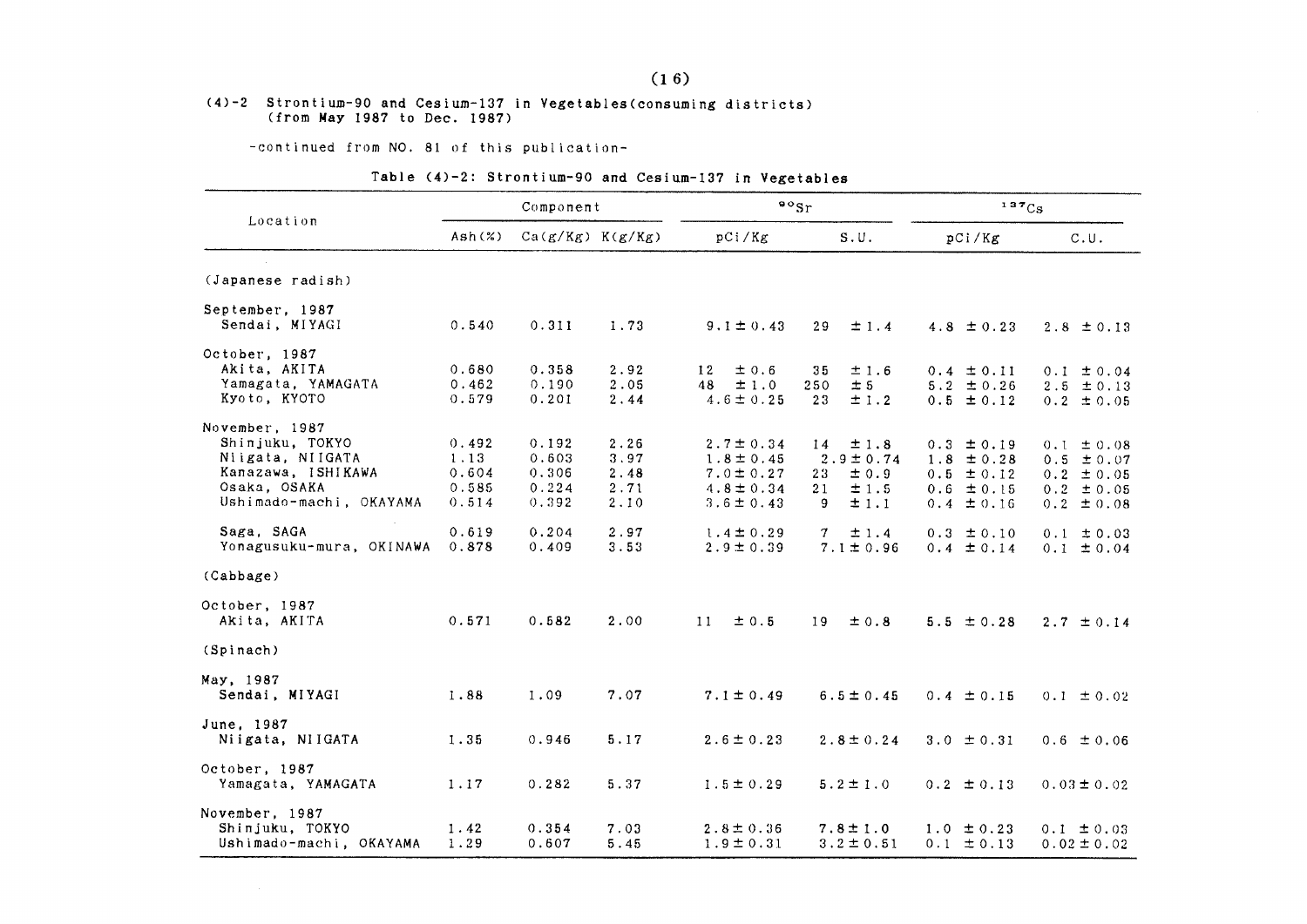#### (4)-2 Strontium-90 and Cesium-137 in Vegetables (consuming districts) (from May 1987 to Dec. 1987)

-continued from NO. 81 of this publication-

#### Table (4)-2: Strontium-90 and Cesium-137 in Vegetables

|                          |        | Component            |      |                | $\cdot \cdot$              | 137Cs          |                 |  |
|--------------------------|--------|----------------------|------|----------------|----------------------------|----------------|-----------------|--|
| Location                 | Ash(x) | $Ca(g/Kg)$ $K(g/Kg)$ |      | pCi/Kg         | S.U.                       | pCi/Kg         | C.U.            |  |
| (Japanese radish)        |        |                      |      |                |                            |                |                 |  |
| September, 1987          |        |                      |      |                |                            |                |                 |  |
| Sendai, MIYAGI           | 0.540  | 0.311                | 1.73 | $9.1 \pm 0.43$ | $\pm$ 1.4<br>29            | 4.8 $\pm$ 0.23 | $2.8 \pm 0.13$  |  |
| October, 1987            |        |                      |      |                |                            |                |                 |  |
| Akita, AKITA             | 0.680  | 0.358                | 2.92 | ±0.6<br>12     | ±1.6<br>35                 | $0.4 \pm 0.11$ | $0.1 \pm 0.04$  |  |
| Yamagata, YAMAGATA       | 0.462  | 0.190                | 2.05 | $48 \pm 1.0$   | ± 5<br>250                 | $5.2 \pm 0.26$ | $2.5 \pm 0.13$  |  |
| Kyoto, KYOTO             | 0.579  | 0.201                | 2.44 | $4.6 \pm 0.25$ | 23<br>±1.2                 | $0.5 \pm 0.12$ | $0.2 \pm 0.05$  |  |
| November, 1987           |        |                      |      |                |                            |                |                 |  |
| Shinjuku, TOKYO          | 0.492  | 0.192                | 2.26 | $2.7 \pm 0.34$ | $\pm$ 1.8<br>14            | $0.3 \pm 0.19$ | $0.1 \pm 0.08$  |  |
| Niigata, NIIGATA         | 1.13   | 0.603                | 3.97 | $1.8 \pm 0.45$ | $2.9 \pm 0.74$             | $1.8 \pm 0.28$ | $0.5 \pm 0.07$  |  |
| Kanazawa, ISHIKAWA       | 0.604  | 0.306                | 2.48 | $7.0 \pm 0.27$ | $\pm$ 0.9<br>23            | $0.5 \pm 0.12$ | $0.2 \pm 0.05$  |  |
| Osaka, OSAKA             | 0.585  | 0.224                | 2.71 | $4.8 \pm 0.34$ | ±1.5<br>21                 | $0.6 \pm 0.15$ | $0.2 \pm 0.05$  |  |
| Ushimado-machi, OKAYAMA  | 0.514  | 0.392                | 2.10 | $3.6 \pm 0.43$ | $\pm 1.1$<br>9             | $0.4 \pm 0.16$ | $0.2 \pm 0.08$  |  |
| Saga, SAGA               | 0.619  | 0.204                | 2.97 | $1.4 \pm 0.29$ | $\mathcal{T}$<br>$\pm$ 1.4 | $0.3 \pm 0.10$ | $0.1 \pm 0.03$  |  |
| Yonagusuku-mura, OKINAWA | 0.878  | 0.409                | 3.53 | $2.9 \pm 0.39$ | $7.1 \pm 0.96$             | $0.4 \pm 0.14$ | $0.1 \pm 0.04$  |  |
| (Cabbage)                |        |                      |      |                |                            |                |                 |  |
| October, 1987            |        |                      |      |                |                            |                |                 |  |
| Akita, AKITA             | 0.571  | 0.582                | 2.00 | 11<br>±0.5     | 19<br>$\pm$ 0.8            | $5.5 \pm 0.28$ | $2.7 \pm 0.14$  |  |
| (Spinach)                |        |                      |      |                |                            |                |                 |  |
| May, 1987                |        |                      |      |                |                            |                |                 |  |
| Sendai, MIYAGI           | 1.88   | 1.09                 | 7.07 | $7.1 \pm 0.49$ | $6.5 \pm 0.45$             | $0.4 \pm 0.15$ | $0.1 \pm 0.02$  |  |
| June. 1987               |        |                      |      |                |                            |                |                 |  |
| Niigata, NIIGATA         | 1.35   | 0.946                | 5.17 | $2.6 \pm 0.23$ | $2.8 \pm 0.24$             | $3.0 \pm 0.31$ | $0.6 \pm 0.06$  |  |
| October, 1987            |        |                      |      |                |                            |                |                 |  |
| Yamagata, YAMAGATA       | 1.17   | 0.282                | 5.37 | $1.5 \pm 0.29$ | $5.2 \pm 1.0$              | $0.2 \pm 0.13$ | $0.03 \pm 0.02$ |  |
| November, 1987           |        |                      |      |                |                            |                |                 |  |
| Shinjuku, TOKYO          | 1.42   | 0.354                | 7.03 | $2.8 \pm 0.36$ | $7.8 \pm 1.0$              | $1.0 \pm 0.23$ | $0.1 \pm 0.03$  |  |
| Ushimado-machi, OKAYAMA  | 1.29   | 0.607                | 5.45 | $1.9 \pm 0.31$ | $3.2 \pm 0.51$             | $0.1 \pm 0.13$ | $0.02 \pm 0.02$ |  |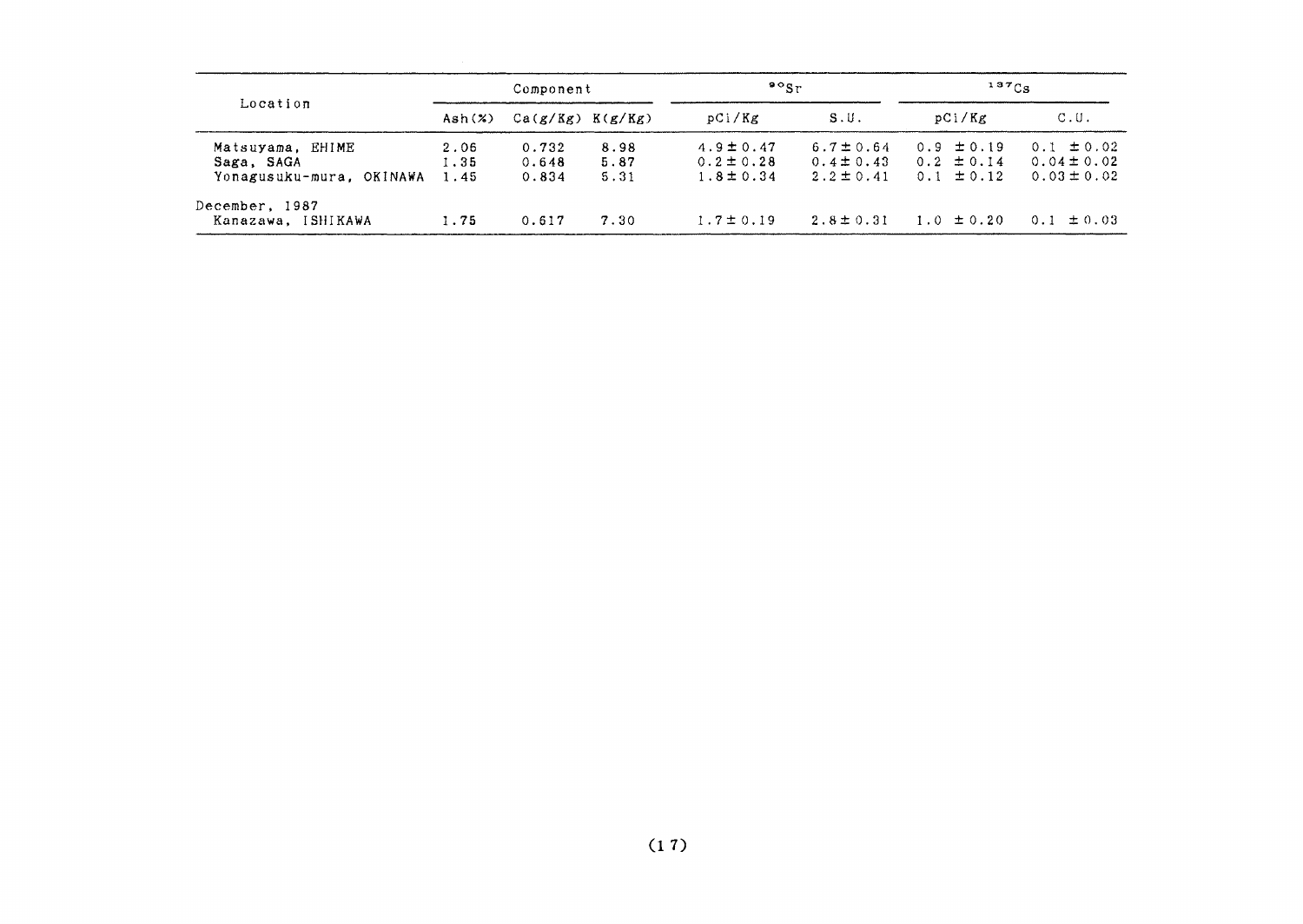|                          | Component |                      |      | $\mathfrak{so}_{\mathrm{Sr}}$ |                | $137C_S$       |                 |
|--------------------------|-----------|----------------------|------|-------------------------------|----------------|----------------|-----------------|
| Location                 | Ash $(x)$ | $Ca(g/Kg)$ $K(g/Kg)$ |      | pCi/Kg                        | S.U.           | pCi/Kg         | C.U.            |
| Matsuyama, EHIME         | 2.06      | 0.732                | 8.98 | $4.9 \pm 0.47$                | $6.7 \pm 0.64$ | $0.9 \pm 0.19$ | $0.1 \pm 0.02$  |
| Saga, SAGA               | 1.35      | 0.648                | 5.87 | $0.2 \pm 0.28$                | $0.4 \pm 0.43$ | $0.2 \pm 0.14$ | $0.04 \pm 0.02$ |
| Yonagusuku-mura, OKINAWA | 1.45      | 0.834                | 5.31 | $1.8 \pm 0.34$                | $2.2 \pm 0.41$ | $0.1 \pm 0.12$ | $0.03 \pm 0.02$ |
| December, 1987           |           |                      |      |                               |                |                |                 |
| Kanazawa, ISHIKAWA       | 1.75      | 0.617                | 7.30 | $1.7 \pm 0.19$                | $2.8 \pm 0.31$ | $1.0 \pm 0.20$ | $0.1 \pm 0.03$  |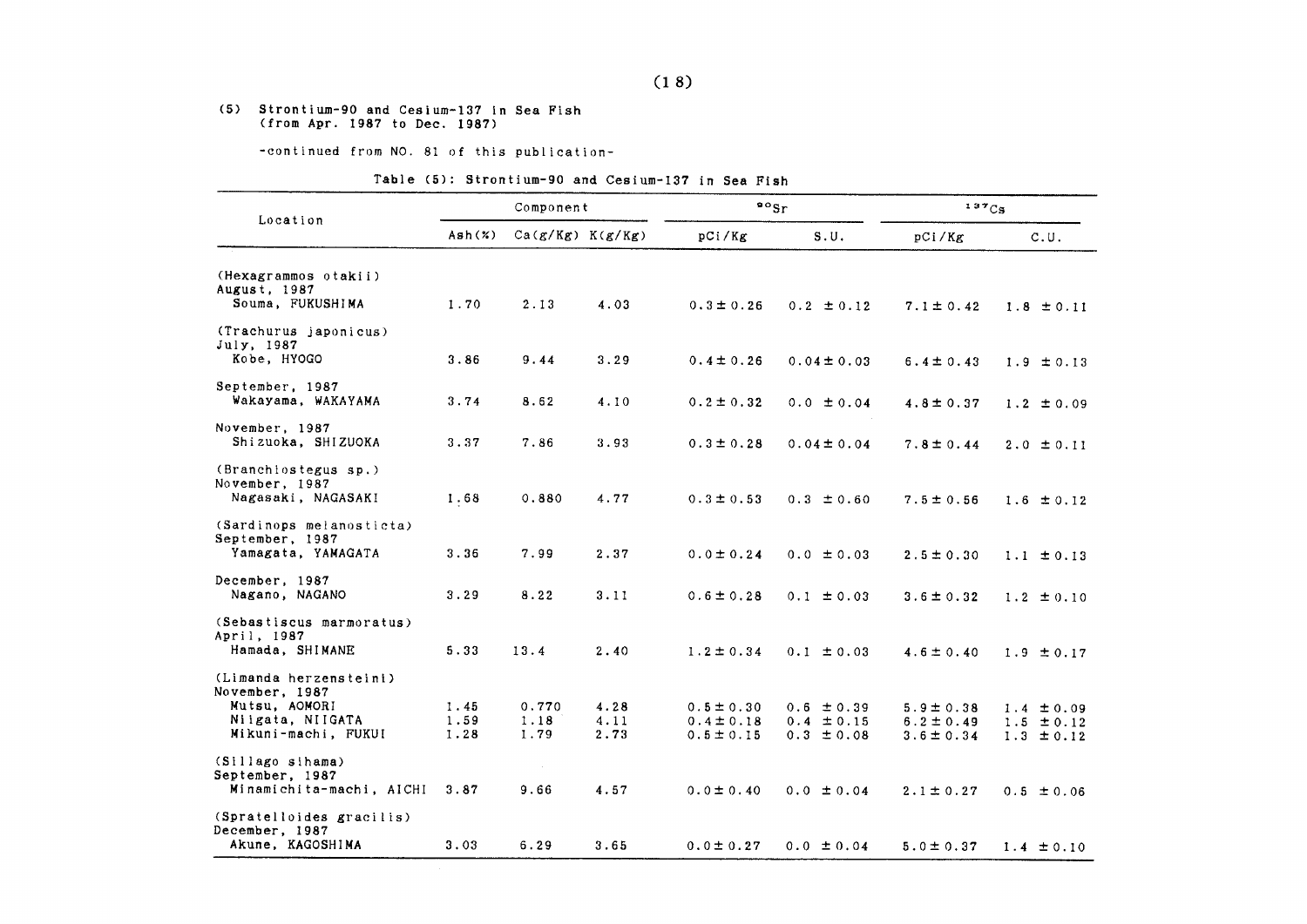#### (5) Strontium-90 and Cesium-137 in Sea Fish (from Apr. 1987 to Dec. 1987)

-continued from NO. 81 of this publication-

#### Table (5): Strontium-90 and Cesium-137 in Sea Fish

|                                                                   |                      | Component             |                      | $\frac{80}{5}$                                     |                                                    | 137Cs                                              |                                                    |
|-------------------------------------------------------------------|----------------------|-----------------------|----------------------|----------------------------------------------------|----------------------------------------------------|----------------------------------------------------|----------------------------------------------------|
| Location                                                          | Ash(X)               | $Ca(g/Kg)$ $K(g/Kg)$  |                      | pCi/Kg                                             | S.U.                                               | pCi/Kg                                             | C.U.                                               |
| (Hexagrammos otakii)                                              |                      |                       |                      |                                                    |                                                    |                                                    |                                                    |
| August, 1987<br>Souma, FUKUSHIMA                                  | 1.70                 | 2.13                  | 4.03                 | $0.3 \pm 0.26$                                     | $0.2 \pm 0.12$                                     | $7.1 \pm 0.42$                                     | $1.8 \pm 0.11$                                     |
| (Trachurus japonicus)<br>July, 1987<br>Kobe, HYOGO                | 3.86                 | 9.44                  | 3.29                 | $0.4 \pm 0.26$                                     | $0.04 \pm 0.03$                                    | $6.4 \pm 0.43$                                     | $1.9 \pm 0.13$                                     |
| September, 1987<br>Wakayama, WAKAYAMA                             | 3.74                 | 8.62                  | 4.10                 | $0.2 \pm 0.32$                                     | $0.0 \pm 0.04$                                     | $4.8 \pm 0.37$                                     | $1.2 \pm 0.09$                                     |
| November, 1987<br>Shizuoka, SHIZUOKA                              | 3.37                 | 7.86                  | 3.93                 | $0.3 \pm 0.28$                                     | $0.04 \pm 0.04$                                    | $7.8 \pm 0.44$                                     | $2.0 \pm 0.11$                                     |
| (Branchiostegus sp.)<br>November, 1987<br>Nagasaki, NAGASAKI      | 1.68                 | 0.880                 | 4.77                 | $0.3 \pm 0.53$                                     | $0.3 \pm 0.60$                                     | $7.5 \pm 0.56$                                     | $1.6 \pm 0.12$                                     |
| (Sardinops melanosticta)<br>September, 1987<br>Yamagata, YAMAGATA | 3.36                 | 7.99                  | 2.37                 | $0.0 \pm 0.24$                                     | $0.0 \pm 0.03$                                     | $2.5 \pm 0.30$                                     | $1.1 \pm 0.13$                                     |
| December, 1987<br>Nagano, NAGANO                                  | 3.29                 | 8.22                  | 3.11                 | $0.6 \pm 0.28$                                     | $0.1 \pm 0.03$                                     | $3.6 \pm 0.32$                                     | $1.2 \pm 0.10$                                     |
| (Sebastiscus marmoratus)<br>April, 1987<br>Hamada, SHIMANE        | 5.33                 | 13.4                  | 2.40                 | $1.2 \pm 0.34$                                     | $0.1 \pm 0.03$                                     | $4.6 \pm 0.40$                                     | $1.9 \pm 0.17$                                     |
| (Limanda herzensteini)<br>November, 1987                          |                      |                       |                      |                                                    |                                                    |                                                    |                                                    |
| Mutsu, AOMORI<br>Niigata, NIIGATA<br>Mikuni-machi, FUKUI          | 1.45<br>1.59<br>1.28 | 0.770<br>1.18<br>1.79 | 4.28<br>4.11<br>2.73 | $0.5 \pm 0.30$<br>$0.4 \pm 0.18$<br>$0.5 \pm 0.15$ | $0.6 \pm 0.39$<br>$0.4 \pm 0.15$<br>$0.3 \pm 0.08$ | $5.9 \pm 0.38$<br>$6.2 \pm 0.49$<br>$3.6 \pm 0.34$ | $1.4 \pm 0.09$<br>$1.5 \pm 0.12$<br>$1.3 \pm 0.12$ |
| (Sillago sihama)<br>September, 1987                               |                      |                       |                      |                                                    |                                                    |                                                    |                                                    |
| Minamichita-machi, AICHI                                          | 3.87                 | 9.66                  | 4.57                 | $0.0 \pm 0.40$                                     | $0.0 \pm 0.04$                                     | $2.1 \pm 0.27$                                     | $0.5 \pm 0.06$                                     |
| (Spratelloides gracilis)<br>December, 1987<br>Akune, KAGOSHIMA    | 3.03                 | 6.29                  | 3.65                 | $0.0 \pm 0.27$                                     | $0.0 \pm 0.04$                                     | $5.0 \pm 0.37$                                     | $1.4 \pm 0.10$                                     |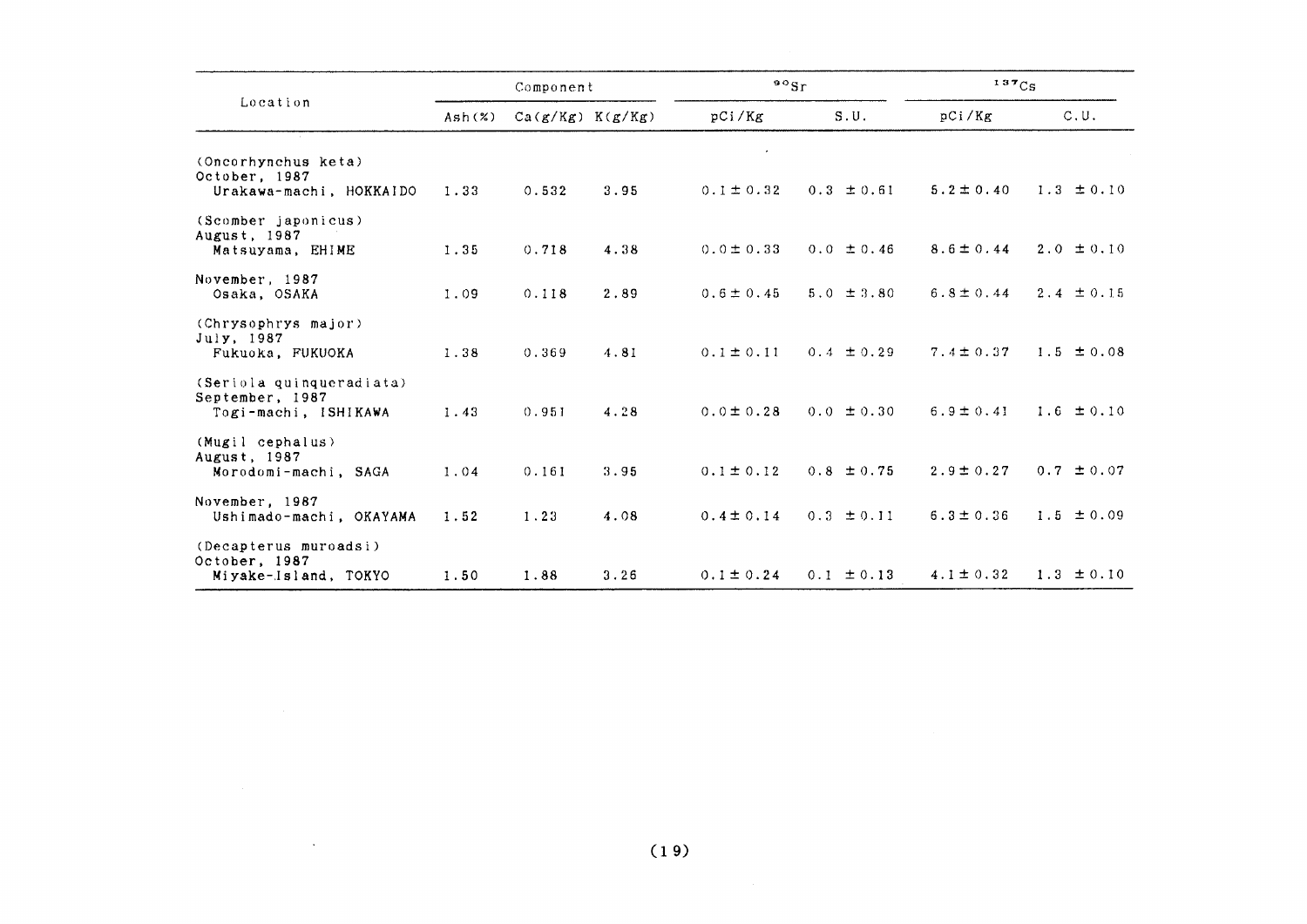|                                                                     |        | Component            |      | 90Sr           |                | 137C <sub>S</sub> |                |
|---------------------------------------------------------------------|--------|----------------------|------|----------------|----------------|-------------------|----------------|
| Location                                                            | Ash(x) | $Ca(g/Kg)$ $K(g/Kg)$ |      | pCi/Kg         | S.U.           | pCi/Kg            | C.U.           |
| (Oncorhynchus keta)<br>October, 1987<br>Urakawa-machi, HOKKAIDO     | 1.33   | 0.532                | 3.95 | $0.1 \pm 0.32$ | $0.3 \pm 0.61$ | $5.2 \pm 0.40$    | $1.3 \pm 0.10$ |
| (Scomber japonicus)<br>August, 1987<br>Matsuyama, EHIME             | 1.35   | 0.718                | 4.38 | $0.0 \pm 0.33$ | $0.0 \pm 0.46$ | $8.6 \pm 0.44$    | $2.0 \pm 0.10$ |
| November, 1987<br>Osaka, OSAKA                                      | 1.09   | 0.118                | 2.89 | $0.6 \pm 0.45$ | $5.0 \pm 3.80$ | $6.8 \pm 0.44$    | $2.4 \pm 0.15$ |
| (Chrysophrys major)<br>July, 1987<br>Fukuoka, FUKUOKA               | 1.38   | 0.369                | 4.81 | $0.1 \pm 0.11$ | $0.4 \pm 0.29$ | $7.4 \pm 0.37$    | $1.5 \pm 0.08$ |
| (Seriola quinqueradiata)<br>September, 1987<br>Togi-machi, ISHIKAWA | 1.43   | 0.951                | 4.28 | $0.0 \pm 0.28$ | $0.0 \pm 0.30$ | $6.9 \pm 0.41$    | $1.6 \pm 0.10$ |
| (Mugil cephalus)<br>August, 1987<br>Morodomi-machi, SAGA            | 1.04   | 0.161                | 3.95 | $0.1 \pm 0.12$ | $0.8 \pm 0.75$ | $2.9 \pm 0.27$    | $0.7 \pm 0.07$ |
| November, 1987<br>Ushimado-machi, OKAYAMA                           | 1.52   | 1.23                 | 4.08 | $0.4 \pm 0.14$ | $0.3 \pm 0.11$ | $6.3 \pm 0.36$    | $1.5 \pm 0.09$ |
| (Decapterus muroadsi)<br>October, 1987<br>Miyake-Island, TOKYO      | 1.50   | 1.88                 | 3.26 | $0.1 \pm 0.24$ | $0.1 \pm 0.13$ | $4.1 \pm 0.32$    | $1.3 \pm 0.10$ |

 $\sim$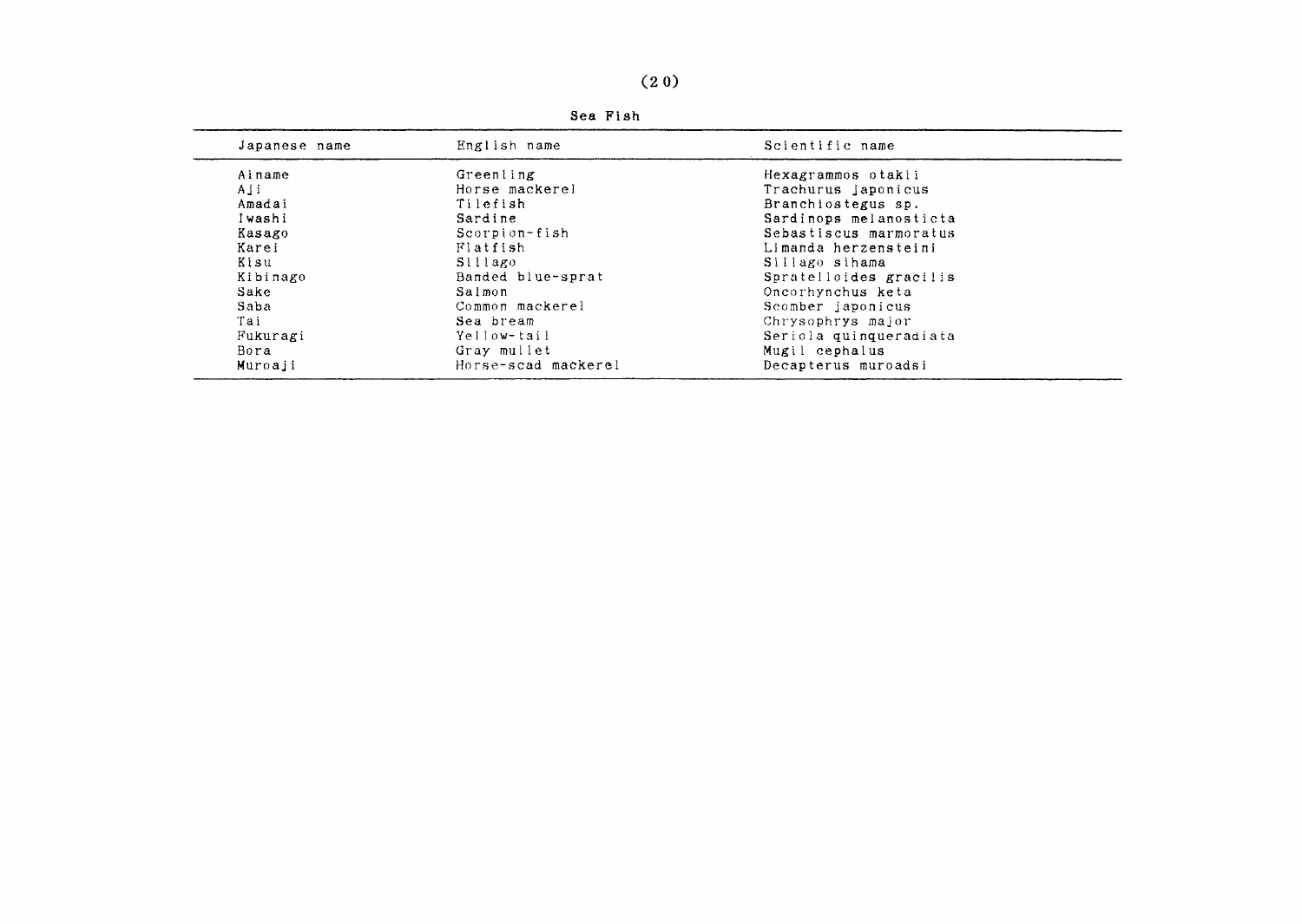| Japanese name | English name        | Scientific name        |
|---------------|---------------------|------------------------|
| Ainame        | Greenling           | Hexagrammos otakii     |
| Aji           | Horse mackerel      | Trachurus japonicus    |
| Amadai        | Tilefish            | Branchiostegus sp.     |
| Iwashi        | Sardine             | Sardinops melanosticta |
| Kasago        | Scorpion-fish       | Sebastiscus marmoratus |
| Karei         | Flatfish            | Limanda herzensteini   |
| Kisu          | Sillago             | Sillago sihama         |
| Kibinago      | Banded blue-sprat   | Spratelloides gracilis |
| Sake          | Salmon              | Oncorhynchus keta      |
| Saba          | Common mackerel     | Scomber japonicus      |
| Tai           | Sea bream           | Chrysophrys major      |
| Fukuragi      | Yellow-tail         | Seriola quinqueradiata |
| Bora          | Gray mullet         | Mugil cephalus         |
| Muroaji       | Horse-scad mackerel | Decapterus muroadsi    |

Sea Fish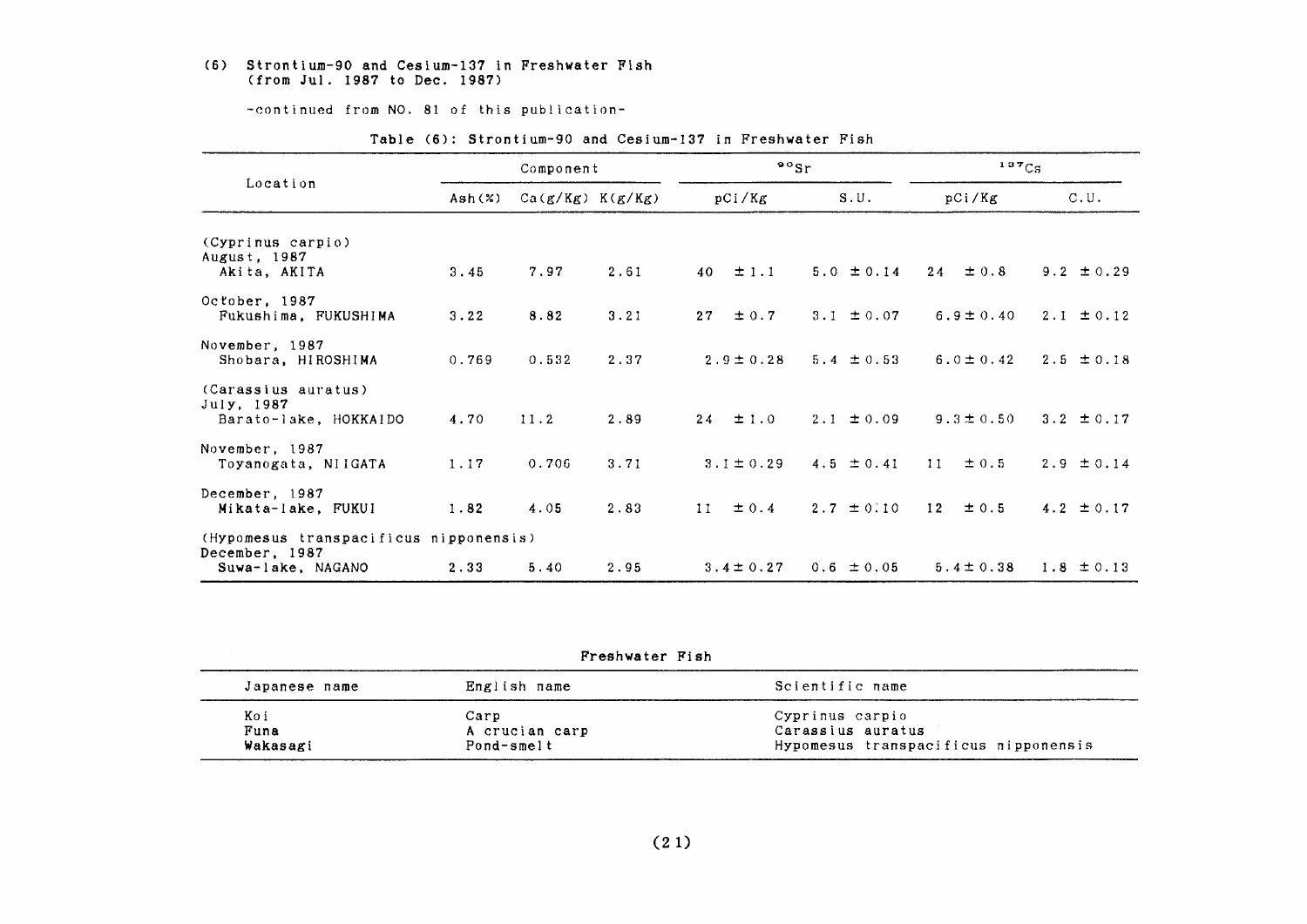#### (6) Strontium-90 and Cesium-137 in Freshwater Fish (from Jul. 1987 to Dec. 1987)

-continued from NO. 81 of this publication-

|                                                                               | Component                   |                      |      | $\frac{80}{s}$ r |                | 137C <sub>S</sub> |                |
|-------------------------------------------------------------------------------|-----------------------------|----------------------|------|------------------|----------------|-------------------|----------------|
| Location                                                                      | $\mathsf{Ash}(\mathcal{X})$ | $Ca(g/Kg)$ $K(g/Kg)$ |      | pCi/Kg           | S.U.           | pCi/Kg            | C.U.           |
| (Cyprinus carpio)<br>August, 1987<br>Akita, AKITA                             | 3.45                        | 7.97                 | 2.61 | $\pm$ 1.1<br>40  | $5.0 \pm 0.14$ | 24<br>$\pm 0.8$   | $9.2 \pm 0.29$ |
| October, 1987<br>Fukushima, FUKUSHIMA                                         | 3.22                        | 8.82                 | 3.21 | 27<br>$\pm 0.7$  | 3.1 $\pm$ 0.07 | $6.9 \pm 0.40$    | $2.1 \pm 0.12$ |
| November, 1987<br>Shobara, HIROSHIMA                                          | 0.769                       | 0.532                | 2.37 | $2.9 \pm 0.28$   | $5.4 \pm 0.53$ | $6.0 \pm 0.42$    | $2.5 \pm 0.18$ |
| (Carassius auratus)<br>July, 1987<br>Barato-lake, HOKKAIDO                    | 4.70                        | 11.2                 | 2.89 | ±1.0<br>24       | $2.1 \pm 0.09$ | $9.3 \pm 0.50$    | $3.2 \pm 0.17$ |
| November, 1987<br>Toyanogata, NIIGATA                                         | 1.17                        | 0.706                | 3.71 | $3.1 \pm 0.29$   | 4.5 $\pm$ 0.41 | 11<br>$\pm$ 0.5   | $2.9 \pm 0.14$ |
| December, 1987<br>Mikata-lake, FUKUI                                          | 1.82                        | 4.05                 | 2.83 | ± 0.4<br>11      | $2.7 \pm 0.10$ | 12<br>$\pm$ 0.5   | 4.2 $\pm$ 0.17 |
| (Hypomesus transpacificus nipponensis)<br>December, 1987<br>Suwa-lake, NAGANO | 2.33                        | 5.40                 | 2.95 | $3.4 \pm 0.27$   | $0.6 \pm 0.05$ | $5.4 \pm 0.38$    | $1.8 \pm 0.13$ |

#### Table (6): Strontium-90 and Cesium-137 in Freshwater Fish

|               | Freshwater Fish |                                      |
|---------------|-----------------|--------------------------------------|
| Japanese name | English name    | Scientific name                      |
| Koi           | Carp            | Cyprinus carpio                      |
| Funa          | A crucian carp  | Carassius auratus                    |
| Wakasagi      | Pond-smelt      | Hypomesus transpacificus nipponensis |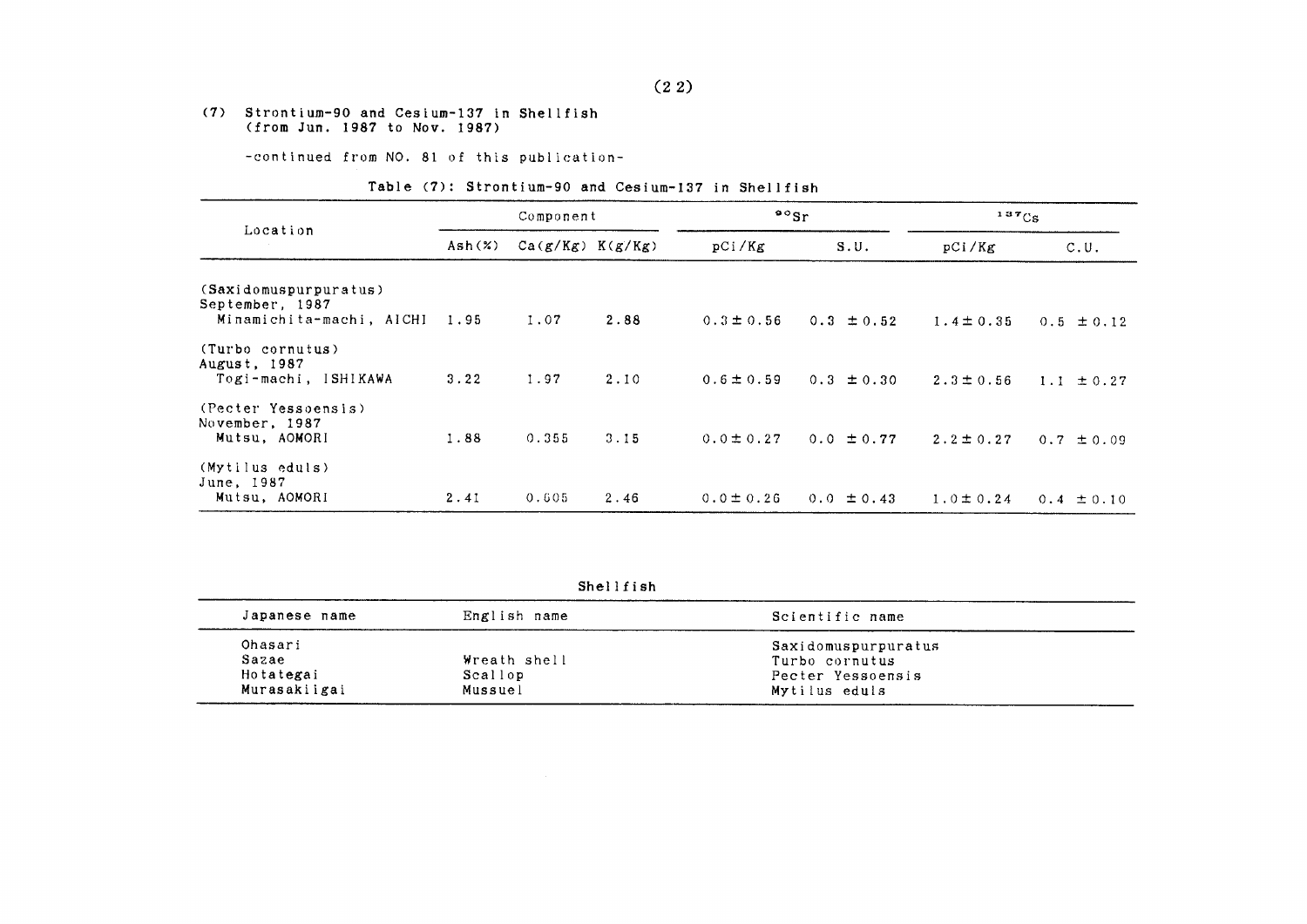#### (7) Strontium-90 and Cesium-137 in Shellfish (from Jun. 1987 to Nov. 1987)

-continued from NO. 81 of this publication-

#### Table (7): Strontium-90 and Cesium-137 in Shellfish

|                                                          |        | Component            |      |                | $\mathfrak{so}_{\mathrm{Sr}}$<br>$137C_S$ |                |                |
|----------------------------------------------------------|--------|----------------------|------|----------------|-------------------------------------------|----------------|----------------|
| Location                                                 | Ash(x) | $Ca(g/Kg)$ $K(g/Kg)$ |      | pCi/Kg         | S.U.                                      | pCi/Kg         | C.U.           |
| (Saxidomuspurpuratus)<br>September, 1987                 |        |                      |      |                |                                           |                |                |
| Minamichita-machi, AICHI                                 | 1.95   | 1.07                 | 2.88 | $0.3 \pm 0.56$ | $0.3 \pm 0.52$                            | $1.4 \pm 0.35$ | $0.5 \pm 0.12$ |
| (Turbo cornutus)<br>August, 1987<br>Togi-machi, ISHIKAWA | 3.22   | 1.97                 | 2.10 | $0.6 \pm 0.59$ | $0.3 \pm 0.30$                            | $2.3 \pm 0.56$ | $1.1 \pm 0.27$ |
| (Pecter Yessoensis)<br>November, 1987<br>Mutsu, AOMORI   | 1.88   | 0.355                | 3.15 | $0.0 \pm 0.27$ | $0.0 \pm 0.77$                            | $2.2 \pm 0.27$ | $0.7 \pm 0.09$ |
| (Mytilus eduls)<br>June, 1987<br>Mutsu, AOMORI           | 2.41   | 0.605                | 2.46 | $0.0 \pm 0.26$ | $0.0 \pm 0.43$                            | $1.0 \pm 0.24$ | $0.4 \pm 0.10$ |

Shellfish

| Japanese name | English name | Scientific name     |  |
|---------------|--------------|---------------------|--|
| Ohasari       |              | Saxidomuspurpuratus |  |
| Sazae         | Wreath shell | Turbo cornutus      |  |
| Hotategai     | Scallop      | Pecter Yessoensis   |  |
| Murasakiigai  | Mussuel      | Mytilus eduls       |  |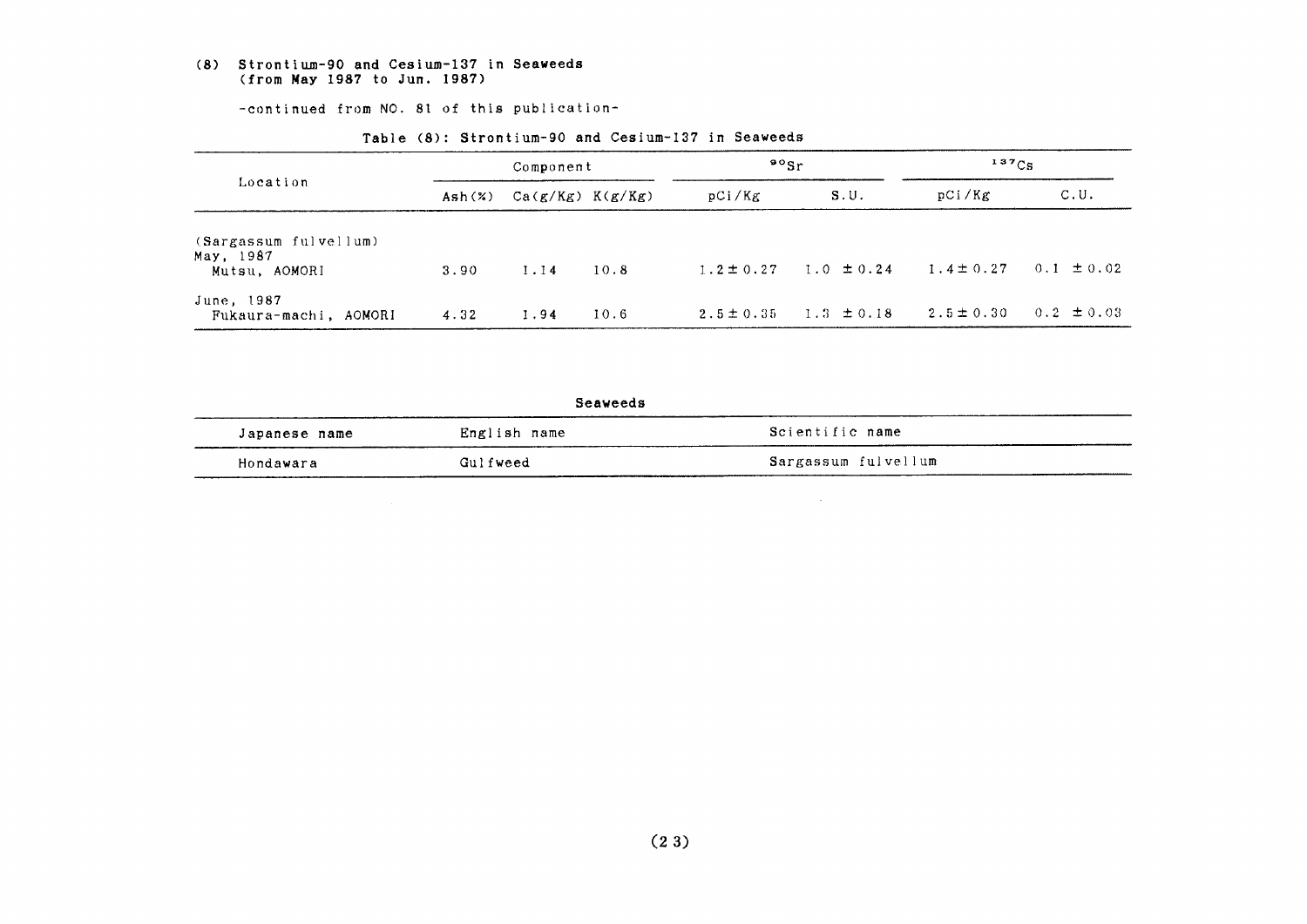#### (8) Strontium-90 and Cesium-137 in Seaweeds (from May 1987 to Jun. 1987)

-continued from NO. 81 of this publication-

| Location                                            | Component |                      |      | $\mathfrak{so}_{\mathrm{Sr}}$ |                | $137C_S$       |                |
|-----------------------------------------------------|-----------|----------------------|------|-------------------------------|----------------|----------------|----------------|
|                                                     | Ash $(%)$ | $Ca(g/Kg)$ $K(g/Kg)$ |      | pCi/Kg                        | S.U.           | pCi/Kg         | C.U.           |
| (Sargassum fulvellum)<br>May, 1987<br>Mutsu, AOMORI | 3.90      | 1.14                 | 10.8 | $1.2 \pm 0.27$                | $1.0 \pm 0.24$ | $1.4 \pm 0.27$ | $0.1 \pm 0.02$ |
| June, 1987<br>Fukaura-machi, AOMORI                 | 4.32      | 1.94                 | 10.6 | $2.5 \pm 0.35$                | $1.3 \pm 0.18$ | $2.5 \pm 0.30$ | $0.2 \pm 0.03$ |

#### Table (8): Strontium-90 and Cesium-137 in Seaweeds

Seaweeds

| Japanese name | English name | Scientific name     |
|---------------|--------------|---------------------|
| Hondawara     | Gulfweed     | Sargassum fulvellum |

 $\sim$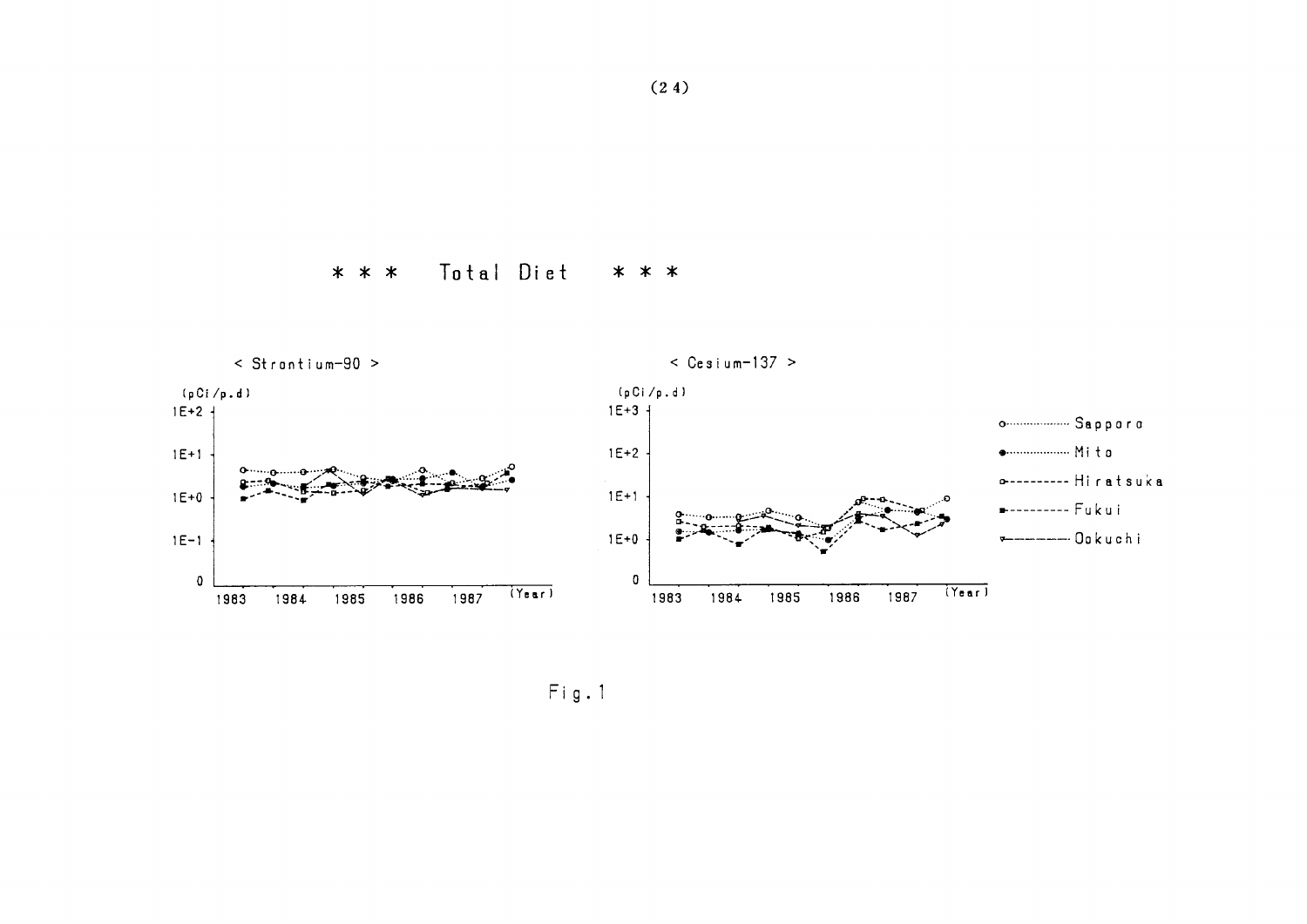



 $Fig. 1$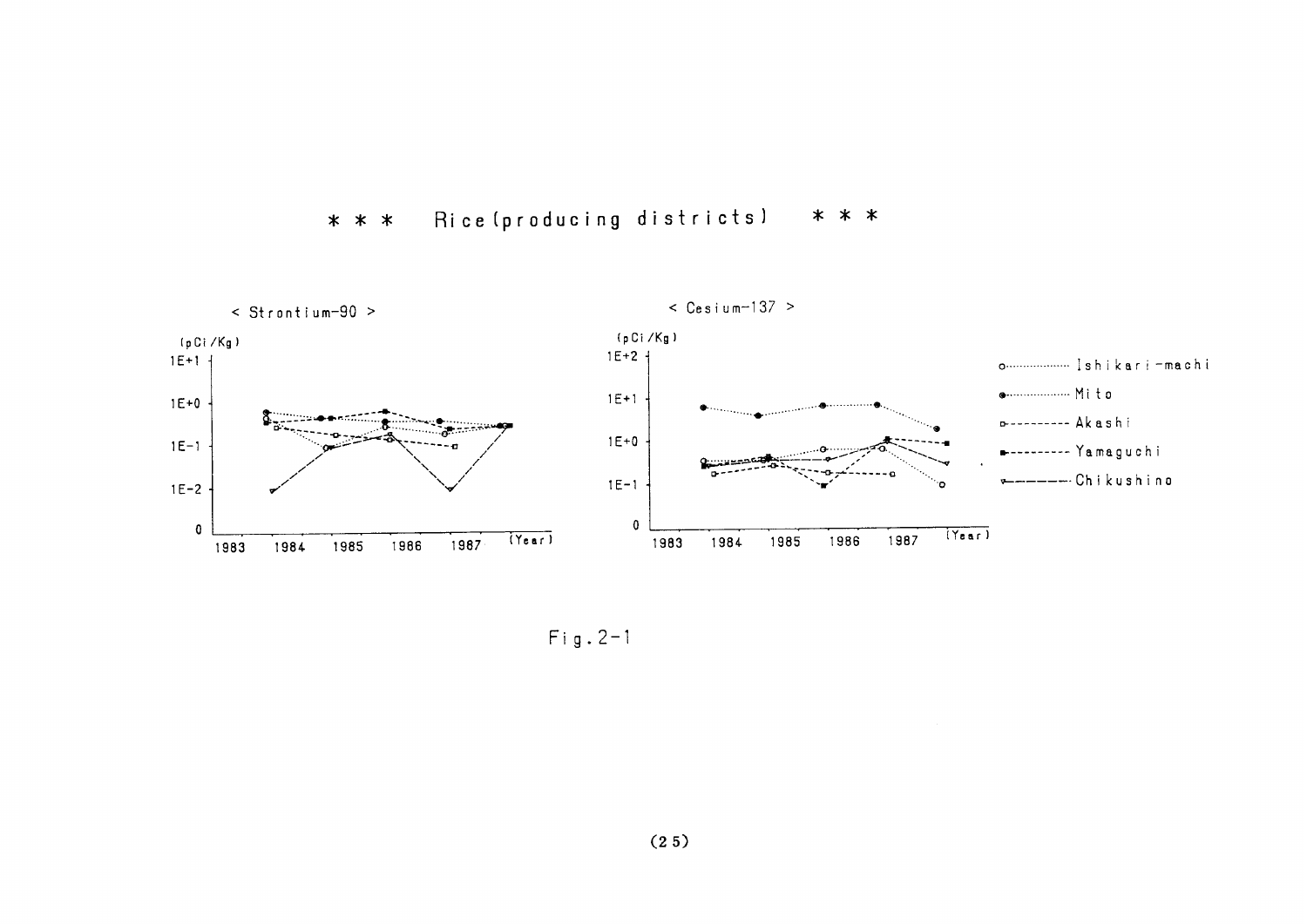



Fig.2-1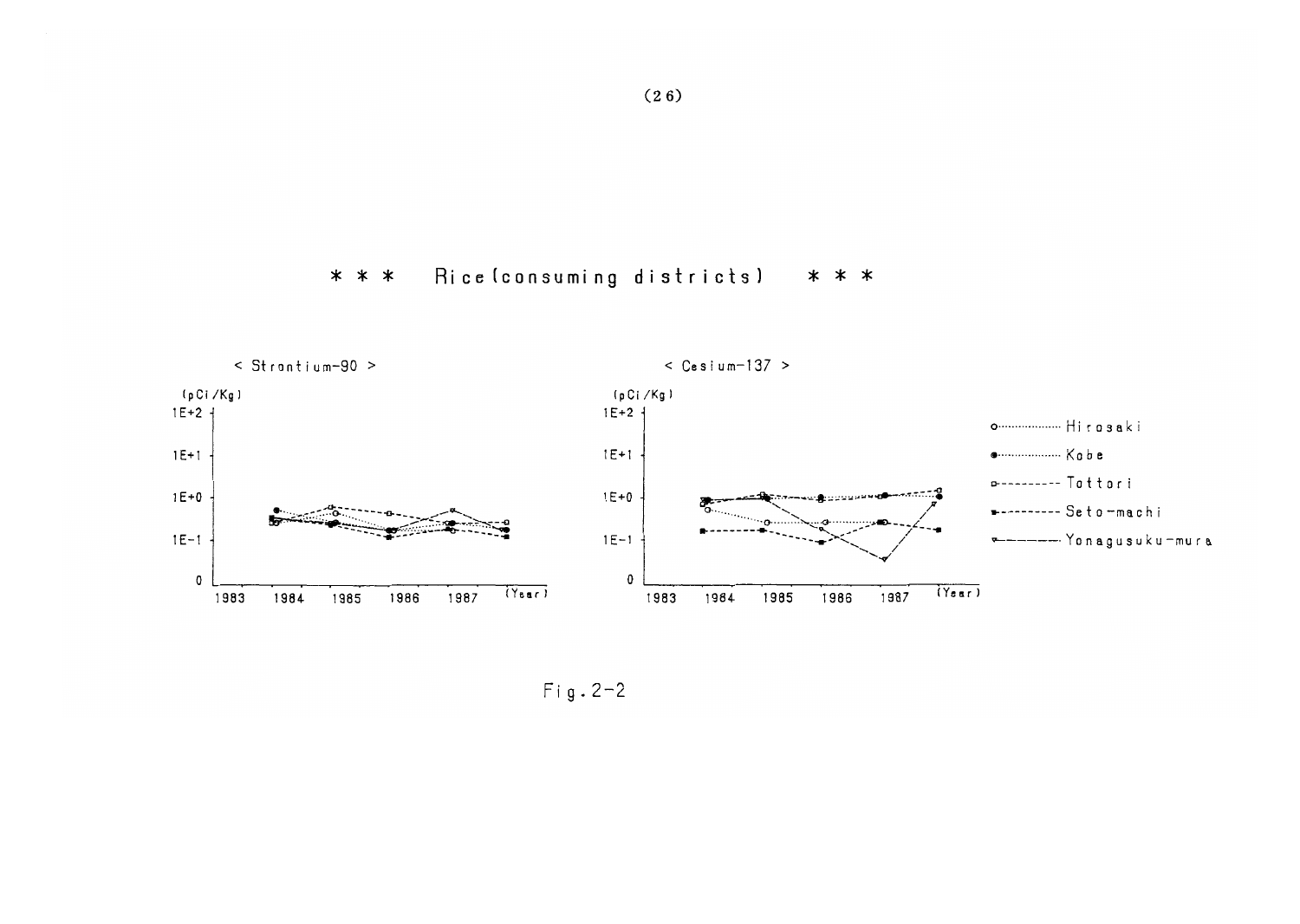



 $Fig. 2-2$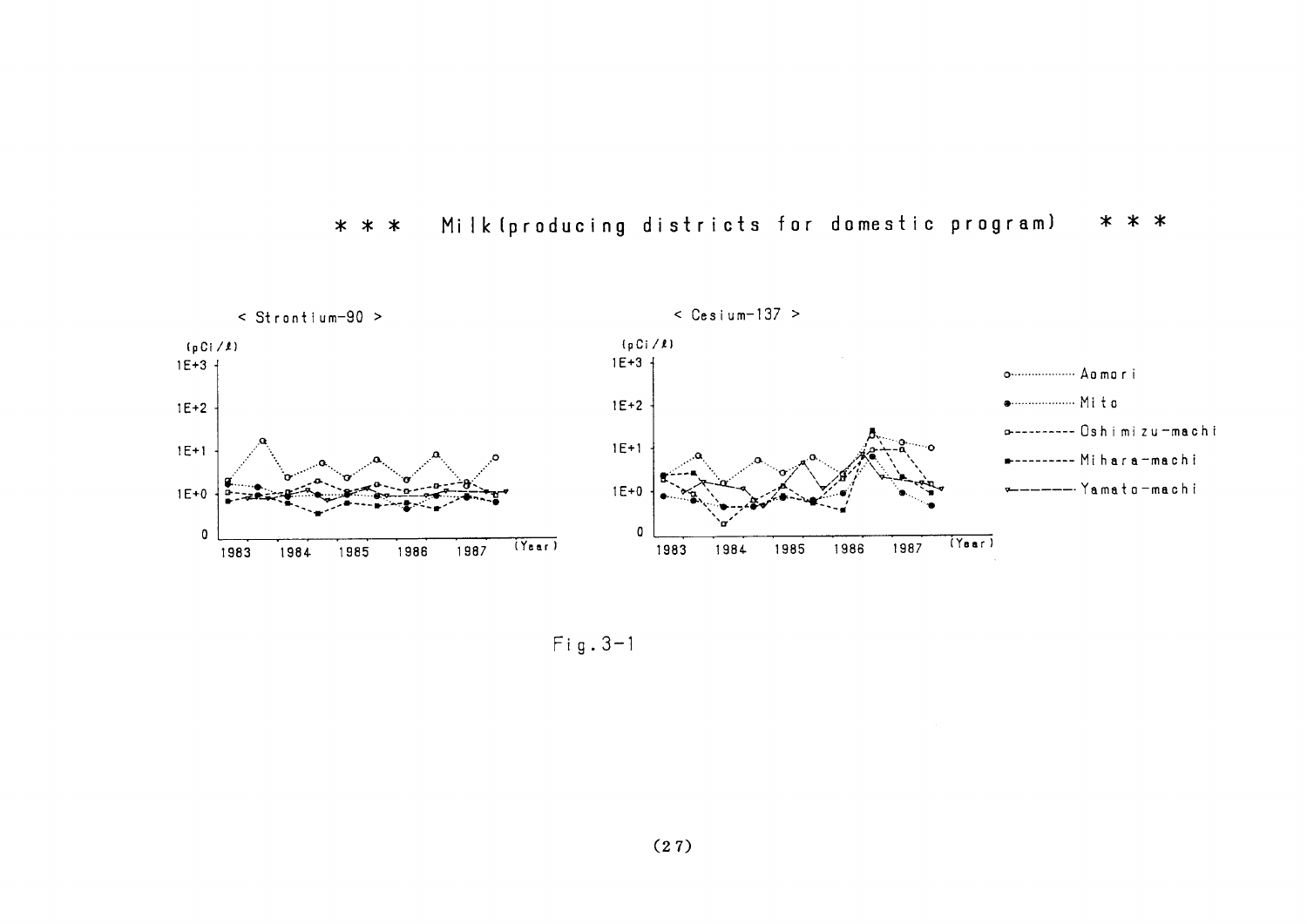

#### \* \* \* Milk (producing districts for domestic program)  $* * *$

 $Fig. 3-1$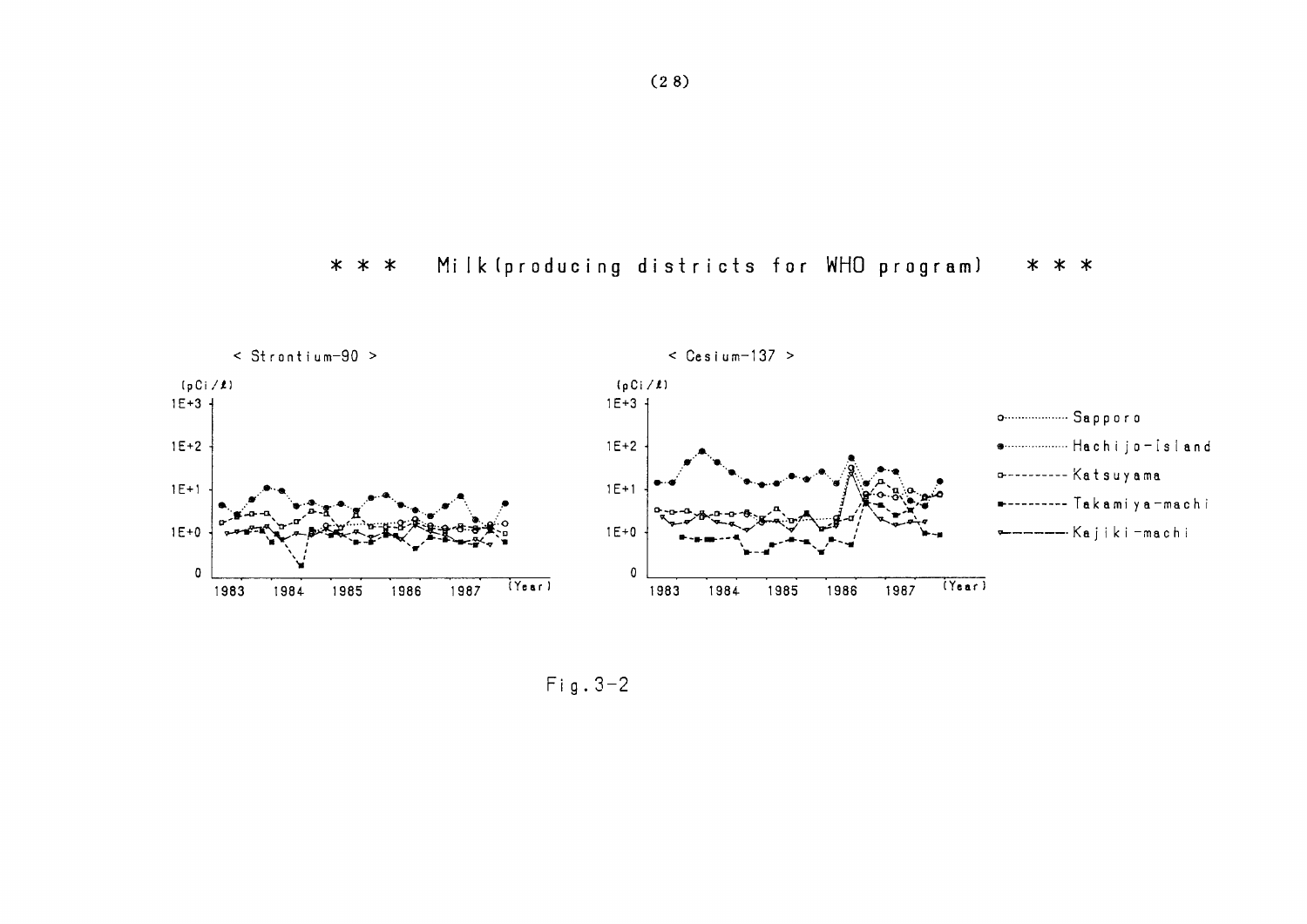#### Milk (producing districts for WHO program) \* \* \* \* \* \*



 $Fig. 3-2$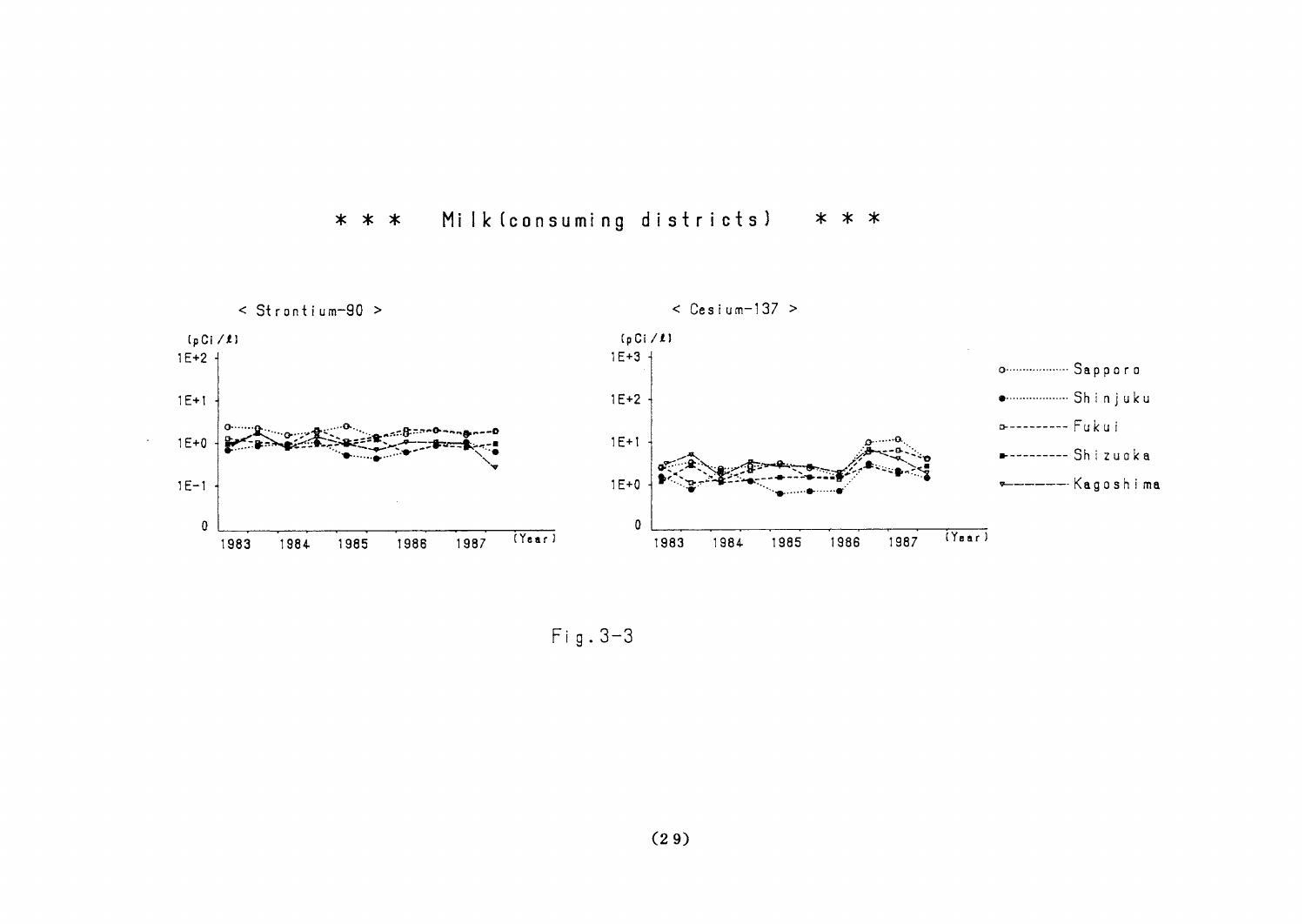#### Milk (consuming districts)  $* * *$  $* * *$



 $Fig. 3-3$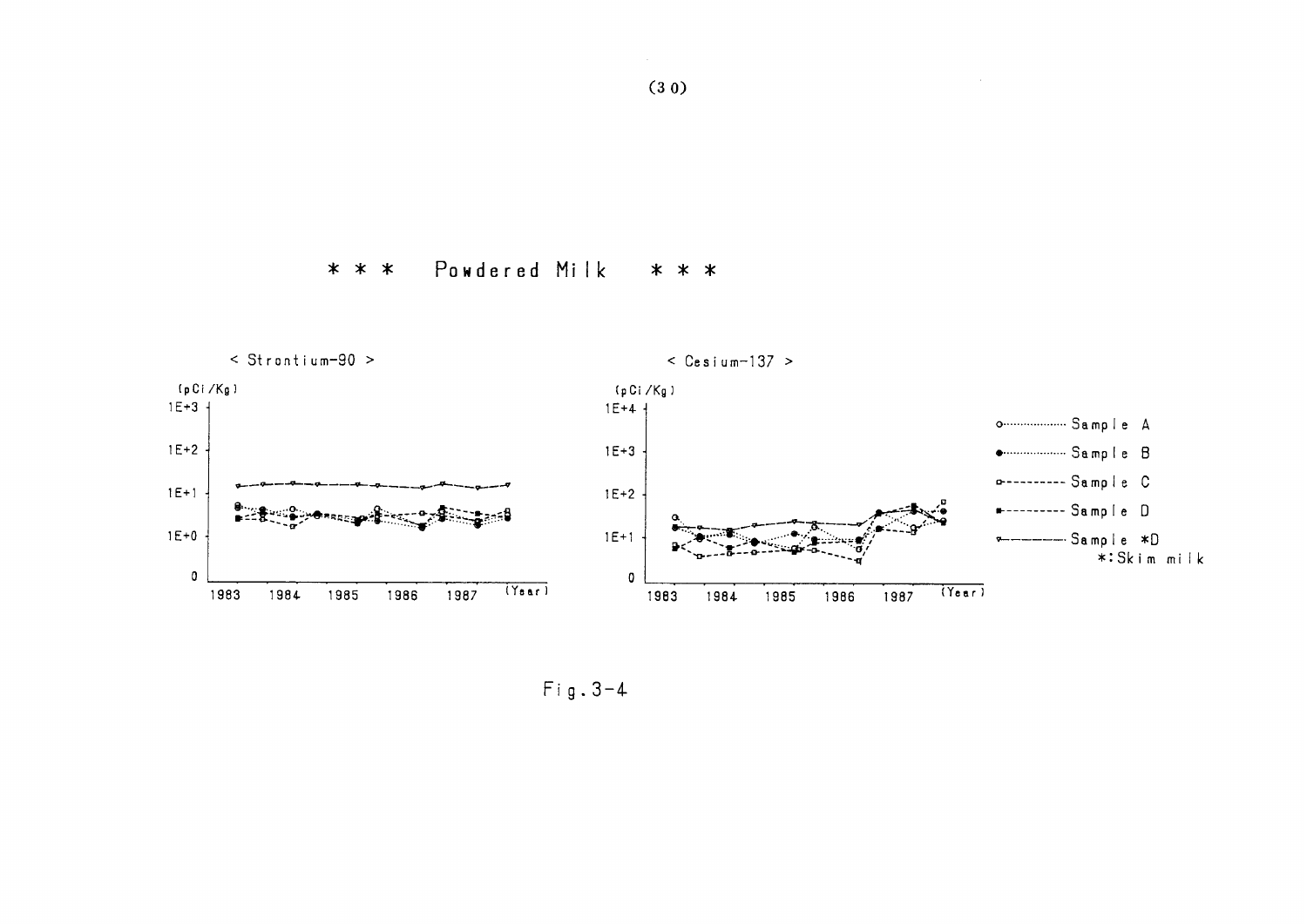



 $Fig. 3-4$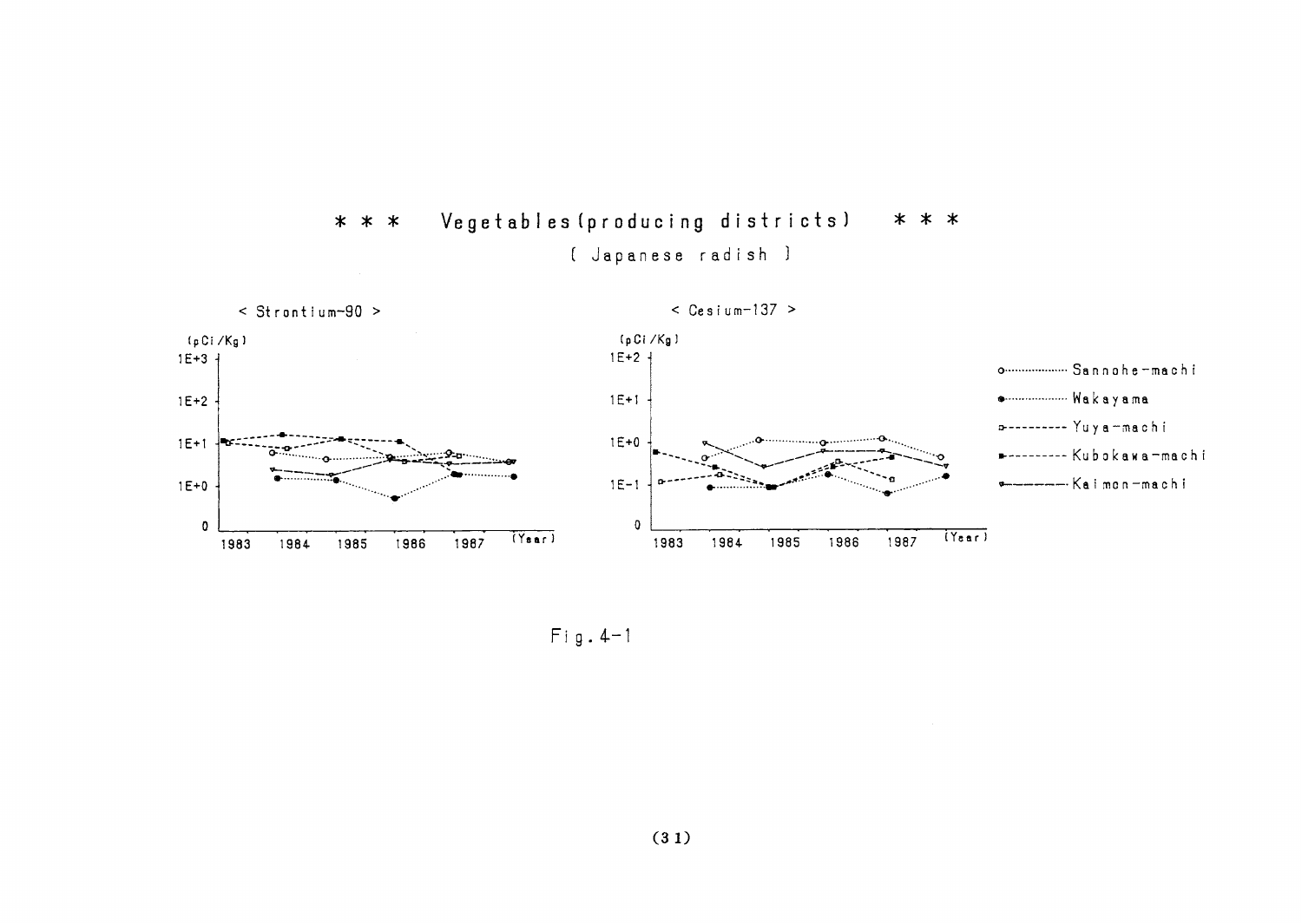

Vegetables (producing districts) \* \* \*  $* * *$ ( Japanese radish )

 $Fig. 4-1$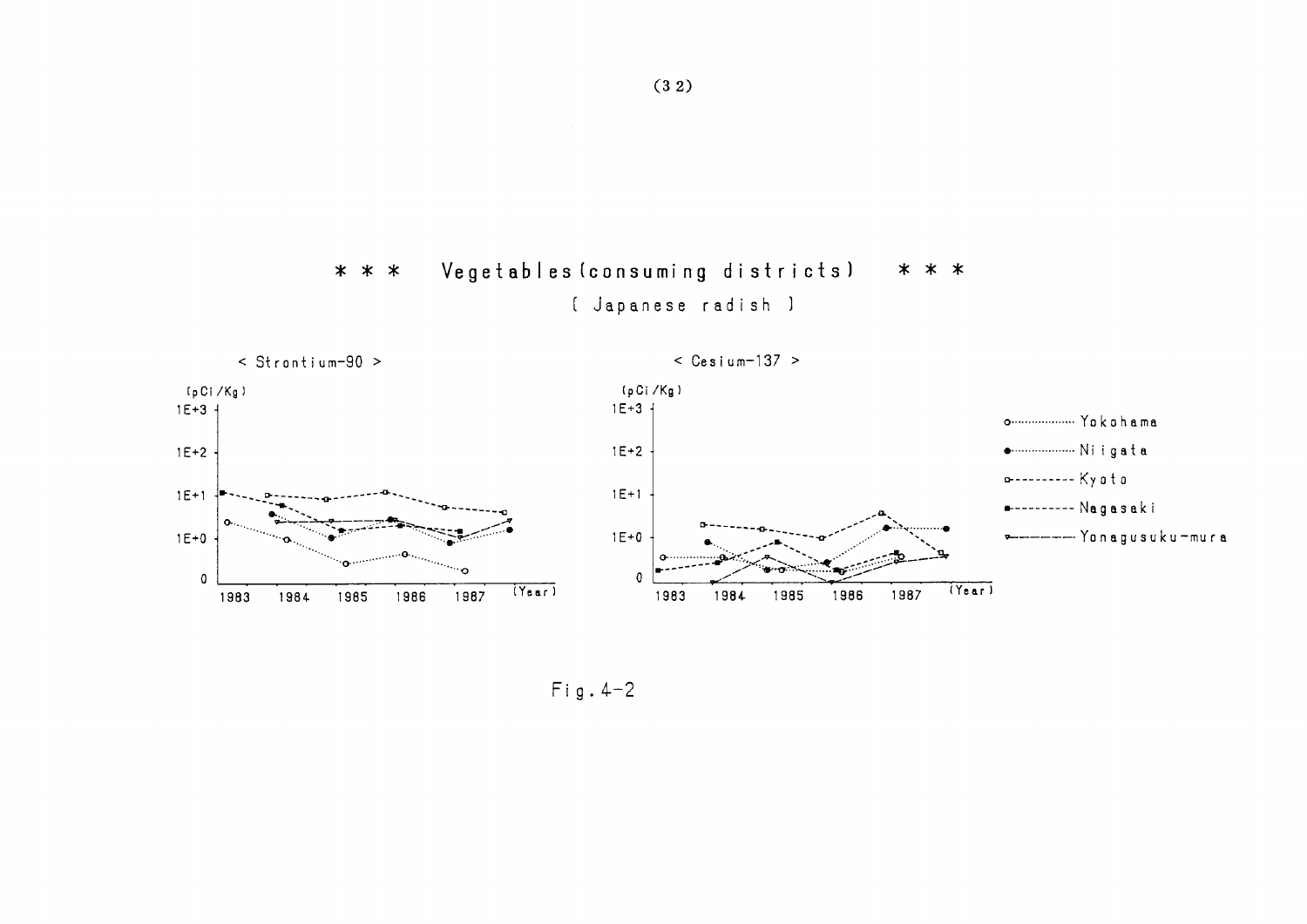



 $Fig. 4-2$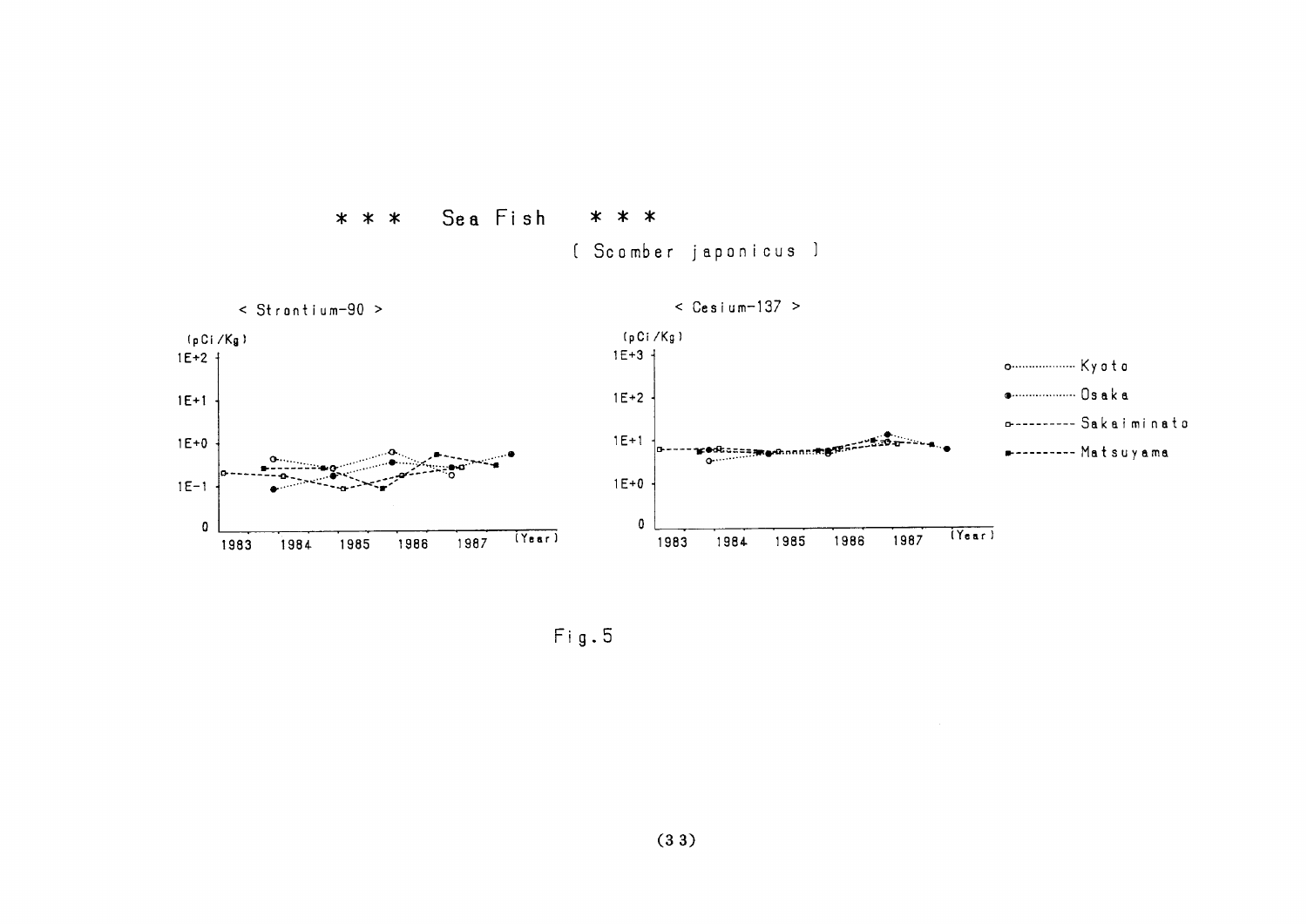

[ Scomber japonicus ]



 $Fig. 5$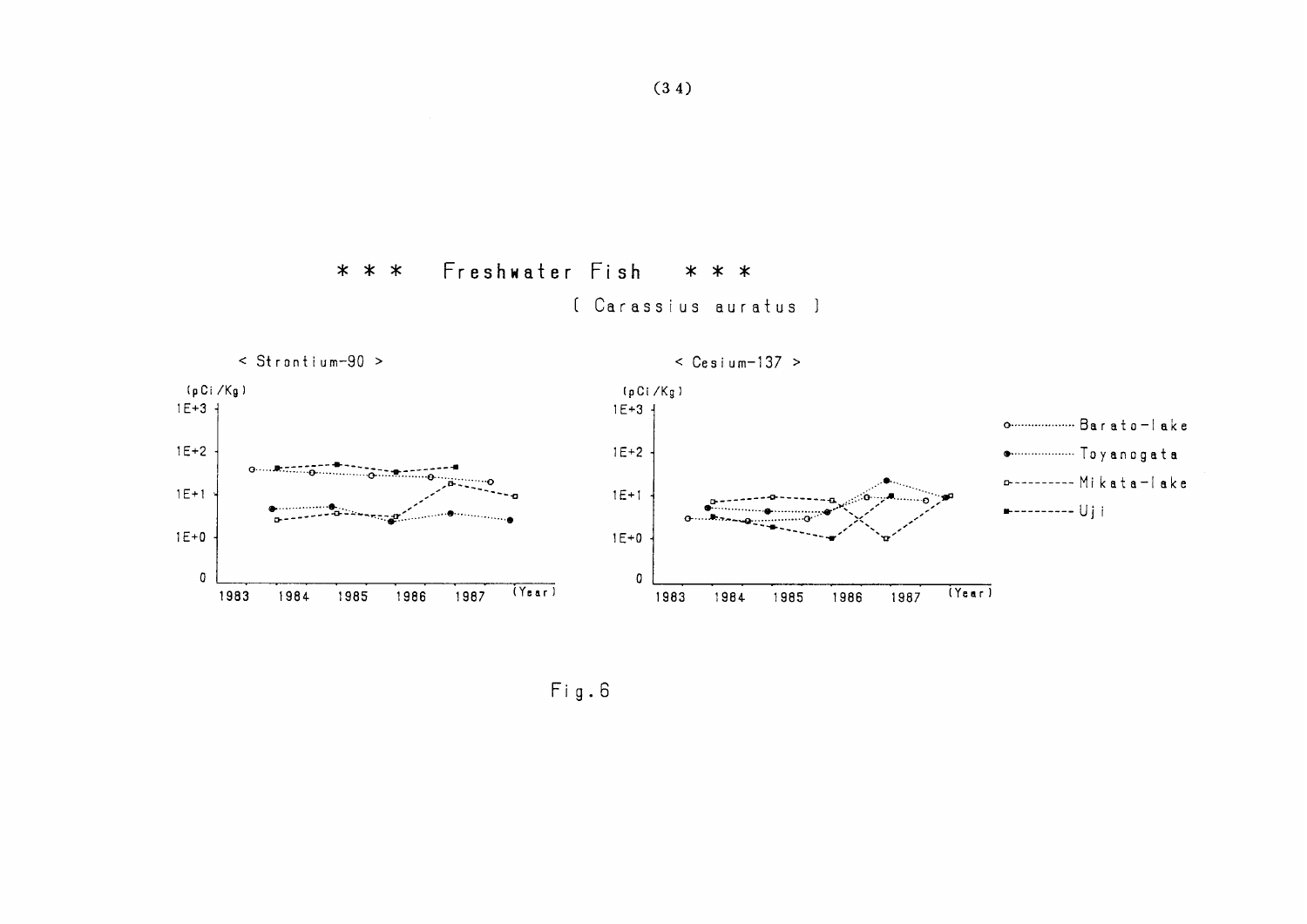Freshwater Fish  $* * *$  $* * *$ [ Carassius auratus ]



 $Fig. 6$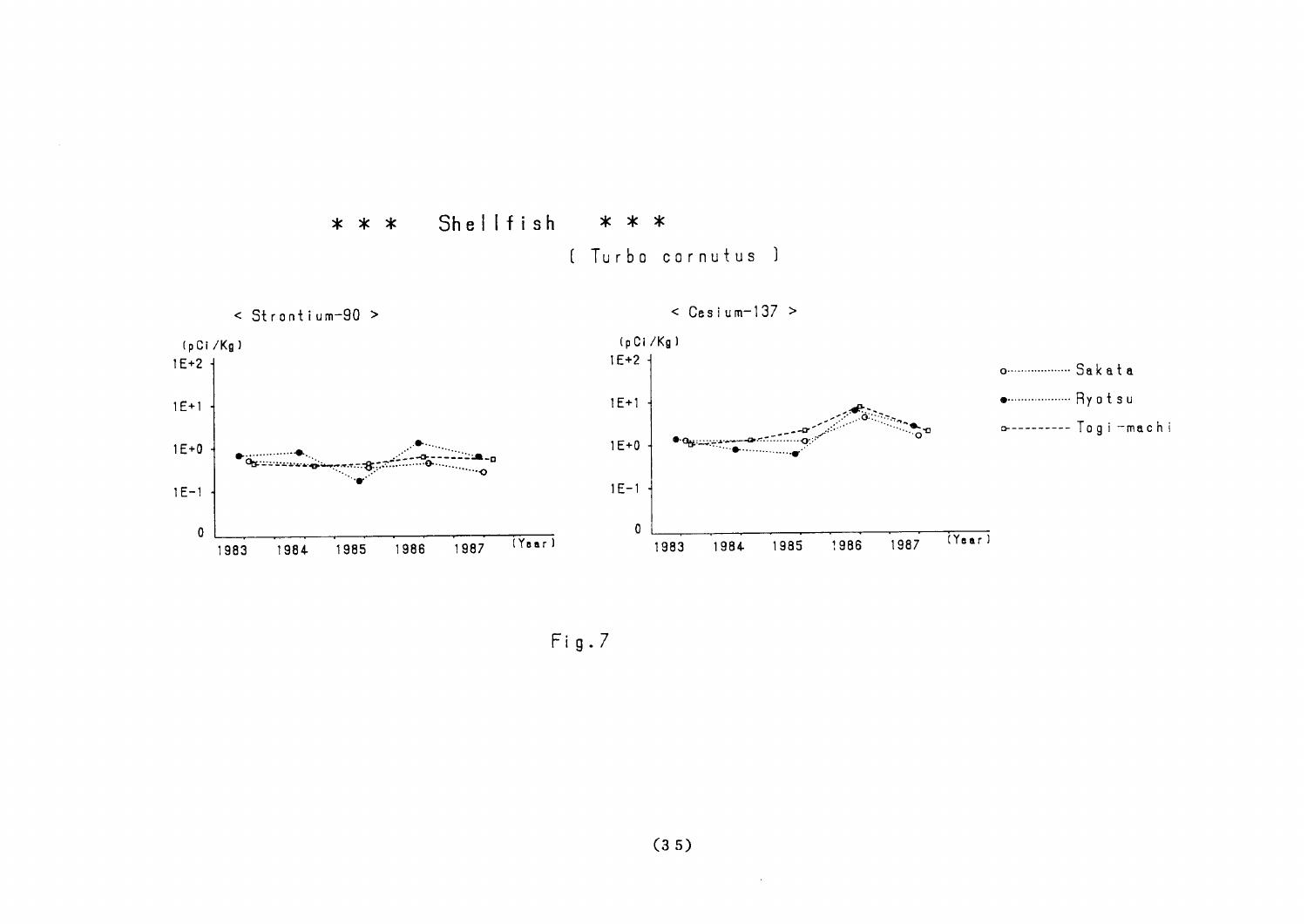

[ Turbo cornutus ]

\* \* \*

 $Fig.7$ 

Shellfish

\* \* \*

 $\sim$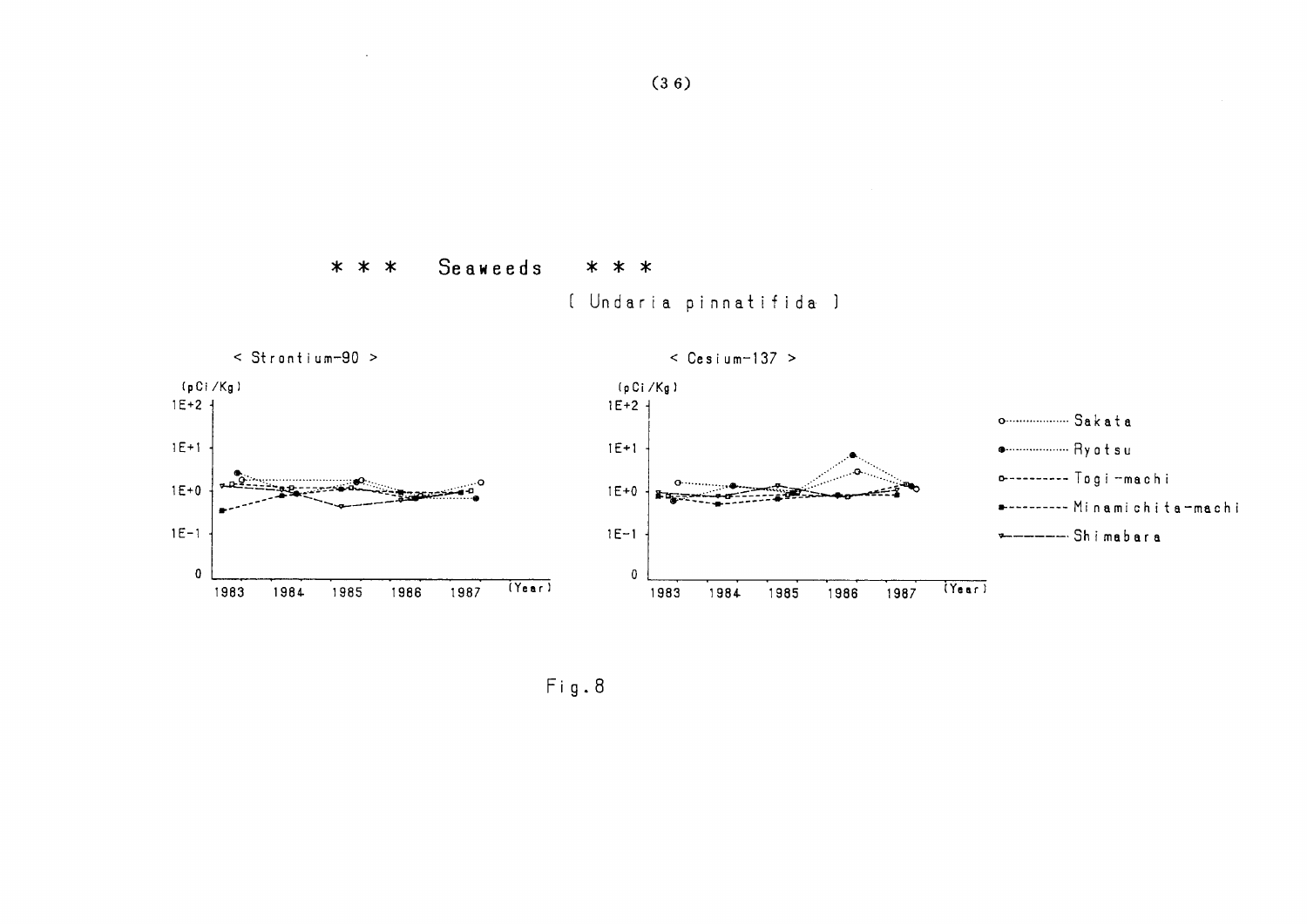#### Seaweeds \* \* \*  $* * *$

[ Undaria pinnatifida ]



 $Fig. 8$